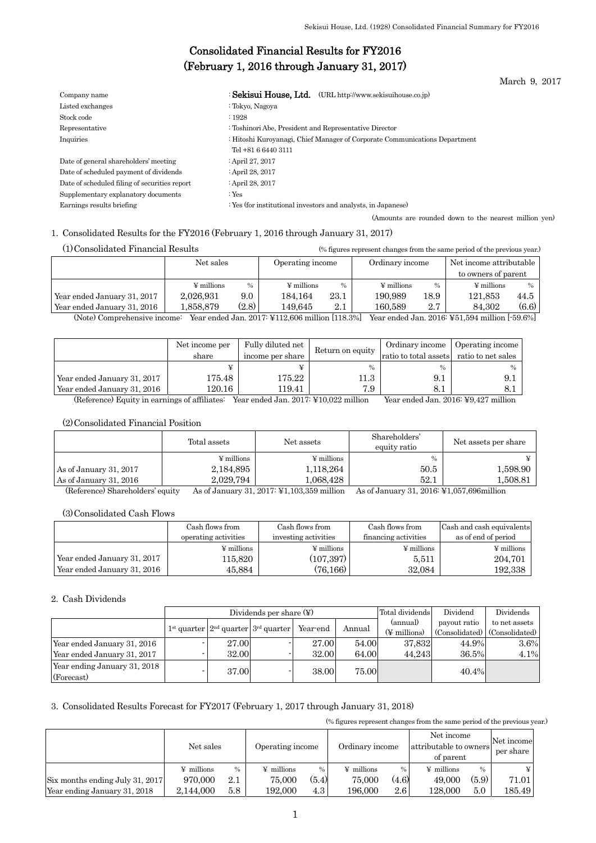March 9, 2017

# Consolidated Financial Results for FY2016 (February 1, 2016 through January 31, 2017)

| Company name                                  | : Sekisui House. Ltd.<br>(URL http://www.sekisuihouse.co.jp)                                      |
|-----------------------------------------------|---------------------------------------------------------------------------------------------------|
| Listed exchanges                              | : Tokyo, Nagoya                                                                                   |
| Stock code                                    | :1928                                                                                             |
| Representative                                | : Toshinori Abe, President and Representative Director                                            |
| Inquiries                                     | : Hitoshi Kuroyanagi, Chief Manager of Corporate Communications Department<br>Tel +81 6 6440 3111 |
| Date of general shareholders' meeting         | : April 27, 2017                                                                                  |
| Date of scheduled payment of dividends        | : April 28, 2017                                                                                  |
| Date of scheduled filing of securities report | : April 28, 2017                                                                                  |
| Supplementary explanatory documents           | : $Yes$                                                                                           |
| Earnings results briefing                     | : Yes (for institutional investors and analysts, in Japanese)                                     |
|                                               | (Amounts are rounded down to the nearest million yen)                                             |

## 1. Consolidated Results for the FY2016 (February 1, 2016 through January 31, 2017)

| (1) Consolidated Financial Results                                                                            | (% figures represent changes from the same period of the previous year.) |       |                        |               |                        |               |                         |               |
|---------------------------------------------------------------------------------------------------------------|--------------------------------------------------------------------------|-------|------------------------|---------------|------------------------|---------------|-------------------------|---------------|
|                                                                                                               | Net sales                                                                |       | Operating income       |               | Ordinary income        |               | Net income attributable |               |
|                                                                                                               |                                                                          |       |                        |               |                        |               | to owners of parent     |               |
|                                                                                                               | $\frac{1}{2}$ millions                                                   | $\%$  | $\frac{1}{2}$ millions | $\frac{0}{0}$ | $\frac{1}{2}$ millions | $\frac{0}{0}$ | $\frac{1}{2}$ millions  | $\frac{0}{0}$ |
| Year ended January 31, 2017                                                                                   | 2.026.931                                                                | 9.0   | 184.164                | 23.1          | 190.989                | 18.9          | 121.853                 | 44.5          |
| Year ended January 31, 2016                                                                                   | 1.858.879                                                                | (2.8) | 149.645                | $2.1\,$       | 160.589                | 2.7           | (6.6)<br>84.302         |               |
| $(N+1)$ $N = 1$ $N = 11$ $N = 11$ $0.01$ $N = 110000$ $N = 11$ $0.00000$ $N = 11$ $N = 0.010000$ $N = 110000$ |                                                                          |       |                        |               |                        |               |                         |               |

(Note) Comprehensive income: Year ended Jan. 2017: ¥112,606 million [118.3%] Year ended Jan. 2016: ¥51,594 million [-59.6%]

|                             | Net income per | Fully diluted net |                  | Ordinary income                          | Operating income |
|-----------------------------|----------------|-------------------|------------------|------------------------------------------|------------------|
|                             | share          | income per share  | Return on equity | ratio to total assets ratio to net sales |                  |
|                             |                |                   | $\frac{0}{0}$    | $\frac{0}{0}$                            | $\frac{0}{0}$    |
| Year ended January 31, 2017 | 175.48         | 175.22            | l1.3             | 9.1                                      |                  |
| Year ended January 31, 2016 | 120.16         | 119.41            | 7.9              |                                          |                  |

(Reference) Equity in earnings of affiliates: Year ended Jan. 2017: ¥10,022 million Year ended Jan. 2016: ¥9,427 million

## (2)Consolidated Financial Position

|                        | Total assets           | Net assets             | Shareholders'<br>equity ratio | Net assets per share |
|------------------------|------------------------|------------------------|-------------------------------|----------------------|
|                        | $\frac{1}{2}$ millions | $\frac{1}{2}$ millions | $\frac{0}{0}$                 |                      |
| As of January 31, 2017 | 2,184,895              | 1,118,264              | 50.5                          | 1,598.90             |
| As of January 31, 2016 | 2.029.794              | 1.068.428              | 52.1                          | l.508.81             |
| $\sim$ $\sim$          | $ -$                   | ___                    | __                            |                      |

(Reference) Shareholders' equity As of January 31, 2017: ¥1,103,359 million As of January 31, 2016: ¥1,057,696million

### (3)Consolidated Cash Flows

|                             | Cash flows from        | Cash flows from        | Cash flows from        | Cash and cash equivalents |
|-----------------------------|------------------------|------------------------|------------------------|---------------------------|
|                             | operating activities   | investing activities   | financing activities   | as of end of period       |
|                             | $\frac{1}{2}$ millions | $\frac{1}{2}$ millions | $\frac{1}{2}$ millions | $\frac{1}{2}$ millions    |
| Year ended January 31, 2017 | 115.820                | (107, 397)             | 5.511                  | 204.701                   |
| Year ended January 31, 2016 | 45,884                 | (76, 166)              | 32,084                 | 192,338                   |

#### 2. Cash Dividends

|                                            | Total dividends<br>Dividends per share $(\Psi)$ |                                           |          |        |              | Dividend                      | Dividends     |
|--------------------------------------------|-------------------------------------------------|-------------------------------------------|----------|--------|--------------|-------------------------------|---------------|
|                                            |                                                 |                                           |          | Annual | (annual)     | payout ratio                  | to net assets |
|                                            |                                                 | $1st$ quarter $2nd$ quarter $3rd$ quarter | Year-end |        | (¥ millions) | (Consolidated) (Consolidated) |               |
| Year ended January 31, 2016                | 27.00                                           |                                           | 27.00    | 54.00  | 37.832       | 44.9%                         | 3.6%          |
| Year ended January 31, 2017                | 32.00                                           |                                           | 32.00    | 64.00  | 44.243       | 36.5%                         | 4.1%          |
| Year ending January 31, 2018<br>(Forecast) | 37.00                                           |                                           | 38.00    | 75.00  |              | 40.4%                         |               |

## 3. Consolidated Results Forecast for FY2017 (February 1, 2017 through January 31, 2018)

(% figures represent changes from the same period of the previous year.)

|                                 | Net sales         |      | Ordinary income<br>Operating income |       | Net income<br>attributable to owners<br>of parent |                  | Net income<br>per share |               |        |
|---------------------------------|-------------------|------|-------------------------------------|-------|---------------------------------------------------|------------------|-------------------------|---------------|--------|
|                                 | $\angle$ millions | $\%$ | $\angle$ millions                   | %     | $\angle$ millions                                 | $\%$             | $\angle$ millions       | $\frac{0}{0}$ |        |
| Six months ending July 31, 2017 | 970,000           | 2.1  | 75,000                              | (5.4) | 75,000                                            | (4.6)            | 49,000                  | (5.9)         | 71.01  |
| Year ending January 31, 2018    | 2.144.000         | 5.8  | 192.000                             | 4.3   | 196.000                                           | $2.6\phantom{0}$ | 128.000                 | 5.0           | 185.49 |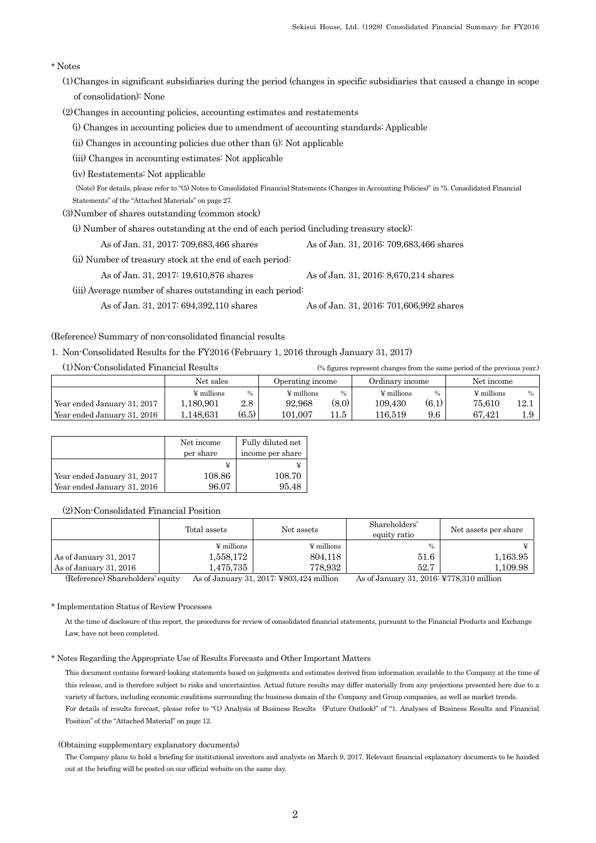## \* Notes

- (1)Changes in significant subsidiaries during the period (changes in specific subsidiaries that caused a change in scope of consolidation): None
- (2)Changes in accounting policies, accounting estimates and restatements
	- (i) Changes in accounting policies due to amendment of accounting standards: Applicable
	- (ii) Changes in accounting policies due other than (i): Not applicable
	- (iii) Changes in accounting estimates: Not applicable
	- (iv) Restatements: Not applicable

 (Note) For details, please refer to "(5) Notes to Consolidated Financial Statements (Changes in Accounting Policies)" in "5. Consolidated Financial Statements" of the "Attached Materials" on page 27.

(3)Number of shares outstanding (common stock)

(i) Number of shares outstanding at the end of each period (including treasury stock):

As of Jan. 31, 2017: 709,683,466 shares As of Jan. 31, 2016: 709,683,466 shares

(ii) Number of treasury stock at the end of each period:

As of Jan. 31, 2017: 19,610,876 shares As of Jan. 31, 2016: 8,670,214 shares

(iii) Average number of shares outstanding in each period:

As of Jan. 31, 2017: 694,392,110 shares As of Jan. 31, 2016: 701,606,992 shares

## (Reference) Summary of non-consolidated financial results

## 1. Non-Consolidated Results for the FY2016 (February 1, 2016 through January 31, 2017)

| (1) Non-Consolidated Financial Results |                 |               |                  |               | (% figures represent changes from the same period of the previous year.) |               |                 |               |
|----------------------------------------|-----------------|---------------|------------------|---------------|--------------------------------------------------------------------------|---------------|-----------------|---------------|
|                                        | Net sales       |               | Operating income |               | Ordinary income                                                          |               | Net income      |               |
|                                        | $\Psi$ millions | $\frac{0}{0}$ | $\Psi$ millions  | $\frac{0}{0}$ | $\Psi$ millions                                                          | $\frac{0}{0}$ | $\Psi$ millions | $\frac{0}{0}$ |
| Year ended January 31, 2017            | 1,180,901       | $2.8\,$       | 92.968           | (8.0)         | 109.430                                                                  | (6.1)         | 75.610          | 12.1          |

Year ended January 31, 2016 | 1,148,631 (6.5) 101,007 11.5 | 116,519 9.6 | 67,421 1.9

|                             | Net income<br>per share | Fully diluted net<br>income per share |
|-----------------------------|-------------------------|---------------------------------------|
|                             | ¥                       |                                       |
| Year ended January 31, 2017 | 108.86                  | 108.70                                |
| Year ended January 31, 2016 | 96.07                   | 95.48                                 |

## (2)Non-Consolidated Financial Position

|                        | Total assets           | Net assets             | Shareholders'<br>equity ratio | Net assets per share |
|------------------------|------------------------|------------------------|-------------------------------|----------------------|
|                        | $\frac{1}{2}$ millions | $\frac{1}{2}$ millions | $\frac{0}{0}$                 |                      |
| As of January 31, 2017 | 1,558,172              | 804.118                | 51.6                          | 1,163.95             |
| As of January 31, 2016 | 1,475,735              | 778.932                | 52.7                          | 1,109.98             |

(Reference) Shareholders' equity As of January 31, 2017: ¥803,424 million As of January 31, 2016: ¥778,310 million

## \* Implementation Status of Review Processes

At the time of disclosure of this report, the procedures for review of consolidated financial statements, pursuant to the Financial Products and Exchange Law, have not been completed.

#### \* Notes Regarding the Appropriate Use of Results Forecasts and Other Important Matters

This document contains forward-looking statements based on judgments and estimates derived from information available to the Company at the time of this release, and is therefore subject to risks and uncertainties. Actual future results may differ materially from any projections presented here due to a variety of factors, including economic conditions surrounding the business domain of the Company and Group companies, as well as market trends. For details of results forecast, please refer to "(1) Analysis of Business Results (Future Outlook)" of "1. Analyses of Business Results and Financial Position" of the "Attached Material" on page 12.

#### (Obtaining supplementary explanatory documents)

The Company plans to hold a briefing for institutional investors and analysts on March 9, 2017. Relevant financial explanatory documents to be handed out at the briefing will be posted on our official website on the same day.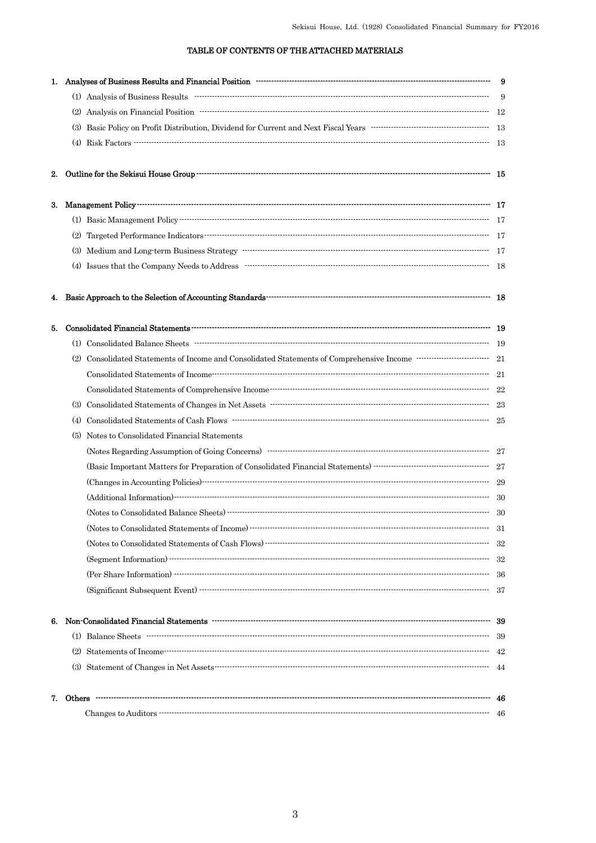## TABLE OF CONTENTS OF THE ATTACHED MATERIALS

|    | 1. Analyses of Business Results and Financial Position manufactured continuum contract and generalized and Sinancial Position manufactured continuum and generalized and Sinancial Position manufactured and generalized and s                                                                                                                                                                                                                                                           |      |
|----|------------------------------------------------------------------------------------------------------------------------------------------------------------------------------------------------------------------------------------------------------------------------------------------------------------------------------------------------------------------------------------------------------------------------------------------------------------------------------------------|------|
|    | $(1)$ Analysis of Business Results $\cdots$                                                                                                                                                                                                                                                                                                                                                                                                                                              | - 9  |
|    |                                                                                                                                                                                                                                                                                                                                                                                                                                                                                          |      |
|    |                                                                                                                                                                                                                                                                                                                                                                                                                                                                                          |      |
|    |                                                                                                                                                                                                                                                                                                                                                                                                                                                                                          |      |
| 2. |                                                                                                                                                                                                                                                                                                                                                                                                                                                                                          |      |
|    |                                                                                                                                                                                                                                                                                                                                                                                                                                                                                          |      |
|    |                                                                                                                                                                                                                                                                                                                                                                                                                                                                                          |      |
|    |                                                                                                                                                                                                                                                                                                                                                                                                                                                                                          |      |
|    |                                                                                                                                                                                                                                                                                                                                                                                                                                                                                          |      |
|    |                                                                                                                                                                                                                                                                                                                                                                                                                                                                                          |      |
| 4. |                                                                                                                                                                                                                                                                                                                                                                                                                                                                                          |      |
| 5. |                                                                                                                                                                                                                                                                                                                                                                                                                                                                                          |      |
|    |                                                                                                                                                                                                                                                                                                                                                                                                                                                                                          |      |
|    |                                                                                                                                                                                                                                                                                                                                                                                                                                                                                          |      |
|    |                                                                                                                                                                                                                                                                                                                                                                                                                                                                                          |      |
|    |                                                                                                                                                                                                                                                                                                                                                                                                                                                                                          |      |
|    |                                                                                                                                                                                                                                                                                                                                                                                                                                                                                          |      |
|    |                                                                                                                                                                                                                                                                                                                                                                                                                                                                                          |      |
|    | (5) Notes to Consolidated Financial Statements                                                                                                                                                                                                                                                                                                                                                                                                                                           |      |
|    |                                                                                                                                                                                                                                                                                                                                                                                                                                                                                          |      |
|    |                                                                                                                                                                                                                                                                                                                                                                                                                                                                                          |      |
|    |                                                                                                                                                                                                                                                                                                                                                                                                                                                                                          |      |
|    |                                                                                                                                                                                                                                                                                                                                                                                                                                                                                          |      |
|    |                                                                                                                                                                                                                                                                                                                                                                                                                                                                                          |      |
|    | $\label{thm:1} \mbox{(Notes to Consolidated Statements of Income)} \begin{minipage}{0.9\linewidth} \label{thm:1} \mbox{``Consolidated Statements of Income)} \begin{minipage}{0.9\linewidth} \vspace{-0.5cm} \begin{minipage}{0.9\linewidth} \vspace{-0.5cm} \vspace{-0.5cm} \vspace{-0.5cm} \vspace{-0.5cm} \vspace{-0.5cm} \vspace{-0.5cm} \vspace{-0.5cm} \vspace{-0.5cm} \vspace{-0.5cm} \vspace{-0.5cm} \vspace{-0.5cm} \vspace{-0.5cm} \vspace{-0.5cm} \vspace{-0.5cm} \vspace{-0$ | -31  |
|    |                                                                                                                                                                                                                                                                                                                                                                                                                                                                                          | -32  |
|    |                                                                                                                                                                                                                                                                                                                                                                                                                                                                                          | -32  |
|    |                                                                                                                                                                                                                                                                                                                                                                                                                                                                                          | - 36 |
|    |                                                                                                                                                                                                                                                                                                                                                                                                                                                                                          |      |
|    |                                                                                                                                                                                                                                                                                                                                                                                                                                                                                          |      |
|    |                                                                                                                                                                                                                                                                                                                                                                                                                                                                                          | - 39 |
|    |                                                                                                                                                                                                                                                                                                                                                                                                                                                                                          |      |
|    |                                                                                                                                                                                                                                                                                                                                                                                                                                                                                          |      |
| 7. |                                                                                                                                                                                                                                                                                                                                                                                                                                                                                          |      |
|    |                                                                                                                                                                                                                                                                                                                                                                                                                                                                                          |      |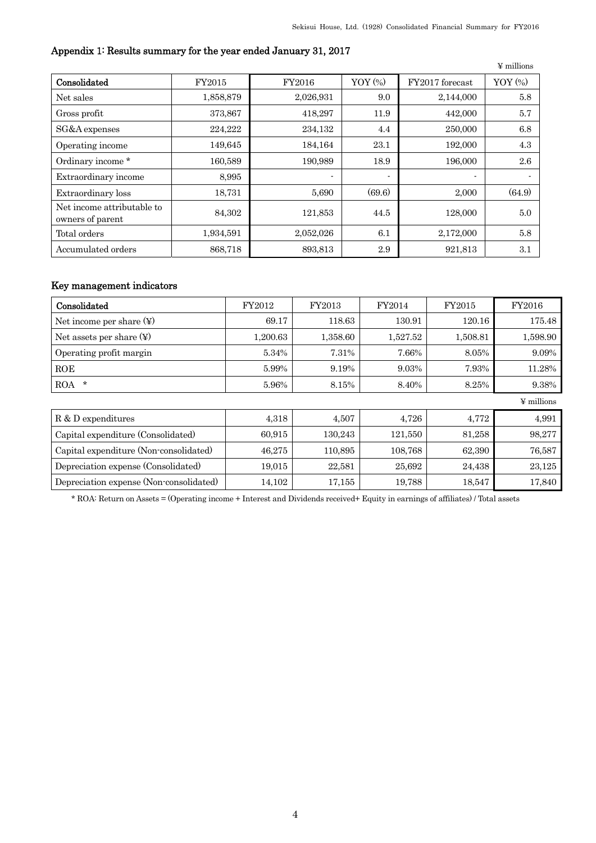|                                                |           |           |                          |                 | $\Psi$ millions |
|------------------------------------------------|-----------|-----------|--------------------------|-----------------|-----------------|
| Consolidated                                   | FY2015    | FY2016    | YOY $(\%)$               | FY2017 forecast | YOY (%)         |
| Net sales                                      | 1,858,879 | 2,026,931 | 9.0                      | 2,144,000       | 5.8             |
| Gross profit                                   | 373,867   | 418,297   | 11.9                     | 442,000         | 5.7             |
| SG&A expenses                                  | 224,222   | 234,132   | 4.4                      | 250,000         | 6.8             |
| Operating income                               | 149,645   | 184,164   | 23.1                     | 192,000         | 4.3             |
| Ordinary income *                              | 160,589   | 190,989   | 18.9                     | 196,000         | 2.6             |
| Extraordinary income                           | 8,995     | ۰.        | $\overline{\phantom{a}}$ |                 | ٠               |
| Extraordinary loss                             | 18,731    | 5,690     | (69.6)                   | 2,000           | (64.9)          |
| Net income attributable to<br>owners of parent | 84,302    | 121,853   | 44.5                     | 128,000         | 5.0             |
| Total orders                                   | 1,934,591 | 2,052,026 | 6.1                      | 2,172,000       | 5.8             |
| Accumulated orders                             | 868,718   | 893,813   | 2.9                      | 921,813         | 3.1             |

# Appendix 1: Results summary for the year ended January 31, 2017

## Key management indicators

| Consolidated                            | FY2012   | FY2013   | FY2014   | FY2015   | FY2016          |
|-----------------------------------------|----------|----------|----------|----------|-----------------|
|                                         | 69.17    | 118.63   | 130.91   | 120.16   | 175.48          |
| Net assets per share $(\Psi)$           | 1,200.63 | 1,358.60 | 1,527.52 | 1,508.81 | 1,598.90        |
| Operating profit margin                 | 5.34%    | 7.31%    | 7.66%    | 8.05%    | 9.09%           |
| <b>ROE</b>                              | 5.99%    | 9.19%    | 9.03%    | 7.93%    | 11.28%          |
| $\star$<br>ROA                          | 5.96%    | 8.15%    | 8.40%    | 8.25%    | 9.38%           |
|                                         |          |          |          |          | $\Psi$ millions |
| R & D expenditures                      | 4,318    | 4,507    | 4,726    | 4,772    | 4,991           |
| Capital expenditure (Consolidated)      | 60,915   | 130,243  | 121,550  | 81,258   | 98,277          |
| Capital expenditure (Non-consolidated)  | 46,275   | 110,895  | 108,768  | 62,390   | 76,587          |
| Depreciation expense (Consolidated)     | 19,015   | 22,581   | 25,692   | 24,438   | 23,125          |
| Depreciation expense (Non-consolidated) | 14,102   | 17,155   | 19,788   | 18,547   | 17,840          |

\* ROA: Return on Assets = (Operating income + Interest and Dividends received+ Equity in earnings of affiliates) / Total assets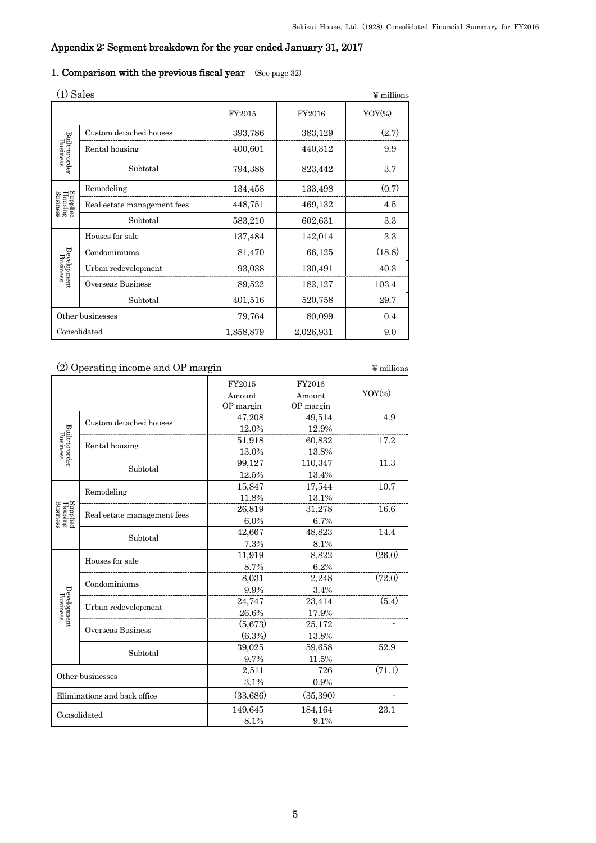# Appendix 2: Segment breakdown for the year ended January 31, 2017

# 1. Comparison with the previous fiscal year (See page 32)

| (1) Sales                         |                             |           | $\Psi$ millions |                      |
|-----------------------------------|-----------------------------|-----------|-----------------|----------------------|
|                                   |                             | FY2015    | FY2016          | $YOY$ <sup>(%)</sup> |
|                                   | Custom detached houses      | 393,786   | 383,129         | (2.7)                |
|                                   | Rental housing              | 400,601   | 440,312         | 9.9                  |
| Built-to-order<br>Business        | Subtotal                    | 794,388   | 823,442         | 3.7                  |
| Supplied<br>Housing<br>Business   | Remodeling                  | 134,458   | 133,498         | (0.7)                |
|                                   | Real estate management fees | 448,751   | 469,132         | 4.5                  |
|                                   | Subtotal                    | 583,210   | 602,631         | 3.3                  |
|                                   | Houses for sale             | 137,484   | 142,014         | 3.3                  |
|                                   | Condominiums                | 81,470    | 66,125          | (18.8)               |
| ${\bf Development\atop Business}$ | Urban redevelopment         | 93,038    | 130,491         | 40.3                 |
|                                   | Overseas Business           | 89,522    | 182,127         | 103.4                |
|                                   | Subtotal                    | 401,516   | 520,758         | 29.7                 |
| Other businesses                  |                             | 79,764    | 80,099          | 0.4                  |
|                                   | Consolidated                | 1,858,879 | 2,026,931       | 9.0                  |

| (2) Operating income and OP margin |                              |                     |                     | ¥ millions |
|------------------------------------|------------------------------|---------------------|---------------------|------------|
|                                    |                              | FY2015              | FY2016              |            |
|                                    |                              | Amount<br>OP margin | Amount<br>OP margin | $YOY$ (%)  |
|                                    | Custom detached houses       | 47,208              | 49,514              | 4.9        |
| Built-to-order<br>Business         |                              | 12.0%               | 12.9%               |            |
|                                    | Rental housing               | 51,918              | 60,832              | 17.2       |
|                                    |                              | 13.0%               | 13.8%               |            |
|                                    | Subtotal                     | 99,127              | 110,347             | 11.3       |
|                                    |                              | 12.5%               | 13.4%               |            |
|                                    | Remodeling                   | 15,847              | 17,544              | 10.7       |
|                                    |                              | 11.8%               | 13.1%               |            |
|                                    | Real estate management fees  | 26,819              | 31,278              | 16.6       |
| Supplied<br>Housing<br>Business    |                              | 6.0%                | 6.7%                |            |
|                                    | Subtotal                     | 42,667              | 48,823              | 14.4       |
|                                    |                              | 7.3%                | 8.1%                |            |
|                                    | Houses for sale              | 11,919              | 8,822               | (26.0)     |
|                                    |                              | 8.7%                | 6.2%                |            |
|                                    | Condominiums                 | 8,031               | 2,248               | (72.0)     |
| Development<br>Business            |                              | 9.9%                | 3.4%                |            |
|                                    | Urban redevelopment          | 24,747              | 23,414              | (5.4)      |
|                                    |                              | 26.6%               | 17.9%               |            |
|                                    | Overseas Business            | (5,673)             | 25,172              |            |
|                                    |                              | (6.3%)              | 13.8%               |            |
|                                    | Subtotal                     | 39,025              | 59,658              | 52.9       |
|                                    |                              | 9.7%                | 11.5%               |            |
|                                    | Other businesses             | 2,511               | 726                 | (71.1)     |
|                                    |                              | 3.1%                | 0.9%                |            |
|                                    | Eliminations and back office | (33,686)            | (35,390)            |            |
|                                    | Consolidated                 | 149,645             | 184,164             | 23.1       |
|                                    |                              | 8.1%                | 9.1%                |            |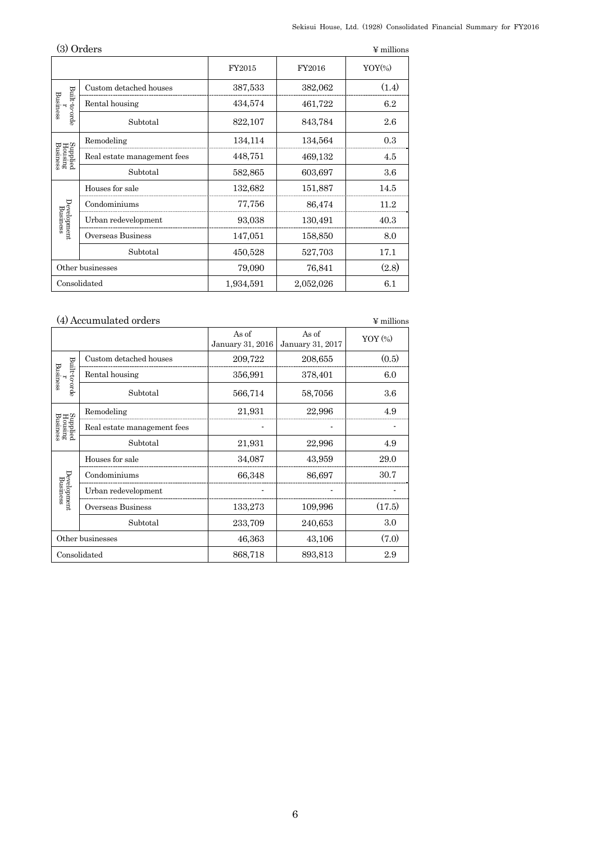|                                 | (3) Orders                  |           |           | $\Psi$ millions      |
|---------------------------------|-----------------------------|-----------|-----------|----------------------|
|                                 |                             | FY2015    | FY2016    | $YOY$ <sup>(%)</sup> |
|                                 | Custom detached houses      | 387,533   | 382,062   | (1.4)                |
| Built-to-orde<br>Business       | Rental housing              | 434,574   | 461,722   | 6.2                  |
|                                 | Subtotal                    | 822,107   | 843,784   | 2.6                  |
|                                 | Remodeling                  | 134,114   | 134,564   | 0.3                  |
| Supplied<br>Housing<br>Business | Real estate management fees | 448,751   | 469,132   | 4.5                  |
|                                 | Subtotal                    | 582,865   | 603,697   | 3.6                  |
|                                 | Houses for sale             | 132,682   | 151,887   | 14.5                 |
|                                 | Condominiums                | 77,756    | 86,474    | 11.2                 |
| Development<br>Business         | Urban redevelopment         | 93,038    | 130,491   | 40.3                 |
|                                 | Overseas Business           | 147,051   | 158,850   | 8.0                  |
|                                 | Subtotal                    | 450,528   | 527,703   | 17.1                 |
|                                 | Other businesses            | 79,090    | 76,841    | (2.8)                |
|                                 | Consolidated                | 1,934,591 | 2,052,026 | 6.1                  |

# (4) Accumulated orders  $$\mathfrak{Y}$$  millions

|                                 |                             | As of<br>January 31, 2016 | As of<br>January 31, 2017 | $YOY$ $(*)$ |
|---------------------------------|-----------------------------|---------------------------|---------------------------|-------------|
|                                 | Custom detached houses      | 209,722                   | 208,655                   | (0.5)       |
| Built-to-orde<br>Business       | Rental housing              | 356,991                   | 378,401                   | 6.0         |
|                                 | Subtotal                    | 566,714                   | 58,7056                   | 3.6         |
|                                 | Remodeling                  | 21,931                    | 22,996                    | 4.9         |
| Supplied<br>Housing<br>Business | Real estate management fees |                           |                           |             |
|                                 | Subtotal                    | 21,931                    | 22,996                    | 4.9         |
|                                 | Houses for sale             | 34,087                    | 43,959                    | 29.0        |
| Development<br>Business         | Condominiums                | 66,348                    | 86,697                    | 30.7        |
|                                 | Urban redevelopment         |                           |                           |             |
|                                 | Overseas Business           | 133,273                   | 109,996                   | (17.5)      |
|                                 | Subtotal                    | 233,709                   | 240,653                   | 3.0         |
|                                 | Other businesses            | 46,363                    | 43,106                    | (7.0)       |
|                                 | Consolidated                | 868,718                   | 893,813                   | 2.9         |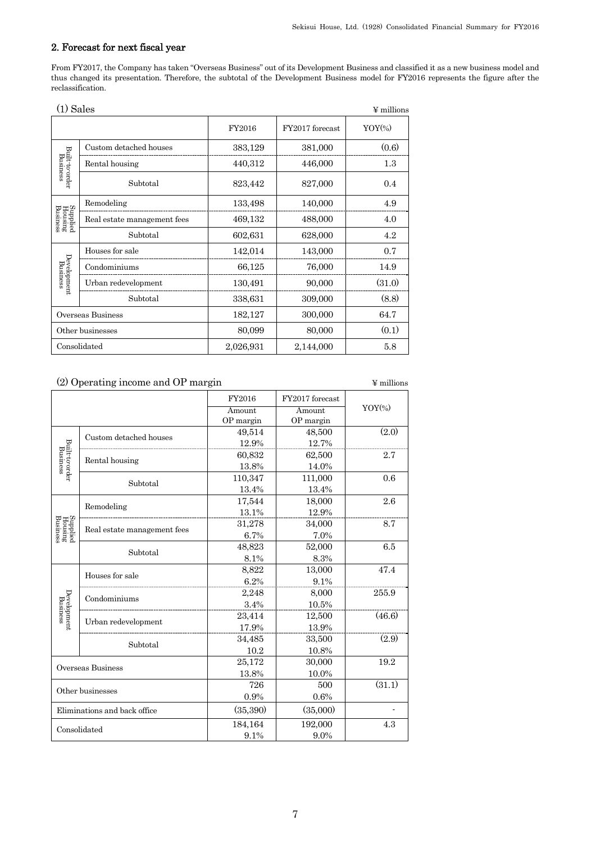## 2. Forecast for next fiscal year

From FY2017, the Company has taken "Overseas Business" out of its Development Business and classified it as a new business model and thus changed its presentation. Therefore, the subtotal of the Development Business model for FY2016 represents the figure after the reclassification.

| $(1)$ Sales                     |                             |           |                 | $\Psi$ millions |
|---------------------------------|-----------------------------|-----------|-----------------|-----------------|
|                                 |                             | FY2016    | FY2017 forecast | $YOY\%$         |
|                                 | Custom detached houses      | 383,129   | 381,000         | (0.6)           |
|                                 | Rental housing              | 440,312   | 446,000         | 1.3             |
| Built-to-order<br>Business      | Subtotal                    | 823,442   | 827,000         | 0.4             |
|                                 | Remodeling                  | 133,498   | 140,000         | 4.9             |
| Supplied<br>Housing<br>Business | Real estate management fees | 469,132   | 488,000         | 4.0             |
|                                 | Subtotal                    | 602,631   | 628,000         | 4.2             |
|                                 | Houses for sale             | 142,014   | 143,000         | 0.7             |
| Development<br>Business         | Condominiums                | 66,125    | 76,000          | 14.9            |
|                                 | Urban redevelopment         | 130,491   | 90,000          | (31.0)          |
|                                 | Subtotal                    | 338,631   | 309,000         | (8.8)           |
|                                 | Overseas Business           | 182,127   | 300,000         | 64.7            |
|                                 | Other businesses            | 80,099    | 80,000          | (0.1)           |
|                                 | Consolidated                | 2,026,931 | 2,144,000       | 5.8             |

## (2) Operating income and OP margin  $\qquad$   $\qquad$   $\qquad$   $\qquad$   $\qquad$   $\qquad$   $\qquad$   $\qquad$   $\qquad$   $\qquad$   $\qquad$   $\qquad$   $\qquad$   $\qquad$   $\qquad$   $\qquad$   $\qquad$   $\qquad$   $\qquad$   $\qquad$   $\qquad$   $\qquad$   $\qquad$   $\qquad$   $\qquad$   $\qquad$   $\qquad$   $\qquad$   $\qquad$   $\qquad$   $\qquad$

|                                 |                              | FY2016    | FY2017 forecast |           |
|---------------------------------|------------------------------|-----------|-----------------|-----------|
|                                 |                              | Amount    | Amount          | $YOY$ (%) |
|                                 |                              | OP margin | OP margin       |           |
|                                 | Custom detached houses       | 49,514    | 48,500          | (2.0)     |
|                                 |                              | 12.9%     | 12.7%           |           |
|                                 |                              | 60,832    | 62,500          | 2.7       |
|                                 | Rental housing               | 13.8%     | 14.0%           |           |
| Built-to-order<br>Business      |                              | 110,347   | 111,000         | 0.6       |
|                                 | Subtotal                     | 13.4%     | 13.4%           |           |
|                                 |                              | 17,544    | 18,000          | 2.6       |
|                                 | Remodeling                   | 13.1%     | 12.9%           |           |
|                                 |                              | 31,278    | 34,000          | 8.7       |
| Supplied<br>Housing<br>Business | Real estate management fees  | 6.7%      | 7.0%            |           |
|                                 |                              | 48,823    | 52,000          | 6.5       |
|                                 | Subtotal                     | 8.1%      | 8.3%            |           |
|                                 | Houses for sale              | 8,822     | 13,000          | 47.4      |
|                                 |                              | 6.2%      | 9.1%            |           |
|                                 |                              | 2,248     | 8,000           | 255.9     |
|                                 | Condominiums                 | 3.4%      | 10.5%           |           |
| Development<br>Business         |                              | 23,414    | 12,500          | (46.6)    |
|                                 | Urban redevelopment          | 17.9%     | 13.9%           |           |
|                                 |                              | 34,485    | 33,500          | (2.9)     |
|                                 | Subtotal                     | 10.2      | 10.8%           |           |
|                                 |                              | 25,172    | 30,000          | 19.2      |
| Overseas Business               |                              | 13.8%     | 10.0%           |           |
|                                 |                              | 726       | 500             | (31.1)    |
|                                 | Other businesses             | 0.9%      | 0.6%            |           |
|                                 | Eliminations and back office | (35, 390) | (35,000)        |           |
|                                 | Consolidated                 | 184,164   | 192,000         | 4.3       |
|                                 |                              | 9.1%      | 9.0%            |           |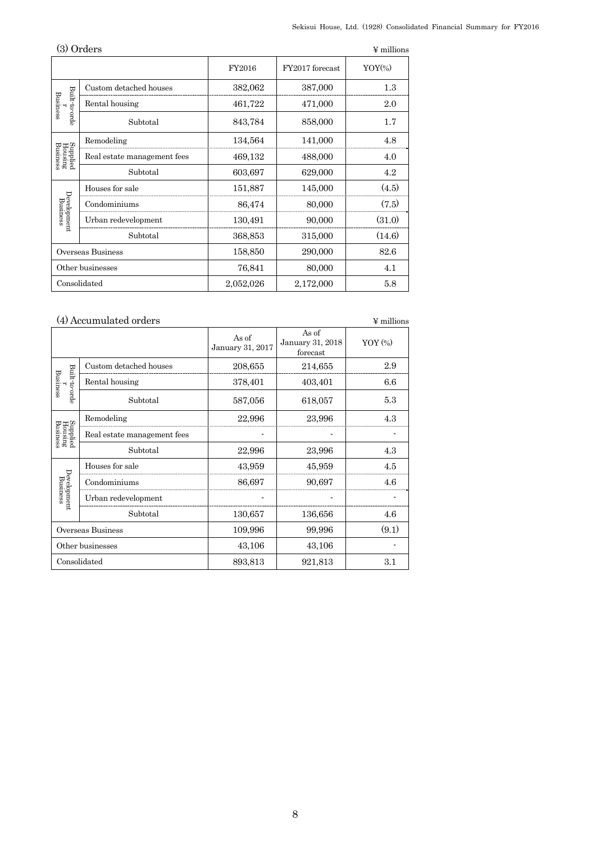|                                 | (3) Orders                  |           |                 | $\Psi$ millions |
|---------------------------------|-----------------------------|-----------|-----------------|-----------------|
|                                 |                             | FY2016    | FY2017 forecast | $YOY$ (%)       |
|                                 | Custom detached houses      | 382,062   | 387,000         | 1.3             |
| Built-to-orde<br>Business       | Rental housing              | 461,722   | 471,000         | 2.0             |
|                                 | Subtotal                    | 843,784   | 858,000         | 1.7             |
|                                 | Remodeling                  | 134,564   | 141,000         | 4.8             |
| Supplied<br>Housing<br>Business | Real estate management fees | 469,132   | 488,000         | 4.0             |
|                                 | Subtotal                    | 603,697   | 629,000         | 4.2             |
|                                 | Houses for sale             | 151,887   | 145,000         | (4.5)           |
| Development<br>Business         | Condominiums                | 86,474    | 80,000          | (7.5)           |
|                                 | Urban redevelopment         | 130,491   | 90,000          | (31.0)          |
|                                 | Subtotal                    | 368,853   | 315,000         | (14.6)          |
|                                 | Overseas Business           | 158,850   | 290,000         | 82.6            |
|                                 | Other businesses            | 76,841    | 80,000          | 4.1             |
|                                 | Consolidated                | 2,052,026 | 2,172,000       | 5.8             |

## (4) Accumulated orders  $$\mathfrak{Y}$$  millions

|                                 |                             | As of<br>January 31, 2017 | As of<br>January 31, 2018<br>forecast | $YOY$ $(*)$ |
|---------------------------------|-----------------------------|---------------------------|---------------------------------------|-------------|
|                                 | Custom detached houses      | 208,655                   | 214,655                               | 2.9         |
| Built-to-orde<br>Business       | Rental housing              | 378,401                   | 403,401                               | 6.6         |
|                                 | Subtotal                    | 587,056                   | 618,057                               | 5.3         |
|                                 | Remodeling                  | 22,996                    | 23,996                                | 4.3         |
| Supplied<br>Housing<br>Business | Real estate management fees |                           |                                       |             |
|                                 | Subtotal                    | 22,996                    | 23,996                                | 4.3         |
|                                 | Houses for sale             | 43,959                    | 45,959                                | 4.5         |
| Development<br>Business         | Condominiums                | 86,697                    | 90,697                                | 4.6         |
|                                 | Urban redevelopment         |                           |                                       |             |
|                                 | Subtotal                    | 130,657                   | 136,656                               | 4.6         |
|                                 | Overseas Business           | 109,996                   | 99,996                                | (9.1)       |
| Other businesses                |                             | 43,106                    | 43,106                                |             |
|                                 | Consolidated                | 893,813                   | 921,813                               | 3.1         |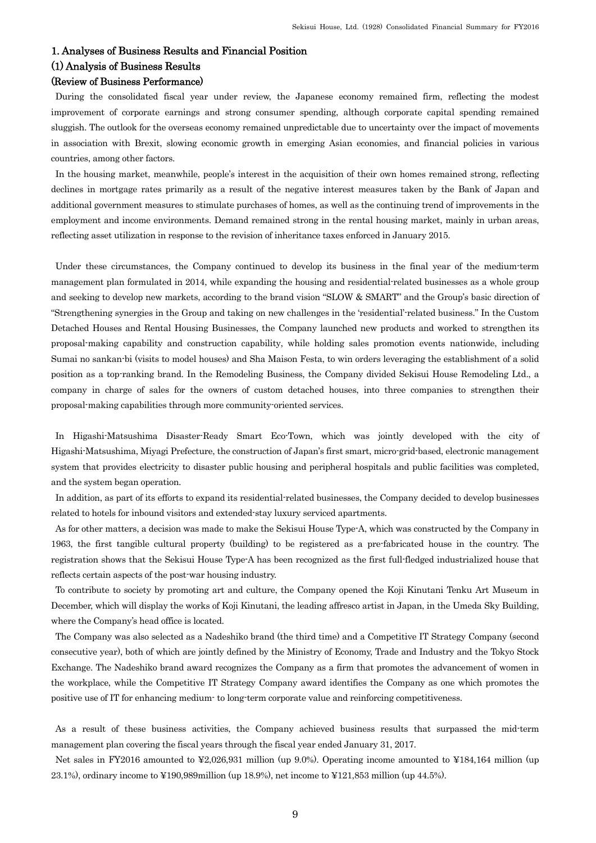## 1. Analyses of Business Results and Financial Position

## (1) Analysis of Business Results

## (Review of Business Performance)

During the consolidated fiscal year under review, the Japanese economy remained firm, reflecting the modest improvement of corporate earnings and strong consumer spending, although corporate capital spending remained sluggish. The outlook for the overseas economy remained unpredictable due to uncertainty over the impact of movements in association with Brexit, slowing economic growth in emerging Asian economies, and financial policies in various countries, among other factors.

In the housing market, meanwhile, people's interest in the acquisition of their own homes remained strong, reflecting declines in mortgage rates primarily as a result of the negative interest measures taken by the Bank of Japan and additional government measures to stimulate purchases of homes, as well as the continuing trend of improvements in the employment and income environments. Demand remained strong in the rental housing market, mainly in urban areas, reflecting asset utilization in response to the revision of inheritance taxes enforced in January 2015.

Under these circumstances, the Company continued to develop its business in the final year of the medium-term management plan formulated in 2014, while expanding the housing and residential-related businesses as a whole group and seeking to develop new markets, according to the brand vision "SLOW & SMART" and the Group's basic direction of "Strengthening synergies in the Group and taking on new challenges in the 'residential'-related business." In the Custom Detached Houses and Rental Housing Businesses, the Company launched new products and worked to strengthen its proposal-making capability and construction capability, while holding sales promotion events nationwide, including Sumai no sankan-bi (visits to model houses) and Sha Maison Festa, to win orders leveraging the establishment of a solid position as a top-ranking brand. In the Remodeling Business, the Company divided Sekisui House Remodeling Ltd., a company in charge of sales for the owners of custom detached houses, into three companies to strengthen their proposal-making capabilities through more community-oriented services.

In Higashi-Matsushima Disaster-Ready Smart Eco-Town, which was jointly developed with the city of Higashi-Matsushima, Miyagi Prefecture, the construction of Japan's first smart, micro-grid-based, electronic management system that provides electricity to disaster public housing and peripheral hospitals and public facilities was completed, and the system began operation.

In addition, as part of its efforts to expand its residential-related businesses, the Company decided to develop businesses related to hotels for inbound visitors and extended-stay luxury serviced apartments.

As for other matters, a decision was made to make the Sekisui House Type-A, which was constructed by the Company in 1963, the first tangible cultural property (building) to be registered as a pre-fabricated house in the country. The registration shows that the Sekisui House Type-A has been recognized as the first full-fledged industrialized house that reflects certain aspects of the post-war housing industry.

To contribute to society by promoting art and culture, the Company opened the Koji Kinutani Tenku Art Museum in December, which will display the works of Koji Kinutani, the leading affresco artist in Japan, in the Umeda Sky Building, where the Company's head office is located.

The Company was also selected as a Nadeshiko brand (the third time) and a Competitive IT Strategy Company (second consecutive year), both of which are jointly defined by the Ministry of Economy, Trade and Industry and the Tokyo Stock Exchange. The Nadeshiko brand award recognizes the Company as a firm that promotes the advancement of women in the workplace, while the Competitive IT Strategy Company award identifies the Company as one which promotes the positive use of IT for enhancing medium- to long-term corporate value and reinforcing competitiveness.

As a result of these business activities, the Company achieved business results that surpassed the mid-term management plan covering the fiscal years through the fiscal year ended January 31, 2017.

Net sales in FY2016 amounted to ¥2,026,931 million (up 9.0%). Operating income amounted to ¥184,164 million (up 23.1%), ordinary income to ¥190,989million (up 18.9%), net income to ¥121,853 million (up 44.5%).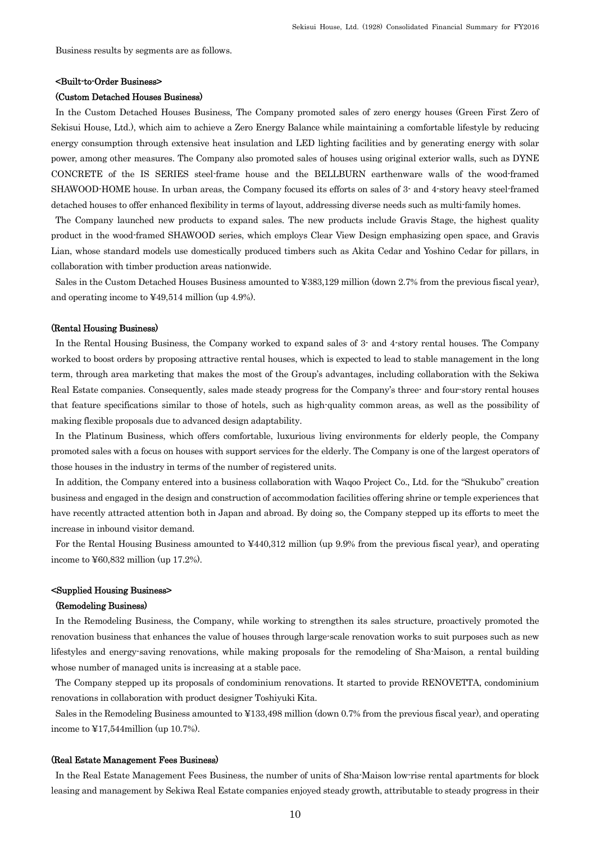Business results by segments are as follows.

#### <Built-to-Order Business>

#### (Custom Detached Houses Business)

In the Custom Detached Houses Business, The Company promoted sales of zero energy houses (Green First Zero of Sekisui House, Ltd.), which aim to achieve a Zero Energy Balance while maintaining a comfortable lifestyle by reducing energy consumption through extensive heat insulation and LED lighting facilities and by generating energy with solar power, among other measures. The Company also promoted sales of houses using original exterior walls, such as DYNE CONCRETE of the IS SERIES steel-frame house and the BELLBURN earthenware walls of the wood-framed SHAWOOD-HOME house. In urban areas, the Company focused its efforts on sales of 3- and 4-story heavy steel-framed detached houses to offer enhanced flexibility in terms of layout, addressing diverse needs such as multi-family homes.

The Company launched new products to expand sales. The new products include Gravis Stage, the highest quality product in the wood-framed SHAWOOD series, which employs Clear View Design emphasizing open space, and Gravis Lian, whose standard models use domestically produced timbers such as Akita Cedar and Yoshino Cedar for pillars, in collaboration with timber production areas nationwide.

Sales in the Custom Detached Houses Business amounted to ¥383,129 million (down 2.7% from the previous fiscal year), and operating income to ¥49,514 million (up 4.9%).

#### (Rental Housing Business)

In the Rental Housing Business, the Company worked to expand sales of 3- and 4-story rental houses. The Company worked to boost orders by proposing attractive rental houses, which is expected to lead to stable management in the long term, through area marketing that makes the most of the Group's advantages, including collaboration with the Sekiwa Real Estate companies. Consequently, sales made steady progress for the Company's three- and four-story rental houses that feature specifications similar to those of hotels, such as high-quality common areas, as well as the possibility of making flexible proposals due to advanced design adaptability.

In the Platinum Business, which offers comfortable, luxurious living environments for elderly people, the Company promoted sales with a focus on houses with support services for the elderly. The Company is one of the largest operators of those houses in the industry in terms of the number of registered units.

In addition, the Company entered into a business collaboration with Waqoo Project Co., Ltd. for the "Shukubo" creation business and engaged in the design and construction of accommodation facilities offering shrine or temple experiences that have recently attracted attention both in Japan and abroad. By doing so, the Company stepped up its efforts to meet the increase in inbound visitor demand.

For the Rental Housing Business amounted to ¥440,312 million (up 9.9% from the previous fiscal year), and operating income to  $\text{\textless}=60.832$  million (up 17.2%).

### <Supplied Housing Business>

#### (Remodeling Business)

In the Remodeling Business, the Company, while working to strengthen its sales structure, proactively promoted the renovation business that enhances the value of houses through large-scale renovation works to suit purposes such as new lifestyles and energy-saving renovations, while making proposals for the remodeling of Sha-Maison, a rental building whose number of managed units is increasing at a stable pace.

The Company stepped up its proposals of condominium renovations. It started to provide RENOVETTA, condominium renovations in collaboration with product designer Toshiyuki Kita.

Sales in the Remodeling Business amounted to ¥133,498 million (down 0.7% from the previous fiscal year), and operating income to ¥17,544million (up 10.7%).

#### (Real Estate Management Fees Business)

In the Real Estate Management Fees Business, the number of units of Sha-Maison low-rise rental apartments for block leasing and management by Sekiwa Real Estate companies enjoyed steady growth, attributable to steady progress in their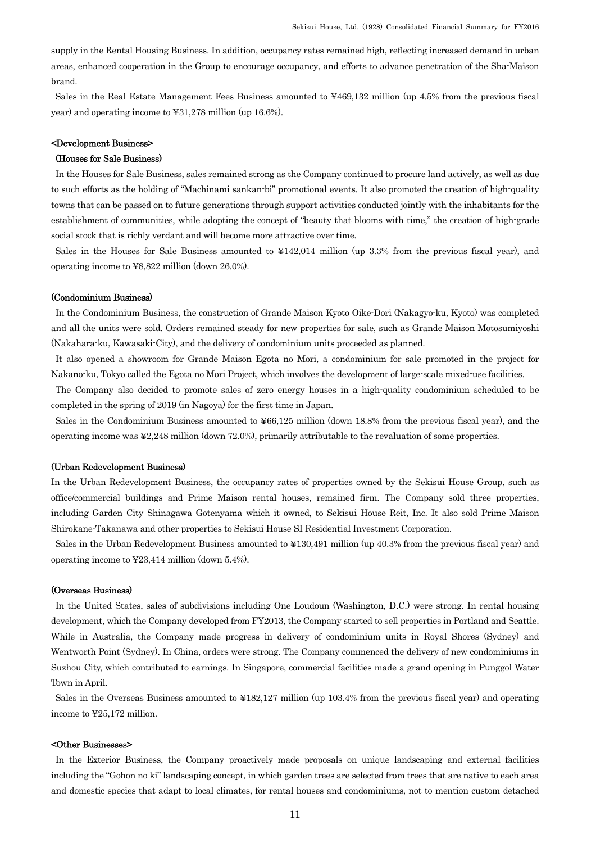supply in the Rental Housing Business. In addition, occupancy rates remained high, reflecting increased demand in urban areas, enhanced cooperation in the Group to encourage occupancy, and efforts to advance penetration of the Sha-Maison brand.

Sales in the Real Estate Management Fees Business amounted to ¥469,132 million (up 4.5% from the previous fiscal year) and operating income to ¥31,278 million (up 16.6%).

## <Development Business>

### (Houses for Sale Business)

In the Houses for Sale Business, sales remained strong as the Company continued to procure land actively, as well as due to such efforts as the holding of "Machinami sankan-bi" promotional events. It also promoted the creation of high-quality towns that can be passed on to future generations through support activities conducted jointly with the inhabitants for the establishment of communities, while adopting the concept of "beauty that blooms with time," the creation of high-grade social stock that is richly verdant and will become more attractive over time.

Sales in the Houses for Sale Business amounted to ¥142,014 million (up 3.3% from the previous fiscal year), and operating income to ¥8,822 million (down 26.0%).

#### (Condominium Business)

In the Condominium Business, the construction of Grande Maison Kyoto Oike-Dori (Nakagyo-ku, Kyoto) was completed and all the units were sold. Orders remained steady for new properties for sale, such as Grande Maison Motosumiyoshi (Nakahara-ku, Kawasaki-City), and the delivery of condominium units proceeded as planned.

It also opened a showroom for Grande Maison Egota no Mori, a condominium for sale promoted in the project for Nakano-ku, Tokyo called the Egota no Mori Project, which involves the development of large-scale mixed-use facilities.

The Company also decided to promote sales of zero energy houses in a high-quality condominium scheduled to be completed in the spring of 2019 (in Nagoya) for the first time in Japan.

Sales in the Condominium Business amounted to ¥66,125 million (down 18.8% from the previous fiscal year), and the operating income was ¥2,248 million (down 72.0%), primarily attributable to the revaluation of some properties.

## (Urban Redevelopment Business)

In the Urban Redevelopment Business, the occupancy rates of properties owned by the Sekisui House Group, such as office/commercial buildings and Prime Maison rental houses, remained firm. The Company sold three properties, including Garden City Shinagawa Gotenyama which it owned, to Sekisui House Reit, Inc. It also sold Prime Maison Shirokane-Takanawa and other properties to Sekisui House SI Residential Investment Corporation.

Sales in the Urban Redevelopment Business amounted to ¥130,491 million (up 40.3% from the previous fiscal year) and operating income to ¥23,414 million (down 5.4%).

### (Overseas Business)

In the United States, sales of subdivisions including One Loudoun (Washington, D.C.) were strong. In rental housing development, which the Company developed from FY2013, the Company started to sell properties in Portland and Seattle. While in Australia, the Company made progress in delivery of condominium units in Royal Shores (Sydney) and Wentworth Point (Sydney). In China, orders were strong. The Company commenced the delivery of new condominiums in Suzhou City, which contributed to earnings. In Singapore, commercial facilities made a grand opening in Punggol Water Town in April.

Sales in the Overseas Business amounted to ¥182,127 million (up 103.4% from the previous fiscal year) and operating income to ¥25,172 million.

### <Other Businesses>

In the Exterior Business, the Company proactively made proposals on unique landscaping and external facilities including the "Gohon no ki" landscaping concept, in which garden trees are selected from trees that are native to each area and domestic species that adapt to local climates, for rental houses and condominiums, not to mention custom detached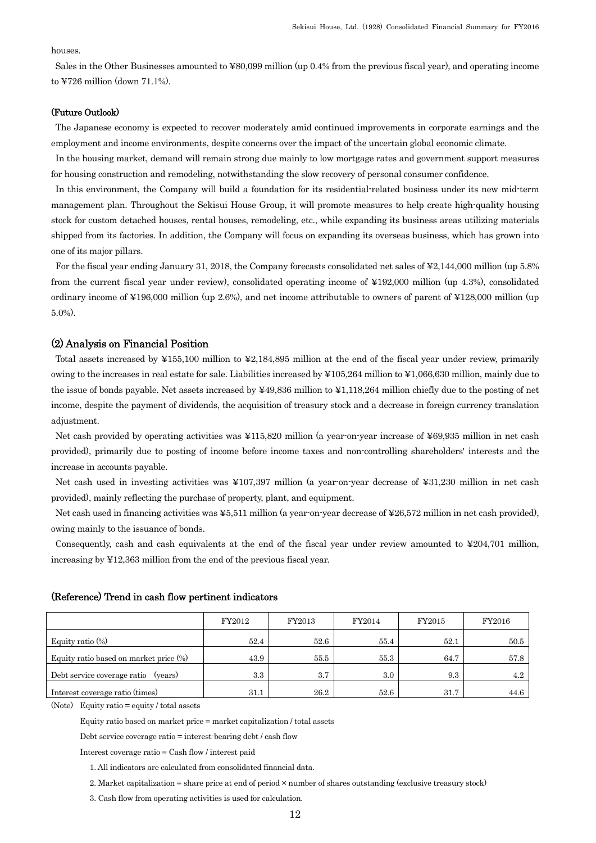### houses.

Sales in the Other Businesses amounted to ¥80,099 million (up 0.4% from the previous fiscal year), and operating income to ¥726 million (down 71.1%).

### (Future Outlook)

The Japanese economy is expected to recover moderately amid continued improvements in corporate earnings and the employment and income environments, despite concerns over the impact of the uncertain global economic climate.

In the housing market, demand will remain strong due mainly to low mortgage rates and government support measures for housing construction and remodeling, notwithstanding the slow recovery of personal consumer confidence.

In this environment, the Company will build a foundation for its residential-related business under its new mid-term management plan. Throughout the Sekisui House Group, it will promote measures to help create high-quality housing stock for custom detached houses, rental houses, remodeling, etc., while expanding its business areas utilizing materials shipped from its factories. In addition, the Company will focus on expanding its overseas business, which has grown into one of its major pillars.

For the fiscal year ending January 31, 2018, the Company forecasts consolidated net sales of ¥2,144,000 million (up 5.8% from the current fiscal year under review), consolidated operating income of ¥192,000 million (up 4.3%), consolidated ordinary income of ¥196,000 million (up 2.6%), and net income attributable to owners of parent of ¥128,000 million (up 5.0%).

## (2) Analysis on Financial Position

Total assets increased by ¥155,100 million to ¥2,184,895 million at the end of the fiscal year under review, primarily owing to the increases in real estate for sale. Liabilities increased by ¥105,264 million to ¥1,066,630 million, mainly due to the issue of bonds payable. Net assets increased by ¥49,836 million to ¥1,118,264 million chiefly due to the posting of net income, despite the payment of dividends, the acquisition of treasury stock and a decrease in foreign currency translation adjustment.

Net cash provided by operating activities was ¥115,820 million (a year-on-year increase of ¥69,935 million in net cash provided), primarily due to posting of income before income taxes and non-controlling shareholders' interests and the increase in accounts payable.

Net cash used in investing activities was ¥107,397 million (a year-on-year decrease of ¥31,230 million in net cash provided), mainly reflecting the purchase of property, plant, and equipment.

Net cash used in financing activities was ¥5,511 million (a year-on-year decrease of ¥26,572 million in net cash provided), owing mainly to the issuance of bonds.

Consequently, cash and cash equivalents at the end of the fiscal year under review amounted to ¥204,701 million, increasing by ¥12,363 million from the end of the previous fiscal year.

|                                           | FY2012 | FY2013 | FY2014 | FY2015 | FY2016 |
|-------------------------------------------|--------|--------|--------|--------|--------|
| Equity ratio $(\%)$                       | 52.4   | 52.6   | 55.4   | 52.1   | 50.5   |
| Equity ratio based on market price $(\%)$ | 43.9   | 55.5   | 55.3   | 64.7   | 57.8   |
| Debt service coverage ratio<br>(years)    | 3.3    | 3.7    | 3.0    | 9.3    | 4.2    |
| Interest coverage ratio (times)           | 31.1   | 26.2   | 52.6   | 31.7   | 44.6   |

## (Reference) Trend in cash flow pertinent indicators

(Note) Equity ratio = equity / total assets

Equity ratio based on market price = market capitalization / total assets

Debt service coverage ratio = interest-bearing debt / cash flow

Interest coverage ratio = Cash flow / interest paid

1. All indicators are calculated from consolidated financial data.

2. Market capitalization = share price at end of period × number of shares outstanding (exclusive treasury stock)

3. Cash flow from operating activities is used for calculation.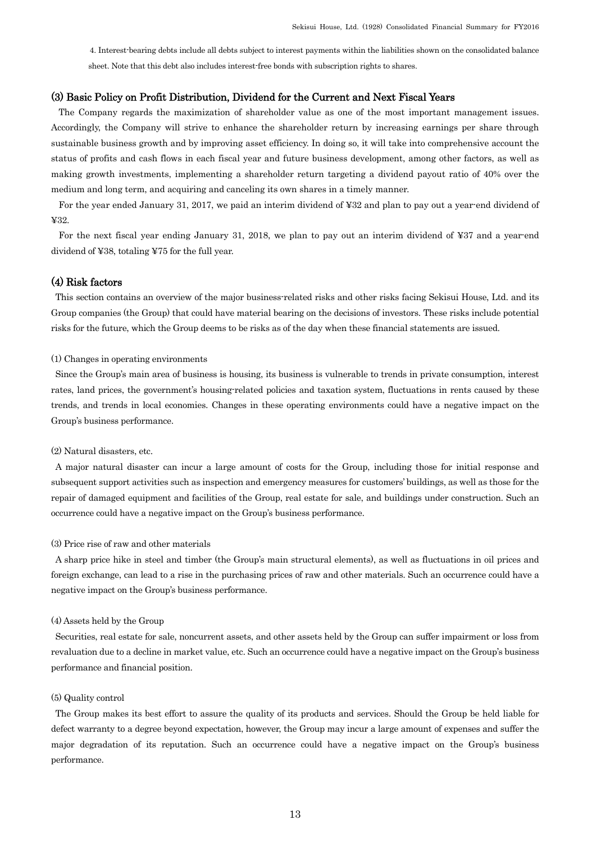4. Interest-bearing debts include all debts subject to interest payments within the liabilities shown on the consolidated balance sheet. Note that this debt also includes interest-free bonds with subscription rights to shares.

## (3) Basic Policy on Profit Distribution, Dividend for the Current and Next Fiscal Years

The Company regards the maximization of shareholder value as one of the most important management issues. Accordingly, the Company will strive to enhance the shareholder return by increasing earnings per share through sustainable business growth and by improving asset efficiency. In doing so, it will take into comprehensive account the status of profits and cash flows in each fiscal year and future business development, among other factors, as well as making growth investments, implementing a shareholder return targeting a dividend payout ratio of 40% over the medium and long term, and acquiring and canceling its own shares in a timely manner.

For the year ended January 31, 2017, we paid an interim dividend of ¥32 and plan to pay out a year-end dividend of ¥32.

For the next fiscal year ending January 31, 2018, we plan to pay out an interim dividend of ¥37 and a year-end dividend of ¥38, totaling ¥75 for the full year.

## (4) Risk factors

This section contains an overview of the major business-related risks and other risks facing Sekisui House, Ltd. and its Group companies (the Group) that could have material bearing on the decisions of investors. These risks include potential risks for the future, which the Group deems to be risks as of the day when these financial statements are issued.

#### (1) Changes in operating environments

Since the Group's main area of business is housing, its business is vulnerable to trends in private consumption, interest rates, land prices, the government's housing-related policies and taxation system, fluctuations in rents caused by these trends, and trends in local economies. Changes in these operating environments could have a negative impact on the Group's business performance.

#### (2) Natural disasters, etc.

A major natural disaster can incur a large amount of costs for the Group, including those for initial response and subsequent support activities such as inspection and emergency measures for customers' buildings, as well as those for the repair of damaged equipment and facilities of the Group, real estate for sale, and buildings under construction. Such an occurrence could have a negative impact on the Group's business performance.

#### (3) Price rise of raw and other materials

A sharp price hike in steel and timber (the Group's main structural elements), as well as fluctuations in oil prices and foreign exchange, can lead to a rise in the purchasing prices of raw and other materials. Such an occurrence could have a negative impact on the Group's business performance.

### (4) Assets held by the Group

Securities, real estate for sale, noncurrent assets, and other assets held by the Group can suffer impairment or loss from revaluation due to a decline in market value, etc. Such an occurrence could have a negative impact on the Group's business performance and financial position.

#### (5) Quality control

The Group makes its best effort to assure the quality of its products and services. Should the Group be held liable for defect warranty to a degree beyond expectation, however, the Group may incur a large amount of expenses and suffer the major degradation of its reputation. Such an occurrence could have a negative impact on the Group's business performance.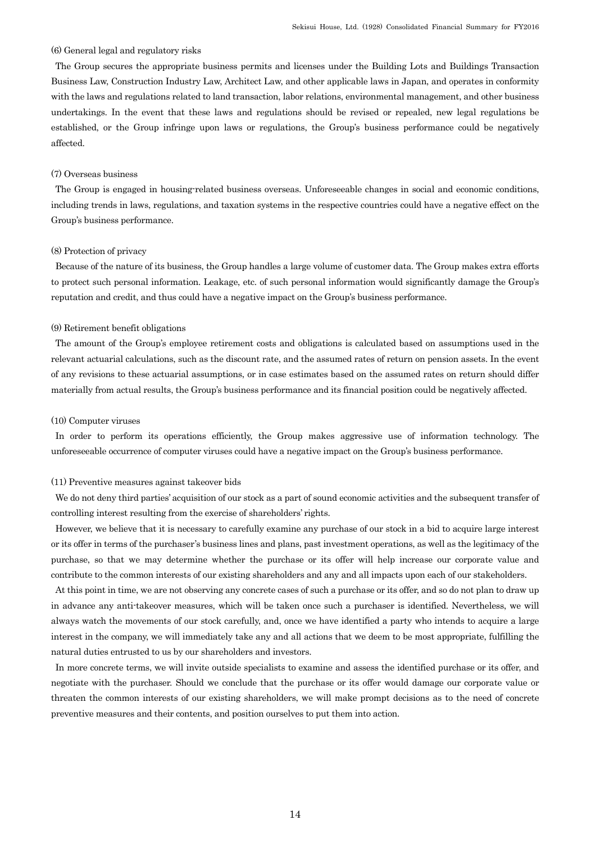#### (6) General legal and regulatory risks

The Group secures the appropriate business permits and licenses under the Building Lots and Buildings Transaction Business Law, Construction Industry Law, Architect Law, and other applicable laws in Japan, and operates in conformity with the laws and regulations related to land transaction, labor relations, environmental management, and other business undertakings. In the event that these laws and regulations should be revised or repealed, new legal regulations be established, or the Group infringe upon laws or regulations, the Group's business performance could be negatively affected.

### (7) Overseas business

The Group is engaged in housing-related business overseas. Unforeseeable changes in social and economic conditions, including trends in laws, regulations, and taxation systems in the respective countries could have a negative effect on the Group's business performance.

#### (8) Protection of privacy

Because of the nature of its business, the Group handles a large volume of customer data. The Group makes extra efforts to protect such personal information. Leakage, etc. of such personal information would significantly damage the Group's reputation and credit, and thus could have a negative impact on the Group's business performance.

#### (9) Retirement benefit obligations

The amount of the Group's employee retirement costs and obligations is calculated based on assumptions used in the relevant actuarial calculations, such as the discount rate, and the assumed rates of return on pension assets. In the event of any revisions to these actuarial assumptions, or in case estimates based on the assumed rates on return should differ materially from actual results, the Group's business performance and its financial position could be negatively affected.

### (10) Computer viruses

In order to perform its operations efficiently, the Group makes aggressive use of information technology. The unforeseeable occurrence of computer viruses could have a negative impact on the Group's business performance.

#### (11) Preventive measures against takeover bids

We do not deny third parties' acquisition of our stock as a part of sound economic activities and the subsequent transfer of controlling interest resulting from the exercise of shareholders' rights.

However, we believe that it is necessary to carefully examine any purchase of our stock in a bid to acquire large interest or its offer in terms of the purchaser's business lines and plans, past investment operations, as well as the legitimacy of the purchase, so that we may determine whether the purchase or its offer will help increase our corporate value and contribute to the common interests of our existing shareholders and any and all impacts upon each of our stakeholders.

At this point in time, we are not observing any concrete cases of such a purchase or its offer, and so do not plan to draw up in advance any anti-takeover measures, which will be taken once such a purchaser is identified. Nevertheless, we will always watch the movements of our stock carefully, and, once we have identified a party who intends to acquire a large interest in the company, we will immediately take any and all actions that we deem to be most appropriate, fulfilling the natural duties entrusted to us by our shareholders and investors.

In more concrete terms, we will invite outside specialists to examine and assess the identified purchase or its offer, and negotiate with the purchaser. Should we conclude that the purchase or its offer would damage our corporate value or threaten the common interests of our existing shareholders, we will make prompt decisions as to the need of concrete preventive measures and their contents, and position ourselves to put them into action.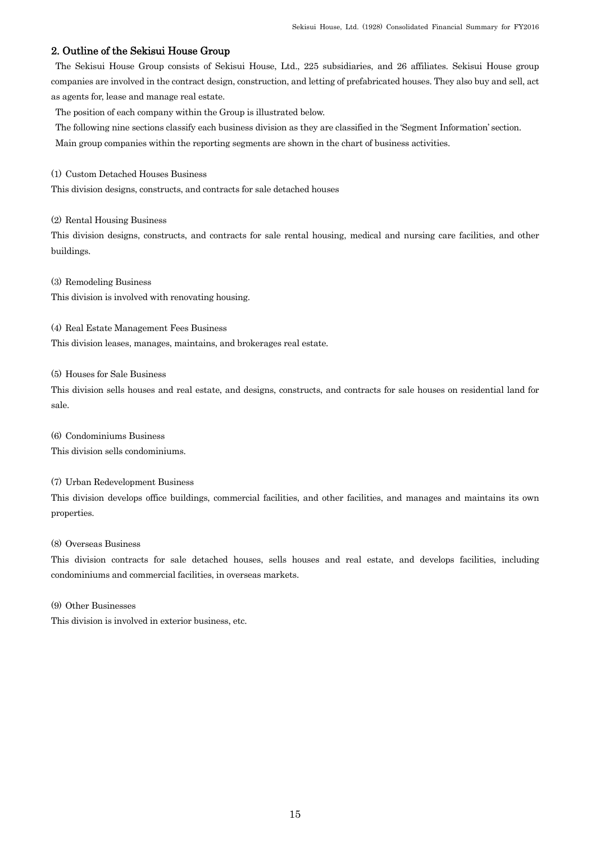## 2. Outline of the Sekisui House Group

The Sekisui House Group consists of Sekisui House, Ltd., 225 subsidiaries, and 26 affiliates. Sekisui House group companies are involved in the contract design, construction, and letting of prefabricated houses. They also buy and sell, act as agents for, lease and manage real estate.

The position of each company within the Group is illustrated below.

The following nine sections classify each business division as they are classified in the 'Segment Information' section.

Main group companies within the reporting segments are shown in the chart of business activities.

(1) Custom Detached Houses Business

This division designs, constructs, and contracts for sale detached houses

(2) Rental Housing Business

This division designs, constructs, and contracts for sale rental housing, medical and nursing care facilities, and other buildings.

(3) Remodeling Business This division is involved with renovating housing.

(4) Real Estate Management Fees Business This division leases, manages, maintains, and brokerages real estate.

(5) Houses for Sale Business

This division sells houses and real estate, and designs, constructs, and contracts for sale houses on residential land for sale.

(6) Condominiums Business This division sells condominiums.

(7) Urban Redevelopment Business

This division develops office buildings, commercial facilities, and other facilities, and manages and maintains its own properties.

## (8) Overseas Business

This division contracts for sale detached houses, sells houses and real estate, and develops facilities, including condominiums and commercial facilities, in overseas markets.

(9) Other Businesses

This division is involved in exterior business, etc.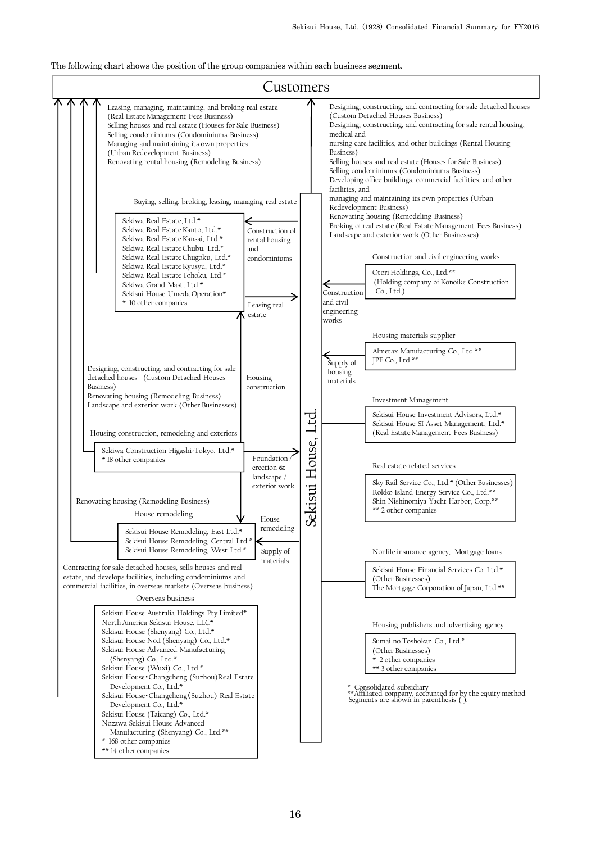The following chart shows the position of the group companies within each business segment.

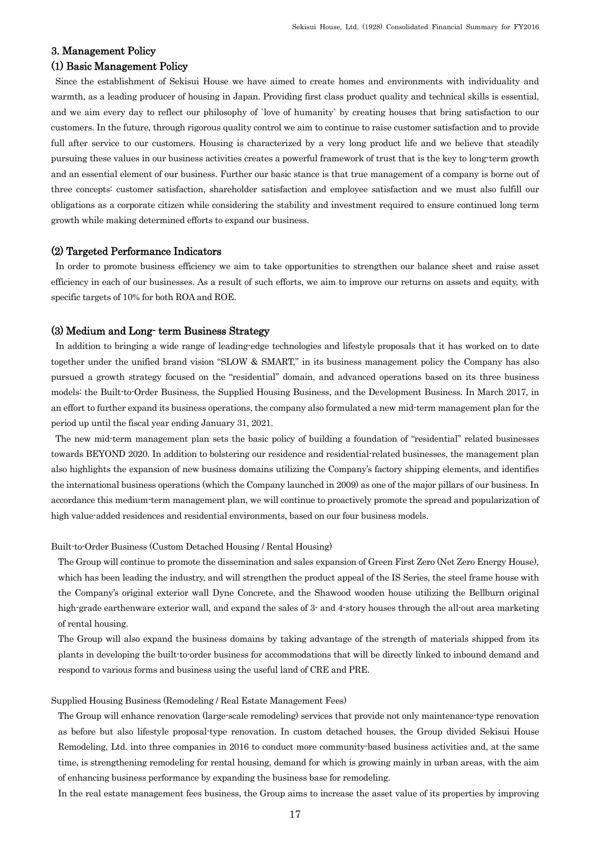## 3. Management Policy

## (1) Basic Management Policy

Since the establishment of Sekisui House we have aimed to create homes and environments with individuality and warmth, as a leading producer of housing in Japan. Providing first class product quality and technical skills is essential, and we aim every day to reflect our philosophy of `love of humanity` by creating houses that bring satisfaction to our customers. In the future, through rigorous quality control we aim to continue to raise customer satisfaction and to provide full after service to our customers. Housing is characterized by a very long product life and we believe that steadily pursuing these values in our business activities creates a powerful framework of trust that is the key to long-term growth and an essential element of our business. Further our basic stance is that true management of a company is borne out of three concepts: customer satisfaction, shareholder satisfaction and employee satisfaction and we must also fulfill our obligations as a corporate citizen while considering the stability and investment required to ensure continued long term growth while making determined efforts to expand our business.

## (2) Targeted Performance Indicators

In order to promote business efficiency we aim to take opportunities to strengthen our balance sheet and raise asset efficiency in each of our businesses. As a result of such efforts, we aim to improve our returns on assets and equity, with specific targets of 10% for both ROA and ROE.

### (3) Medium and Long- term Business Strategy

In addition to bringing a wide range of leading-edge technologies and lifestyle proposals that it has worked on to date together under the unified brand vision "SLOW & SMART," in its business management policy the Company has also pursued a growth strategy focused on the "residential" domain, and advanced operations based on its three business models: the Built-to-Order Business, the Supplied Housing Business, and the Development Business. In March 2017, in an effort to further expand its business operations, the company also formulated a new mid-term management plan for the period up until the fiscal year ending January 31, 2021.

The new mid-term management plan sets the basic policy of building a foundation of "residential" related businesses towards BEYOND 2020. In addition to bolstering our residence and residential-related businesses, the management plan also highlights the expansion of new business domains utilizing the Company's factory shipping elements, and identifies the international business operations (which the Company launched in 2009) as one of the major pillars of our business. In accordance this medium-term management plan, we will continue to proactively promote the spread and popularization of high value-added residences and residential environments, based on our four business models.

### Built-to-Order Business (Custom Detached Housing / Rental Housing)

The Group will continue to promote the dissemination and sales expansion of Green First Zero (Net Zero Energy House), which has been leading the industry, and will strengthen the product appeal of the IS Series, the steel frame house with the Company's original exterior wall Dyne Concrete, and the Shawood wooden house utilizing the Bellburn original high-grade earthenware exterior wall, and expand the sales of 3- and 4-story houses through the all-out area marketing of rental housing.

The Group will also expand the business domains by taking advantage of the strength of materials shipped from its plants in developing the built-to-order business for accommodations that will be directly linked to inbound demand and respond to various forms and business using the useful land of CRE and PRE.

#### Supplied Housing Business (Remodeling / Real Estate Management Fees)

The Group will enhance renovation (large-scale remodeling) services that provide not only maintenance-type renovation as before but also lifestyle proposal-type renovation. In custom detached houses, the Group divided Sekisui House Remodeling, Ltd. into three companies in 2016 to conduct more community-based business activities and, at the same time, is strengthening remodeling for rental housing, demand for which is growing mainly in urban areas, with the aim of enhancing business performance by expanding the business base for remodeling.

In the real estate management fees business, the Group aims to increase the asset value of its properties by improving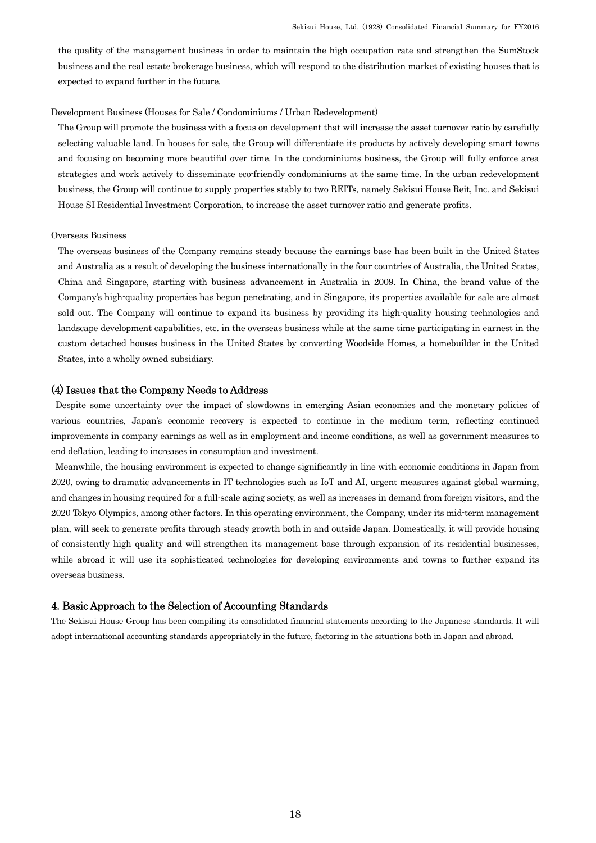the quality of the management business in order to maintain the high occupation rate and strengthen the SumStock business and the real estate brokerage business, which will respond to the distribution market of existing houses that is expected to expand further in the future.

#### Development Business (Houses for Sale / Condominiums / Urban Redevelopment)

The Group will promote the business with a focus on development that will increase the asset turnover ratio by carefully selecting valuable land. In houses for sale, the Group will differentiate its products by actively developing smart towns and focusing on becoming more beautiful over time. In the condominiums business, the Group will fully enforce area strategies and work actively to disseminate eco-friendly condominiums at the same time. In the urban redevelopment business, the Group will continue to supply properties stably to two REITs, namely Sekisui House Reit, Inc. and Sekisui House SI Residential Investment Corporation, to increase the asset turnover ratio and generate profits.

### Overseas Business

The overseas business of the Company remains steady because the earnings base has been built in the United States and Australia as a result of developing the business internationally in the four countries of Australia, the United States, China and Singapore, starting with business advancement in Australia in 2009. In China, the brand value of the Company's high-quality properties has begun penetrating, and in Singapore, its properties available for sale are almost sold out. The Company will continue to expand its business by providing its high-quality housing technologies and landscape development capabilities, etc. in the overseas business while at the same time participating in earnest in the custom detached houses business in the United States by converting Woodside Homes, a homebuilder in the United States, into a wholly owned subsidiary.

## (4) Issues that the Company Needs to Address

Despite some uncertainty over the impact of slowdowns in emerging Asian economies and the monetary policies of various countries, Japan's economic recovery is expected to continue in the medium term, reflecting continued improvements in company earnings as well as in employment and income conditions, as well as government measures to end deflation, leading to increases in consumption and investment.

Meanwhile, the housing environment is expected to change significantly in line with economic conditions in Japan from 2020, owing to dramatic advancements in IT technologies such as IoT and AI, urgent measures against global warming, and changes in housing required for a full-scale aging society, as well as increases in demand from foreign visitors, and the 2020 Tokyo Olympics, among other factors. In this operating environment, the Company, under its mid-term management plan, will seek to generate profits through steady growth both in and outside Japan. Domestically, it will provide housing of consistently high quality and will strengthen its management base through expansion of its residential businesses, while abroad it will use its sophisticated technologies for developing environments and towns to further expand its overseas business.

### 4. Basic Approach to the Selection of Accounting Standards

The Sekisui House Group has been compiling its consolidated financial statements according to the Japanese standards. It will adopt international accounting standards appropriately in the future, factoring in the situations both in Japan and abroad.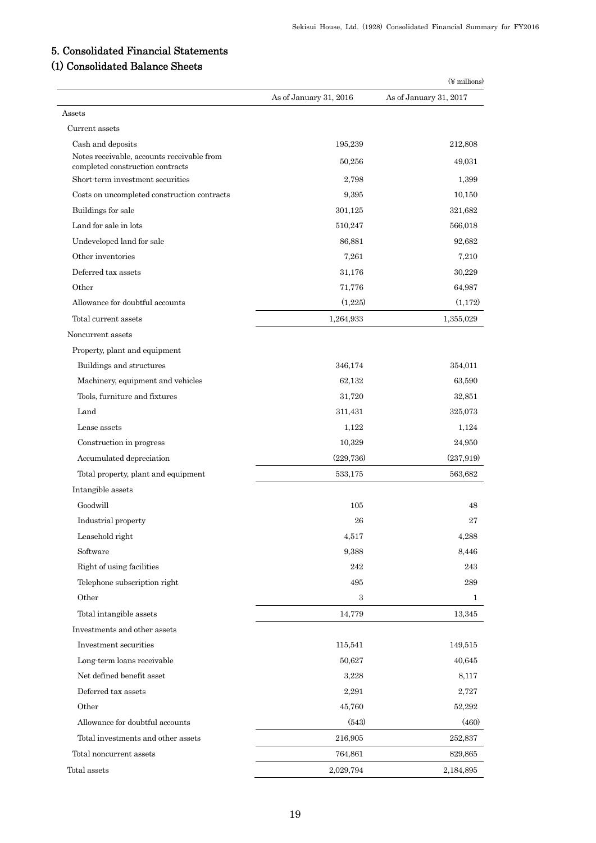# 5. Consolidated Financial Statements

# (1) Consolidated Balance Sheets

|                                                                                |                        | $(\frac{1}{2}$ millions) |
|--------------------------------------------------------------------------------|------------------------|--------------------------|
|                                                                                | As of January 31, 2016 | As of January 31, 2017   |
| Assets                                                                         |                        |                          |
| Current assets                                                                 |                        |                          |
| Cash and deposits                                                              | 195,239                | 212,808                  |
| Notes receivable, accounts receivable from<br>completed construction contracts | 50,256                 | 49,031                   |
| Short-term investment securities                                               | 2,798                  | 1,399                    |
| Costs on uncompleted construction contracts                                    | 9,395                  | 10,150                   |
| Buildings for sale                                                             | 301,125                | 321,682                  |
| Land for sale in lots                                                          | 510,247                | 566,018                  |
| Undeveloped land for sale                                                      | 86,881                 | 92,682                   |
| Other inventories                                                              | 7,261                  | 7,210                    |
| Deferred tax assets                                                            | 31,176                 | 30,229                   |
| Other                                                                          | 71,776                 | 64,987                   |
| Allowance for doubtful accounts                                                | (1,225)                | (1,172)                  |
| Total current assets                                                           | 1,264,933              | 1,355,029                |
| Noncurrent assets                                                              |                        |                          |
| Property, plant and equipment                                                  |                        |                          |
| Buildings and structures                                                       | 346,174                | 354,011                  |
| Machinery, equipment and vehicles                                              | 62,132                 | 63,590                   |
| Tools, furniture and fixtures                                                  | 31,720                 | 32,851                   |
| Land                                                                           | 311,431                | 325,073                  |
| Lease assets                                                                   | 1,122                  | 1,124                    |
| Construction in progress                                                       | 10,329                 | 24,950                   |
| Accumulated depreciation                                                       | (229, 736)             | (237, 919)               |
| Total property, plant and equipment                                            | 533,175                | 563,682                  |
| Intangible assets                                                              |                        |                          |
| Goodwill                                                                       | 105                    | 48                       |
| Industrial property                                                            | 26                     | 27                       |
| Leasehold right                                                                | 4,517                  | 4,288                    |
| Software                                                                       | 9,388                  | 8,446                    |
| Right of using facilities                                                      | 242                    | 243                      |
| Telephone subscription right                                                   | 495                    | 289                      |
| Other                                                                          | 3                      | 1                        |
| Total intangible assets                                                        | 14,779                 | 13,345                   |
| Investments and other assets                                                   |                        |                          |
| Investment securities                                                          | 115,541                | 149,515                  |
| Long-term loans receivable                                                     | 50,627                 | 40,645                   |
| Net defined benefit asset                                                      | 3,228                  | 8,117                    |
| Deferred tax assets                                                            | 2,291                  | 2,727                    |
| Other                                                                          | 45,760                 | 52,292                   |
| Allowance for doubtful accounts                                                | (543)                  | (460)                    |
| Total investments and other assets                                             | 216,905                | 252,837                  |
| Total noncurrent assets                                                        | 764,861                | 829,865                  |
| Total assets                                                                   | 2,029,794              | 2,184,895                |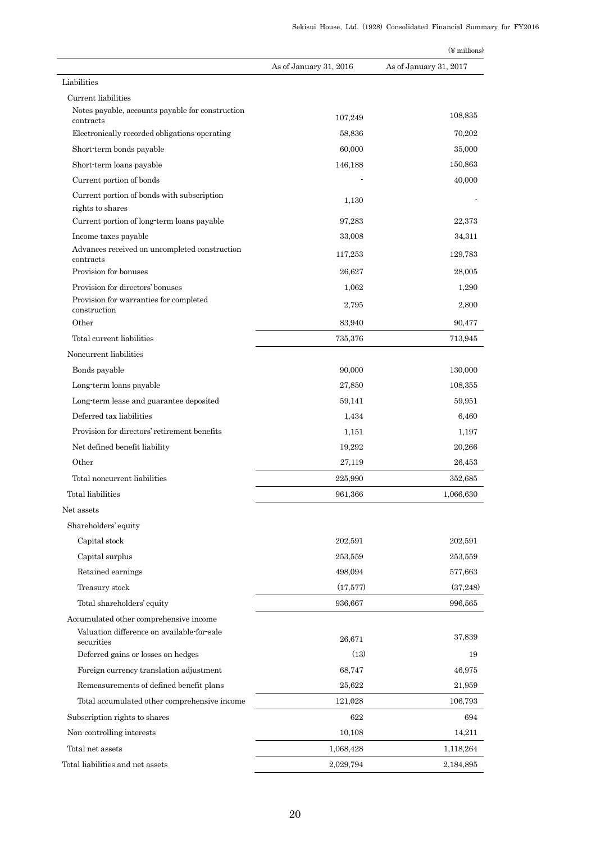|                                                            |                        | $(\frac{1}{2}$ millions) |
|------------------------------------------------------------|------------------------|--------------------------|
|                                                            | As of January 31, 2016 | As of January 31, 2017   |
| Liabilities                                                |                        |                          |
| Current liabilities                                        |                        |                          |
| Notes payable, accounts payable for construction           | 107,249                | 108,835                  |
| contracts<br>Electronically recorded obligations operating | 58,836                 | 70,202                   |
| Short-term bonds payable                                   | 60,000                 | 35,000                   |
| Short-term loans payable                                   | 146,188                | 150,863                  |
| Current portion of bonds                                   |                        | 40,000                   |
| Current portion of bonds with subscription                 |                        |                          |
| rights to shares                                           | 1,130                  |                          |
| Current portion of long-term loans payable                 | 97,283                 | 22,373                   |
| Income taxes payable                                       | 33,008                 | 34,311                   |
| Advances received on uncompleted construction<br>contracts | 117,253                | 129,783                  |
| Provision for bonuses                                      | 26.627                 | 28,005                   |
| Provision for directors' bonuses                           | 1,062                  | 1,290                    |
| Provision for warranties for completed                     | 2,795                  | 2.800                    |
| construction<br>Other                                      | 83,940                 | 90,477                   |
| Total current liabilities                                  | 735,376                | 713,945                  |
| Noncurrent liabilities                                     |                        |                          |
| Bonds payable                                              | 90,000                 | 130,000                  |
| Long-term loans payable                                    | 27,850                 | 108,355                  |
| Long term lease and guarantee deposited                    | 59,141                 | 59,951                   |
|                                                            |                        |                          |
| Deferred tax liabilities                                   | 1,434                  | 6,460                    |
| Provision for directors' retirement benefits               | 1,151                  | 1,197                    |
| Net defined benefit liability                              | 19,292                 | 20,266                   |
| Other                                                      | 27,119                 | 26,453                   |
| Total noncurrent liabilities                               | 225,990                | 352,685                  |
| Total liabilities                                          | 961,366                | 1,066,630                |
| Net assets                                                 |                        |                          |
| Shareholders' equity                                       |                        |                          |
| Capital stock                                              | 202,591                | 202,591                  |
| Capital surplus                                            | 253,559                | 253,559                  |
| Retained earnings                                          | 498,094                | 577,663                  |
| Treasury stock                                             | (17,577)               | (37,248)                 |
| Total shareholders' equity                                 | 936,667                | 996,565                  |
| Accumulated other comprehensive income                     |                        |                          |
| Valuation difference on available-for-sale<br>securities   | 26,671                 | 37,839                   |
| Deferred gains or losses on hedges                         | (13)                   | 19                       |
| Foreign currency translation adjustment                    | 68,747                 | 46,975                   |
| Remeasurements of defined benefit plans                    | 25,622                 | 21,959                   |
|                                                            |                        |                          |
| Total accumulated other comprehensive income               | 121,028<br>622         | 106,793                  |
| Subscription rights to shares                              |                        | 694                      |
| Non-controlling interests                                  | 10,108                 | 14,211                   |
| Total net assets                                           | 1,068,428              | 1,118,264                |
| Total liabilities and net assets                           | 2,029,794              | 2,184,895                |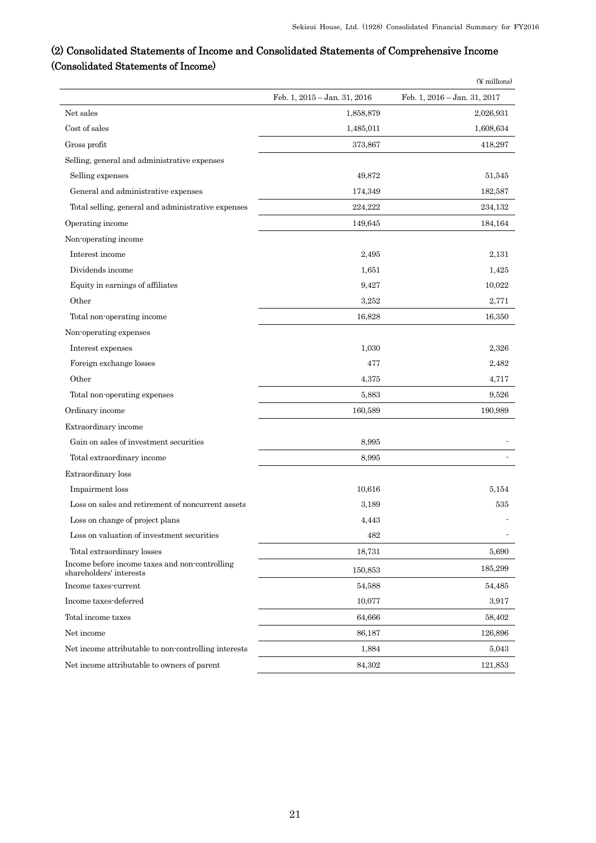# (2) Consolidated Statements of Income and Consolidated Statements of Comprehensive Income (Consolidated Statements of Income)

| Feb. 1, 2015 - Jan. 31, 2016<br>Feb. 1, 2016 - Jan. 31, 2017<br>Net sales<br>2,026,931<br>1,858,879<br>Cost of sales<br>1,485,011<br>1,608,634<br>Gross profit<br>373,867<br>418,297<br>Selling, general and administrative expenses<br>49,872<br>Selling expenses<br>51,545<br>General and administrative expenses<br>174,349<br>182,587<br>Total selling, general and administrative expenses<br>224,222<br>234,132<br>Operating income<br>149,645<br>184,164<br>Non-operating income<br>Interest income<br>2,495<br>2,131<br>Dividends income<br>1,651<br>1,425<br>Equity in earnings of affiliates<br>10,022<br>9,427<br>Other<br>3,252<br>2,771<br>Total non-operating income<br>16,350<br>16,828<br>Non-operating expenses<br>Interest expenses<br>1,030<br>2,326<br>Foreign exchange losses<br>477<br>2,482<br>Other<br>4,375<br>4,717<br>Total non-operating expenses<br>5,883<br>9,526<br>Ordinary income<br>160,589<br>190,989<br>Extraordinary income<br>Gain on sales of investment securities<br>8,995<br>Total extraordinary income<br>8,995<br>Extraordinary loss<br>Impairment loss<br>10,616<br>5,154<br>Loss on sales and retirement of noncurrent assets<br>3,189<br>535<br>Loss on change of project plans<br>4,443<br>Loss on valuation of investment securities<br>482<br>Total extraordinary losses<br>18,731<br>5,690<br>Income before income taxes and non-controlling<br>185,299<br>150,853<br>shareholders' interests<br>Income taxes-current<br>54,588<br>54,485<br>Income taxes-deferred<br>10,077<br>3,917<br>64,666<br>Total income taxes<br>58,402<br>Net income<br>86,187<br>126,896<br>1,884<br>Net income attributable to non-controlling interests<br>5,043<br>Net income attributable to owners of parent<br>84,302<br>121,853 |  | $(\n\Psi$ millions) |
|---------------------------------------------------------------------------------------------------------------------------------------------------------------------------------------------------------------------------------------------------------------------------------------------------------------------------------------------------------------------------------------------------------------------------------------------------------------------------------------------------------------------------------------------------------------------------------------------------------------------------------------------------------------------------------------------------------------------------------------------------------------------------------------------------------------------------------------------------------------------------------------------------------------------------------------------------------------------------------------------------------------------------------------------------------------------------------------------------------------------------------------------------------------------------------------------------------------------------------------------------------------------------------------------------------------------------------------------------------------------------------------------------------------------------------------------------------------------------------------------------------------------------------------------------------------------------------------------------------------------------------------------------------------------------------------------------------------------------------------------------------------------|--|---------------------|
|                                                                                                                                                                                                                                                                                                                                                                                                                                                                                                                                                                                                                                                                                                                                                                                                                                                                                                                                                                                                                                                                                                                                                                                                                                                                                                                                                                                                                                                                                                                                                                                                                                                                                                                                                                     |  |                     |
|                                                                                                                                                                                                                                                                                                                                                                                                                                                                                                                                                                                                                                                                                                                                                                                                                                                                                                                                                                                                                                                                                                                                                                                                                                                                                                                                                                                                                                                                                                                                                                                                                                                                                                                                                                     |  |                     |
|                                                                                                                                                                                                                                                                                                                                                                                                                                                                                                                                                                                                                                                                                                                                                                                                                                                                                                                                                                                                                                                                                                                                                                                                                                                                                                                                                                                                                                                                                                                                                                                                                                                                                                                                                                     |  |                     |
|                                                                                                                                                                                                                                                                                                                                                                                                                                                                                                                                                                                                                                                                                                                                                                                                                                                                                                                                                                                                                                                                                                                                                                                                                                                                                                                                                                                                                                                                                                                                                                                                                                                                                                                                                                     |  |                     |
|                                                                                                                                                                                                                                                                                                                                                                                                                                                                                                                                                                                                                                                                                                                                                                                                                                                                                                                                                                                                                                                                                                                                                                                                                                                                                                                                                                                                                                                                                                                                                                                                                                                                                                                                                                     |  |                     |
|                                                                                                                                                                                                                                                                                                                                                                                                                                                                                                                                                                                                                                                                                                                                                                                                                                                                                                                                                                                                                                                                                                                                                                                                                                                                                                                                                                                                                                                                                                                                                                                                                                                                                                                                                                     |  |                     |
|                                                                                                                                                                                                                                                                                                                                                                                                                                                                                                                                                                                                                                                                                                                                                                                                                                                                                                                                                                                                                                                                                                                                                                                                                                                                                                                                                                                                                                                                                                                                                                                                                                                                                                                                                                     |  |                     |
|                                                                                                                                                                                                                                                                                                                                                                                                                                                                                                                                                                                                                                                                                                                                                                                                                                                                                                                                                                                                                                                                                                                                                                                                                                                                                                                                                                                                                                                                                                                                                                                                                                                                                                                                                                     |  |                     |
|                                                                                                                                                                                                                                                                                                                                                                                                                                                                                                                                                                                                                                                                                                                                                                                                                                                                                                                                                                                                                                                                                                                                                                                                                                                                                                                                                                                                                                                                                                                                                                                                                                                                                                                                                                     |  |                     |
|                                                                                                                                                                                                                                                                                                                                                                                                                                                                                                                                                                                                                                                                                                                                                                                                                                                                                                                                                                                                                                                                                                                                                                                                                                                                                                                                                                                                                                                                                                                                                                                                                                                                                                                                                                     |  |                     |
|                                                                                                                                                                                                                                                                                                                                                                                                                                                                                                                                                                                                                                                                                                                                                                                                                                                                                                                                                                                                                                                                                                                                                                                                                                                                                                                                                                                                                                                                                                                                                                                                                                                                                                                                                                     |  |                     |
|                                                                                                                                                                                                                                                                                                                                                                                                                                                                                                                                                                                                                                                                                                                                                                                                                                                                                                                                                                                                                                                                                                                                                                                                                                                                                                                                                                                                                                                                                                                                                                                                                                                                                                                                                                     |  |                     |
|                                                                                                                                                                                                                                                                                                                                                                                                                                                                                                                                                                                                                                                                                                                                                                                                                                                                                                                                                                                                                                                                                                                                                                                                                                                                                                                                                                                                                                                                                                                                                                                                                                                                                                                                                                     |  |                     |
|                                                                                                                                                                                                                                                                                                                                                                                                                                                                                                                                                                                                                                                                                                                                                                                                                                                                                                                                                                                                                                                                                                                                                                                                                                                                                                                                                                                                                                                                                                                                                                                                                                                                                                                                                                     |  |                     |
|                                                                                                                                                                                                                                                                                                                                                                                                                                                                                                                                                                                                                                                                                                                                                                                                                                                                                                                                                                                                                                                                                                                                                                                                                                                                                                                                                                                                                                                                                                                                                                                                                                                                                                                                                                     |  |                     |
|                                                                                                                                                                                                                                                                                                                                                                                                                                                                                                                                                                                                                                                                                                                                                                                                                                                                                                                                                                                                                                                                                                                                                                                                                                                                                                                                                                                                                                                                                                                                                                                                                                                                                                                                                                     |  |                     |
|                                                                                                                                                                                                                                                                                                                                                                                                                                                                                                                                                                                                                                                                                                                                                                                                                                                                                                                                                                                                                                                                                                                                                                                                                                                                                                                                                                                                                                                                                                                                                                                                                                                                                                                                                                     |  |                     |
|                                                                                                                                                                                                                                                                                                                                                                                                                                                                                                                                                                                                                                                                                                                                                                                                                                                                                                                                                                                                                                                                                                                                                                                                                                                                                                                                                                                                                                                                                                                                                                                                                                                                                                                                                                     |  |                     |
|                                                                                                                                                                                                                                                                                                                                                                                                                                                                                                                                                                                                                                                                                                                                                                                                                                                                                                                                                                                                                                                                                                                                                                                                                                                                                                                                                                                                                                                                                                                                                                                                                                                                                                                                                                     |  |                     |
|                                                                                                                                                                                                                                                                                                                                                                                                                                                                                                                                                                                                                                                                                                                                                                                                                                                                                                                                                                                                                                                                                                                                                                                                                                                                                                                                                                                                                                                                                                                                                                                                                                                                                                                                                                     |  |                     |
|                                                                                                                                                                                                                                                                                                                                                                                                                                                                                                                                                                                                                                                                                                                                                                                                                                                                                                                                                                                                                                                                                                                                                                                                                                                                                                                                                                                                                                                                                                                                                                                                                                                                                                                                                                     |  |                     |
|                                                                                                                                                                                                                                                                                                                                                                                                                                                                                                                                                                                                                                                                                                                                                                                                                                                                                                                                                                                                                                                                                                                                                                                                                                                                                                                                                                                                                                                                                                                                                                                                                                                                                                                                                                     |  |                     |
|                                                                                                                                                                                                                                                                                                                                                                                                                                                                                                                                                                                                                                                                                                                                                                                                                                                                                                                                                                                                                                                                                                                                                                                                                                                                                                                                                                                                                                                                                                                                                                                                                                                                                                                                                                     |  |                     |
|                                                                                                                                                                                                                                                                                                                                                                                                                                                                                                                                                                                                                                                                                                                                                                                                                                                                                                                                                                                                                                                                                                                                                                                                                                                                                                                                                                                                                                                                                                                                                                                                                                                                                                                                                                     |  |                     |
|                                                                                                                                                                                                                                                                                                                                                                                                                                                                                                                                                                                                                                                                                                                                                                                                                                                                                                                                                                                                                                                                                                                                                                                                                                                                                                                                                                                                                                                                                                                                                                                                                                                                                                                                                                     |  |                     |
|                                                                                                                                                                                                                                                                                                                                                                                                                                                                                                                                                                                                                                                                                                                                                                                                                                                                                                                                                                                                                                                                                                                                                                                                                                                                                                                                                                                                                                                                                                                                                                                                                                                                                                                                                                     |  |                     |
|                                                                                                                                                                                                                                                                                                                                                                                                                                                                                                                                                                                                                                                                                                                                                                                                                                                                                                                                                                                                                                                                                                                                                                                                                                                                                                                                                                                                                                                                                                                                                                                                                                                                                                                                                                     |  |                     |
|                                                                                                                                                                                                                                                                                                                                                                                                                                                                                                                                                                                                                                                                                                                                                                                                                                                                                                                                                                                                                                                                                                                                                                                                                                                                                                                                                                                                                                                                                                                                                                                                                                                                                                                                                                     |  |                     |
|                                                                                                                                                                                                                                                                                                                                                                                                                                                                                                                                                                                                                                                                                                                                                                                                                                                                                                                                                                                                                                                                                                                                                                                                                                                                                                                                                                                                                                                                                                                                                                                                                                                                                                                                                                     |  |                     |
|                                                                                                                                                                                                                                                                                                                                                                                                                                                                                                                                                                                                                                                                                                                                                                                                                                                                                                                                                                                                                                                                                                                                                                                                                                                                                                                                                                                                                                                                                                                                                                                                                                                                                                                                                                     |  |                     |
|                                                                                                                                                                                                                                                                                                                                                                                                                                                                                                                                                                                                                                                                                                                                                                                                                                                                                                                                                                                                                                                                                                                                                                                                                                                                                                                                                                                                                                                                                                                                                                                                                                                                                                                                                                     |  |                     |
|                                                                                                                                                                                                                                                                                                                                                                                                                                                                                                                                                                                                                                                                                                                                                                                                                                                                                                                                                                                                                                                                                                                                                                                                                                                                                                                                                                                                                                                                                                                                                                                                                                                                                                                                                                     |  |                     |
|                                                                                                                                                                                                                                                                                                                                                                                                                                                                                                                                                                                                                                                                                                                                                                                                                                                                                                                                                                                                                                                                                                                                                                                                                                                                                                                                                                                                                                                                                                                                                                                                                                                                                                                                                                     |  |                     |
|                                                                                                                                                                                                                                                                                                                                                                                                                                                                                                                                                                                                                                                                                                                                                                                                                                                                                                                                                                                                                                                                                                                                                                                                                                                                                                                                                                                                                                                                                                                                                                                                                                                                                                                                                                     |  |                     |
|                                                                                                                                                                                                                                                                                                                                                                                                                                                                                                                                                                                                                                                                                                                                                                                                                                                                                                                                                                                                                                                                                                                                                                                                                                                                                                                                                                                                                                                                                                                                                                                                                                                                                                                                                                     |  |                     |
|                                                                                                                                                                                                                                                                                                                                                                                                                                                                                                                                                                                                                                                                                                                                                                                                                                                                                                                                                                                                                                                                                                                                                                                                                                                                                                                                                                                                                                                                                                                                                                                                                                                                                                                                                                     |  |                     |
|                                                                                                                                                                                                                                                                                                                                                                                                                                                                                                                                                                                                                                                                                                                                                                                                                                                                                                                                                                                                                                                                                                                                                                                                                                                                                                                                                                                                                                                                                                                                                                                                                                                                                                                                                                     |  |                     |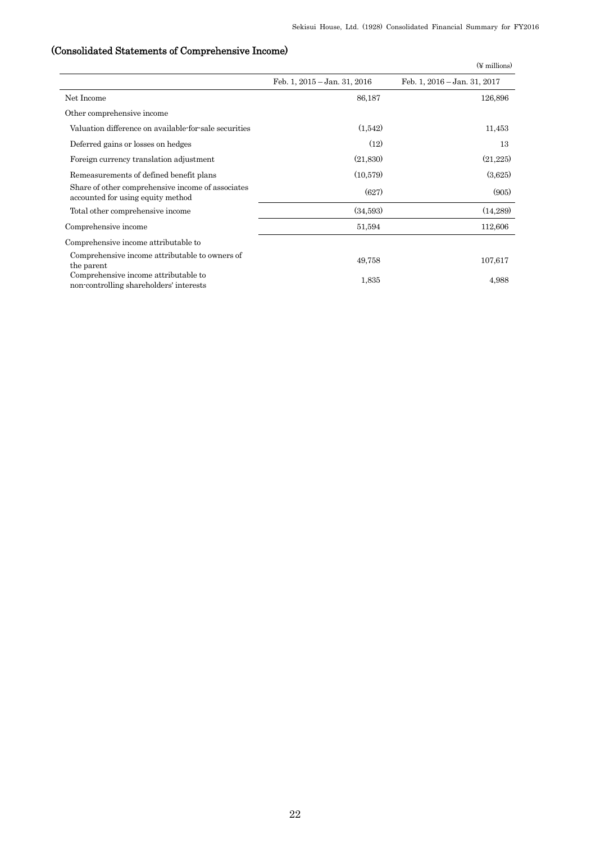# (Consolidated Statements of Comprehensive Income)

|                                                                                        |                                  | $(\n\Psi$ millions)          |
|----------------------------------------------------------------------------------------|----------------------------------|------------------------------|
|                                                                                        | Feb. 1, $2015 - Jan.$ 31, $2016$ | Feb. 1, 2016 - Jan. 31, 2017 |
| Net Income                                                                             | 86,187                           | 126,896                      |
| Other comprehensive income                                                             |                                  |                              |
| Valuation difference on available for sale securities                                  | (1.542)                          | 11,453                       |
| Deferred gains or losses on hedges                                                     | (12)                             | 13                           |
| Foreign currency translation adjustment                                                | (21,830)                         | (21,225)                     |
| Remeasurements of defined benefit plans                                                | (10,579)                         | (3,625)                      |
| Share of other comprehensive income of associates<br>accounted for using equity method | (627)                            | (905)                        |
| Total other comprehensive income                                                       | (34,593)                         | (14,289)                     |
| Comprehensive income                                                                   | 51,594                           | 112,606                      |
| Comprehensive income attributable to                                                   |                                  |                              |
| Comprehensive income attributable to owners of<br>the parent                           | 49,758                           | 107,617                      |
| Comprehensive income attributable to<br>non-controlling shareholders' interests        | 1.835                            | 4,988                        |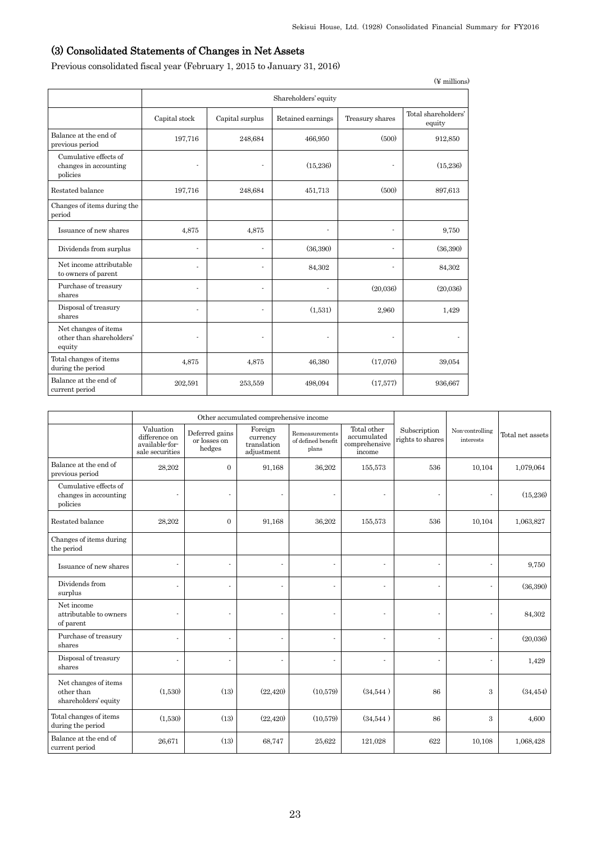# (3) Consolidated Statements of Changes in Net Assets

Previous consolidated fiscal year (February 1, 2015 to January 31, 2016)

|                                                            |                          |                          |                       |                          | $(\n\Psi$ millions)           |  |
|------------------------------------------------------------|--------------------------|--------------------------|-----------------------|--------------------------|-------------------------------|--|
|                                                            |                          | Shareholders' equity     |                       |                          |                               |  |
|                                                            | Capital stock            | Capital surplus          | Retained earnings     | Treasury shares          | Total shareholders'<br>equity |  |
| Balance at the end of<br>previous period                   | 197,716                  | 248,684                  | 466,950               | (500)                    | 912,850                       |  |
| Cumulative effects of<br>changes in accounting<br>policies | $\overline{\phantom{a}}$ | $\overline{\phantom{a}}$ | (15,236)              | $\overline{\phantom{a}}$ | (15,236)                      |  |
| Restated balance                                           | 197,716                  | 248,684                  | 451,713               | (500)                    | 897,613                       |  |
| Changes of items during the<br>period                      |                          |                          |                       |                          |                               |  |
| Issuance of new shares                                     | 4,875                    | 4,875                    | $\tilde{\phantom{a}}$ | $\tilde{\phantom{a}}$    | 9,750                         |  |
| Dividends from surplus                                     | $\ddot{\phantom{1}}$     |                          | (36,390)              |                          | (36,390)                      |  |
| Net income attributable<br>to owners of parent             | ٠                        | ٠                        | 84,302                |                          | 84,302                        |  |
| Purchase of treasury<br>shares                             | ÷,                       |                          |                       | (20,036)                 | (20,036)                      |  |
| Disposal of treasury<br>shares                             | ٠                        |                          | (1,531)               | 2,960                    | 1,429                         |  |
| Net changes of items<br>other than shareholders'<br>equity | ٠                        | $\overline{\phantom{a}}$ | ٠                     |                          | $\overline{\phantom{a}}$      |  |
| Total changes of items<br>during the period                | 4,875                    | 4,875                    | 46,380                | (17,076)                 | 39,054                        |  |
| Balance at the end of<br>current period                    | 202,591                  | 253,559                  | 498,094               | (17,577)                 | 936,667                       |  |

|                                                            | Other accumulated comprehensive income                          |                                          |                                                  |                                               |                                                       |                                  |                              |                  |
|------------------------------------------------------------|-----------------------------------------------------------------|------------------------------------------|--------------------------------------------------|-----------------------------------------------|-------------------------------------------------------|----------------------------------|------------------------------|------------------|
|                                                            | Valuation<br>difference on<br>available-for-<br>sale securities | Deferred gains<br>or losses on<br>hedges | Foreign<br>currency<br>translation<br>adjustment | Remeasurements<br>of defined benefit<br>plans | Total other<br>accumulated<br>comprehensive<br>income | Subscription<br>rights to shares | Non-controlling<br>interests | Total net assets |
| Balance at the end of<br>previous period                   | 28,202                                                          | $\mathbf{0}$                             | 91,168                                           | 36,202                                        | 155,573                                               | 536                              | 10,104                       | 1,079,064        |
| Cumulative effects of<br>changes in accounting<br>policies | ÷,                                                              |                                          |                                                  | $\blacksquare$                                | $\sim$                                                |                                  |                              | (15, 236)        |
| Restated balance                                           | 28,202                                                          | $\overline{0}$                           | 91,168                                           | 36,202                                        | 155,573                                               | 536                              | 10,104                       | 1,063,827        |
| Changes of items during<br>the period                      |                                                                 |                                          |                                                  |                                               |                                                       |                                  |                              |                  |
| Issuance of new shares                                     | ä,                                                              | $\ddot{\phantom{1}}$                     |                                                  | $\ddot{\phantom{1}}$                          | ä,                                                    |                                  |                              | 9,750            |
| Dividends from<br>surplus                                  | ä,                                                              |                                          |                                                  | ÷,                                            | ä,                                                    |                                  |                              | (36, 390)        |
| Net income<br>attributable to owners<br>of parent          | ä,                                                              |                                          |                                                  | ä,                                            |                                                       |                                  |                              | 84,302           |
| Purchase of treasury<br>shares                             | ä,                                                              |                                          |                                                  |                                               | ä,                                                    |                                  |                              | (20,036)         |
| Disposal of treasury<br>shares                             | ä,                                                              |                                          |                                                  | ä,                                            | ÷,                                                    | ÷,                               |                              | 1,429            |
| Net changes of items<br>other than<br>shareholders' equity | (1,530)                                                         | (13)                                     | (22, 420)                                        | (10,579)                                      | (34,544)                                              | 86                               | 3                            | (34, 454)        |
| Total changes of items<br>during the period                | (1,530)                                                         | (13)                                     | (22, 420)                                        | (10,579)                                      | (34,544)                                              | 86                               | 3                            | 4,600            |
| Balance at the end of<br>current period                    | 26,671                                                          | (13)                                     | 68,747                                           | 25,622                                        | 121,028                                               | 622                              | 10,108                       | 1,068,428        |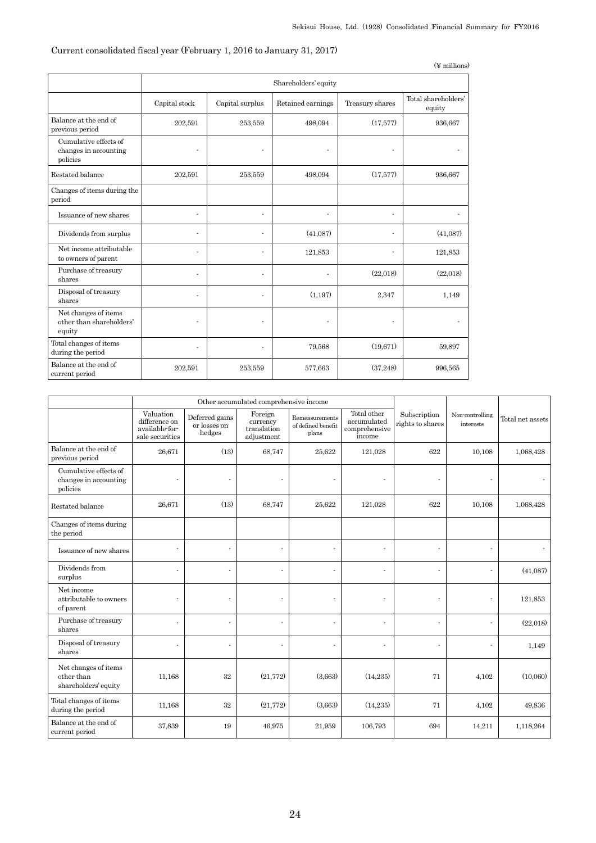## Current consolidated fiscal year (February 1, 2016 to January 31, 2017)

|                                                            |                |                      |                   |                 | $(\n\Psi$ millions)           |  |  |
|------------------------------------------------------------|----------------|----------------------|-------------------|-----------------|-------------------------------|--|--|
|                                                            |                | Shareholders' equity |                   |                 |                               |  |  |
|                                                            | Capital stock  | Capital surplus      | Retained earnings | Treasury shares | Total shareholders'<br>equity |  |  |
| Balance at the end of<br>previous period                   | 202,591        | 253,559              | 498,094           | (17,577)        | 936,667                       |  |  |
| Cumulative effects of<br>changes in accounting<br>policies | $\blacksquare$ | ÷.                   | ä,                |                 |                               |  |  |
| Restated balance                                           | 202,591        | 253,559              | 498,094           | (17,577)        | 936,667                       |  |  |
| Changes of items during the<br>period                      |                |                      |                   |                 |                               |  |  |
| Issuance of new shares                                     | ÷              | ä,                   | ٠                 | ٠               |                               |  |  |
| Dividends from surplus                                     | ä,             | $\blacksquare$       | (41,087)          | ÷.              | (41,087)                      |  |  |
| Net income attributable<br>to owners of parent             |                | ٠                    | 121,853           |                 | 121,853                       |  |  |
| Purchase of treasury<br>shares                             | ä,             | $\overline{a}$       | ä,                | (22,018)        | (22,018)                      |  |  |
| Disposal of treasury<br>shares                             | ÷,             | $\overline{a}$       | (1, 197)          | 2,347           | 1,149                         |  |  |
| Net changes of items<br>other than shareholders'<br>equity | ÷.             | ٠                    | ÷,                | ä,              |                               |  |  |
| Total changes of items<br>during the period                | ä,             | $\overline{a}$       | 79,568            | (19,671)        | 59,897                        |  |  |
| Balance at the end of<br>current period                    | 202,591        | 253,559              | 577,663           | (37,248)        | 996,565                       |  |  |

|                                                            | Other accumulated comprehensive income                          |                                          |                                                  |                                               |                                                       |                                  |                              |                  |
|------------------------------------------------------------|-----------------------------------------------------------------|------------------------------------------|--------------------------------------------------|-----------------------------------------------|-------------------------------------------------------|----------------------------------|------------------------------|------------------|
|                                                            | Valuation<br>difference on<br>available-for-<br>sale securities | Deferred gains<br>or losses on<br>hedges | Foreign<br>currency<br>translation<br>adjustment | Remeasurements<br>of defined benefit<br>plans | Total other<br>accumulated<br>comprehensive<br>income | Subscription<br>rights to shares | Non-controlling<br>interests | Total net assets |
| Balance at the end of<br>previous period                   | 26,671                                                          | (13)                                     | 68,747                                           | 25,622                                        | 121,028                                               | 622                              | 10,108                       | 1,068,428        |
| Cumulative effects of<br>changes in accounting<br>policies | ä,                                                              | ٠                                        |                                                  |                                               |                                                       | ä,                               |                              |                  |
| Restated balance                                           | 26,671                                                          | (13)                                     | 68,747                                           | 25,622                                        | 121,028                                               | 622                              | 10,108                       | 1,068,428        |
| Changes of items during<br>the period                      |                                                                 |                                          |                                                  |                                               |                                                       |                                  |                              |                  |
| Issuance of new shares                                     | ٠                                                               | $\blacksquare$                           |                                                  |                                               | $\sim$                                                | $\sim$                           | ä,                           |                  |
| Dividends from<br>surplus                                  | ä,                                                              |                                          |                                                  |                                               | ٠                                                     | ä,                               | ä,                           | (41,087)         |
| Net income<br>attributable to owners<br>of parent          |                                                                 |                                          |                                                  |                                               |                                                       |                                  | ä,                           | 121,853          |
| Purchase of treasury<br>shares                             | ä,                                                              |                                          |                                                  |                                               |                                                       | ä,                               |                              | (22,018)         |
| Disposal of treasury<br>shares                             | ä,                                                              | $\blacksquare$                           |                                                  |                                               |                                                       | $\sim$                           |                              | 1,149            |
| Net changes of items<br>other than<br>shareholders' equity | 11,168                                                          | $32\,$                                   | (21, 772)                                        | (3,663)                                       | (14,235)                                              | 71                               | 4,102                        | (10,060)         |
| Total changes of items<br>during the period                | 11,168                                                          | $32\,$                                   | (21, 772)                                        | (3,663)                                       | (14,235)                                              | 71                               | 4,102                        | 49,836           |
| Balance at the end of<br>current period                    | 37,839                                                          | 19                                       | 46,975                                           | 21,959                                        | 106,793                                               | 694                              | 14,211                       | 1,118,264        |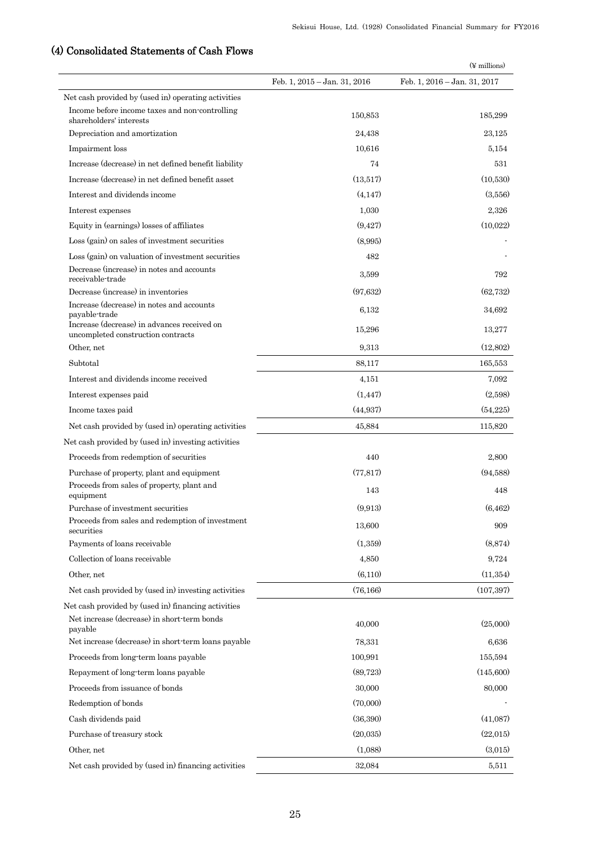|                                                                                                               |                              | $(\frac{1}{2}$ millions)     |
|---------------------------------------------------------------------------------------------------------------|------------------------------|------------------------------|
|                                                                                                               | Feb. 1, 2015 - Jan. 31, 2016 | Feb. 1, 2016 – Jan. 31, 2017 |
| Net cash provided by (used in) operating activities                                                           |                              |                              |
| Income before income taxes and non-controlling<br>shareholders' interests                                     | 150,853                      | 185,299                      |
| Depreciation and amortization                                                                                 | 24,438                       | 23,125                       |
| Impairment loss                                                                                               | 10,616                       | 5,154                        |
| Increase (decrease) in net defined benefit liability                                                          | 74                           | 531                          |
| Increase (decrease) in net defined benefit asset                                                              | (13,517)                     | (10,530)                     |
| Interest and dividends income                                                                                 | (4.147)                      | (3,556)                      |
| Interest expenses                                                                                             | 1,030                        | 2,326                        |
| Equity in (earnings) losses of affiliates                                                                     | (9, 427)                     | (10,022)                     |
| Loss (gain) on sales of investment securities                                                                 | (8,995)                      |                              |
| Loss (gain) on valuation of investment securities                                                             | 482                          |                              |
| Decrease (increase) in notes and accounts<br>receivable-trade                                                 | 3,599                        | 792                          |
| Decrease (increase) in inventories                                                                            | (97, 632)                    | (62, 732)                    |
| Increase (decrease) in notes and accounts<br>payable-trade                                                    | 6,132                        | 34,692                       |
| Increase (decrease) in advances received on<br>uncompleted construction contracts                             | 15,296                       | 13,277                       |
| Other, net                                                                                                    | 9,313                        | (12,802)                     |
| Subtotal                                                                                                      | 88,117                       | 165,553                      |
| Interest and dividends income received                                                                        | 4,151                        | 7,092                        |
| Interest expenses paid                                                                                        | (1, 447)                     | (2,598)                      |
| Income taxes paid                                                                                             | (44, 937)                    | (54,225)                     |
| Net cash provided by (used in) operating activities                                                           | 45,884                       | 115,820                      |
| Net cash provided by (used in) investing activities                                                           |                              |                              |
| Proceeds from redemption of securities                                                                        | 440                          | 2,800                        |
| Purchase of property, plant and equipment                                                                     | (77, 817)                    | (94.588)                     |
| Proceeds from sales of property, plant and<br>equipment                                                       | 143                          | 448                          |
| Purchase of investment securities                                                                             | (9,913)                      | (6, 462)                     |
| Proceeds from sales and redemption of investment<br>securities                                                | 13,600                       | 909                          |
| Payments of loans receivable                                                                                  | (1,359)                      | (8, 874)                     |
| Collection of loans receivable                                                                                | 4,850                        | 9,724                        |
| Other, net                                                                                                    | (6,110)                      | (11, 354)                    |
| Net cash provided by (used in) investing activities                                                           | (76, 166)                    | (107, 397)                   |
| Net cash provided by (used in) financing activities<br>Net increase (decrease) in short-term bonds<br>payable | 40,000                       | (25,000)                     |
| Net increase (decrease) in short term loans payable                                                           | 78,331                       | 6,636                        |
| Proceeds from long-term loans payable                                                                         | 100,991                      | 155,594                      |
| Repayment of long-term loans payable                                                                          | (89, 723)                    | (145,600)                    |
| Proceeds from issuance of bonds                                                                               | 30,000                       | 80,000                       |
| Redemption of bonds                                                                                           | (70,000)                     |                              |
| Cash dividends paid                                                                                           | (36,390)                     | (41,087)                     |
| Purchase of treasury stock                                                                                    | (20,035)                     | (22,015)                     |
| Other, net                                                                                                    | (1,088)                      | (3,015)                      |
| Net cash provided by (used in) financing activities                                                           | 32,084                       | 5,511                        |
|                                                                                                               |                              |                              |

# (4) Consolidated Statements of Cash Flows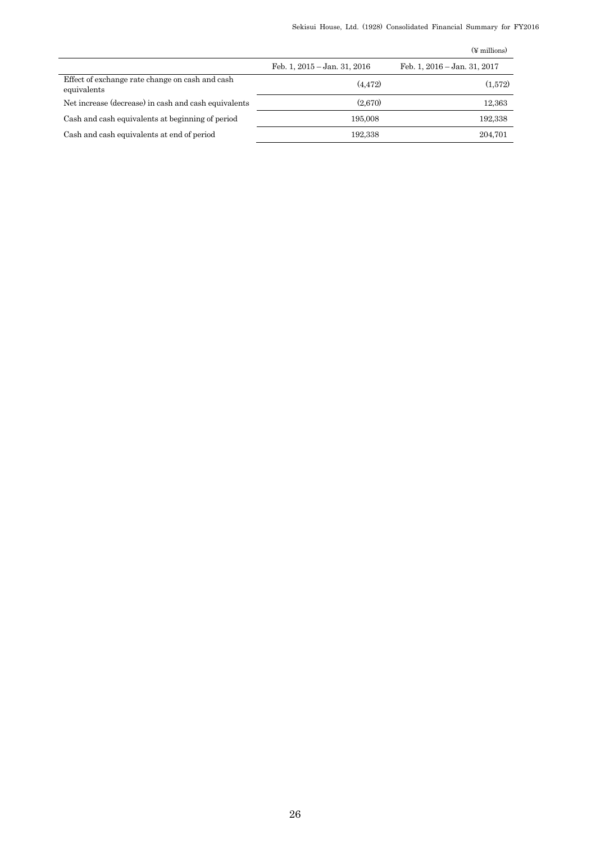|  |  |  |  | Sekisui House, Ltd. (1928) Consolidated Financial Summary for FY2016 |  |  |  |  |
|--|--|--|--|----------------------------------------------------------------------|--|--|--|--|
|--|--|--|--|----------------------------------------------------------------------|--|--|--|--|

|                                                                |                              | $(\frac{1}{2}$ millions)     |
|----------------------------------------------------------------|------------------------------|------------------------------|
|                                                                | Feb. 1, 2015 - Jan. 31, 2016 | Feb. 1, 2016 - Jan. 31, 2017 |
| Effect of exchange rate change on cash and cash<br>equivalents | (4.472)                      | (1,572)                      |
| Net increase (decrease) in cash and cash equivalents           | (2.670)                      | 12,363                       |
| Cash and cash equivalents at beginning of period               | 195,008                      | 192,338                      |
| Cash and cash equivalents at end of period                     | 192.338                      | 204,701                      |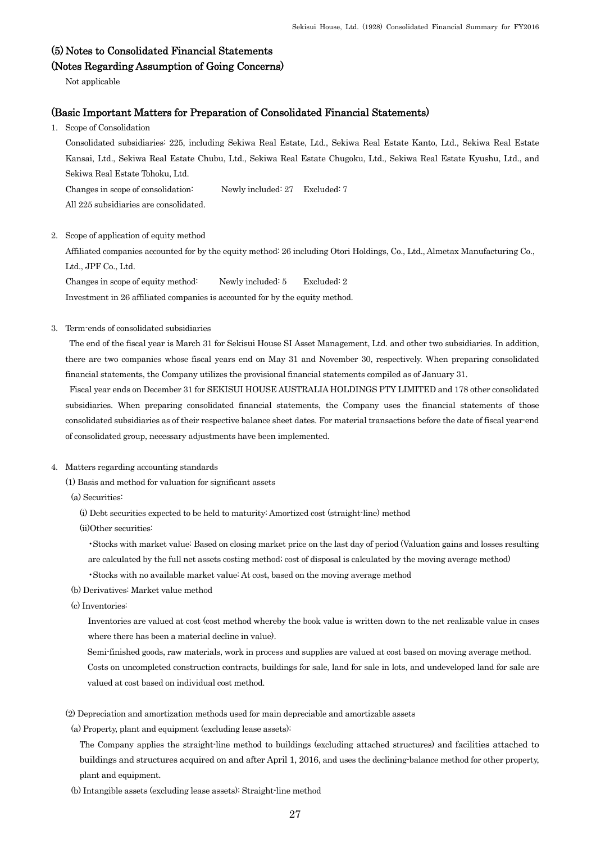## (5) Notes to Consolidated Financial Statements

## (Notes Regarding Assumption of Going Concerns)

Not applicable

## (Basic Important Matters for Preparation of Consolidated Financial Statements)

1. Scope of Consolidation

 Consolidated subsidiaries: 225, including Sekiwa Real Estate, Ltd., Sekiwa Real Estate Kanto, Ltd., Sekiwa Real Estate Kansai, Ltd., Sekiwa Real Estate Chubu, Ltd., Sekiwa Real Estate Chugoku, Ltd., Sekiwa Real Estate Kyushu, Ltd., and Sekiwa Real Estate Tohoku, Ltd.

Changes in scope of consolidation: Newly included: 27 Excluded: 7

All 225 subsidiaries are consolidated.

2. Scope of application of equity method

Affiliated companies accounted for by the equity method: 26 including Otori Holdings, Co., Ltd., Almetax Manufacturing Co., Ltd., JPF Co., Ltd.

Changes in scope of equity method: Newly included: 5 Excluded: 2

Investment in 26 affiliated companies is accounted for by the equity method.

### 3. Term-ends of consolidated subsidiaries

The end of the fiscal year is March 31 for Sekisui House SI Asset Management, Ltd. and other two subsidiaries. In addition, there are two companies whose fiscal years end on May 31 and November 30, respectively. When preparing consolidated financial statements, the Company utilizes the provisional financial statements compiled as of January 31.

Fiscal year ends on December 31 for SEKISUI HOUSE AUSTRALIA HOLDINGS PTY LIMITED and 178 other consolidated subsidiaries. When preparing consolidated financial statements, the Company uses the financial statements of those consolidated subsidiaries as of their respective balance sheet dates. For material transactions before the date of fiscal year-end of consolidated group, necessary adjustments have been implemented.

## 4. Matters regarding accounting standards

(1) Basis and method for valuation for significant assets

- (a) Securities:
	- (i) Debt securities expected to be held to maturity: Amortized cost (straight-line) method
	- (ii)Other securities:
		- •Stocks with market value: Based on closing market price on the last day of period (Valuation gains and losses resulting
		- are calculated by the full net assets costing method; cost of disposal is calculated by the moving average method)
		- •Stocks with no available market value: At cost, based on the moving average method
- (b) Derivatives: Market value method
- (c) Inventories:

Inventories are valued at cost (cost method whereby the book value is written down to the net realizable value in cases where there has been a material decline in value).

Semi-finished goods, raw materials, work in process and supplies are valued at cost based on moving average method.

Costs on uncompleted construction contracts, buildings for sale, land for sale in lots, and undeveloped land for sale are valued at cost based on individual cost method.

- (2) Depreciation and amortization methods used for main depreciable and amortizable assets
- (a) Property, plant and equipment (excluding lease assets):

The Company applies the straight-line method to buildings (excluding attached structures) and facilities attached to buildings and structures acquired on and after April 1, 2016, and uses the declining-balance method for other property, plant and equipment.

(b) Intangible assets (excluding lease assets): Straight-line method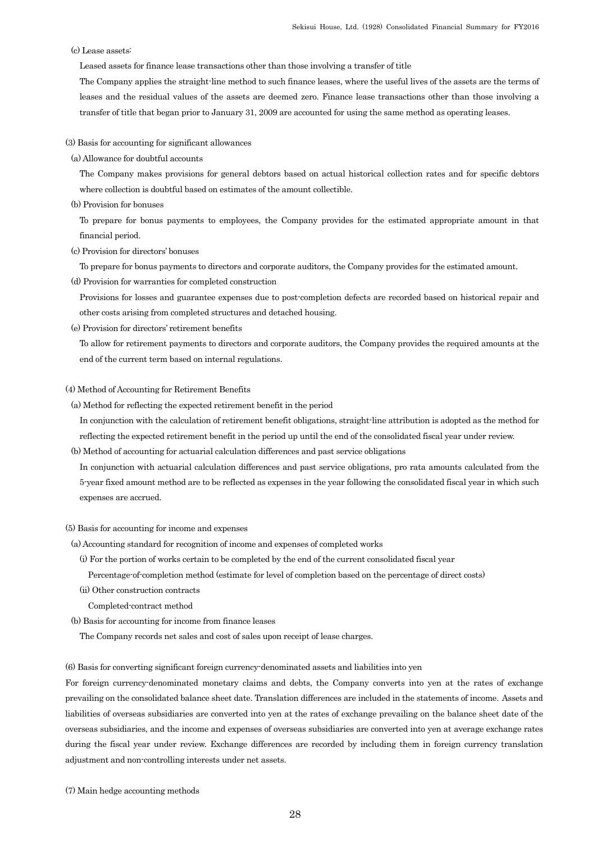### (c) Lease assets:

Leased assets for finance lease transactions other than those involving a transfer of title

The Company applies the straight-line method to such finance leases, where the useful lives of the assets are the terms of leases and the residual values of the assets are deemed zero. Finance lease transactions other than those involving a transfer of title that began prior to January 31, 2009 are accounted for using the same method as operating leases.

(3) Basis for accounting for significant allowances

(a) Allowance for doubtful accounts

The Company makes provisions for general debtors based on actual historical collection rates and for specific debtors where collection is doubtful based on estimates of the amount collectible.

(b) Provision for bonuses

To prepare for bonus payments to employees, the Company provides for the estimated appropriate amount in that financial period.

(c) Provision for directors' bonuses

To prepare for bonus payments to directors and corporate auditors, the Company provides for the estimated amount.

(d) Provision for warranties for completed construction

Provisions for losses and guarantee expenses due to post-completion defects are recorded based on historical repair and other costs arising from completed structures and detached housing.

(e) Provision for directors' retirement benefits

To allow for retirement payments to directors and corporate auditors, the Company provides the required amounts at the end of the current term based on internal regulations.

#### (4) Method of Accounting for Retirement Benefits

(a) Method for reflecting the expected retirement benefit in the period

In conjunction with the calculation of retirement benefit obligations, straight-line attribution is adopted as the method for reflecting the expected retirement benefit in the period up until the end of the consolidated fiscal year under review.

(b) Method of accounting for actuarial calculation differences and past service obligations

In conjunction with actuarial calculation differences and past service obligations, pro rata amounts calculated from the 5-year fixed amount method are to be reflected as expenses in the year following the consolidated fiscal year in which such expenses are accrued.

#### (5) Basis for accounting for income and expenses

- (a) Accounting standard for recognition of income and expenses of completed works
	- (i) For the portion of works certain to be completed by the end of the current consolidated fiscal year
		- Percentage-of-completion method (estimate for level of completion based on the percentage of direct costs)
	- (ii) Other construction contracts
	- Completed-contract method
- (b) Basis for accounting for income from finance leases
	- The Company records net sales and cost of sales upon receipt of lease charges.

(6) Basis for converting significant foreign currency-denominated assets and liabilities into yen

For foreign currency-denominated monetary claims and debts, the Company converts into yen at the rates of exchange prevailing on the consolidated balance sheet date. Translation differences are included in the statements of income. Assets and liabilities of overseas subsidiaries are converted into yen at the rates of exchange prevailing on the balance sheet date of the overseas subsidiaries, and the income and expenses of overseas subsidiaries are converted into yen at average exchange rates during the fiscal year under review. Exchange differences are recorded by including them in foreign currency translation adjustment and non-controlling interests under net assets.

(7) Main hedge accounting methods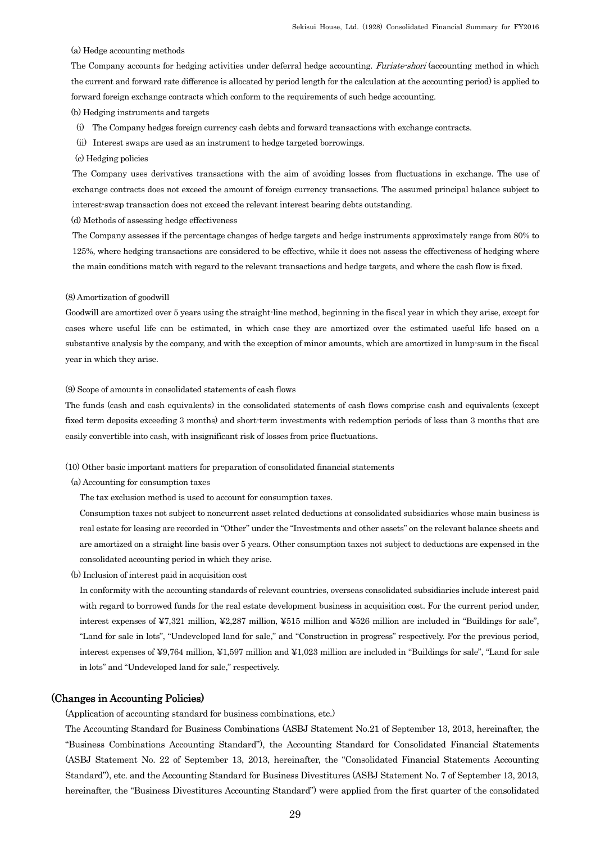(a) Hedge accounting methods

The Company accounts for hedging activities under deferral hedge accounting. Furiate-shori (accounting method in which the current and forward rate difference is allocated by period length for the calculation at the accounting period) is applied to forward foreign exchange contracts which conform to the requirements of such hedge accounting.

(b) Hedging instruments and targets

- (i) The Company hedges foreign currency cash debts and forward transactions with exchange contracts.
- (ii) Interest swaps are used as an instrument to hedge targeted borrowings.
- (c) Hedging policies

The Company uses derivatives transactions with the aim of avoiding losses from fluctuations in exchange. The use of exchange contracts does not exceed the amount of foreign currency transactions. The assumed principal balance subject to interest-swap transaction does not exceed the relevant interest bearing debts outstanding.

(d) Methods of assessing hedge effectiveness

The Company assesses if the percentage changes of hedge targets and hedge instruments approximately range from 80% to 125%, where hedging transactions are considered to be effective, while it does not assess the effectiveness of hedging where the main conditions match with regard to the relevant transactions and hedge targets, and where the cash flow is fixed.

#### (8) Amortization of goodwill

Goodwill are amortized over 5 years using the straight-line method, beginning in the fiscal year in which they arise, except for cases where useful life can be estimated, in which case they are amortized over the estimated useful life based on a substantive analysis by the company, and with the exception of minor amounts, which are amortized in lump-sum in the fiscal year in which they arise.

#### (9) Scope of amounts in consolidated statements of cash flows

The funds (cash and cash equivalents) in the consolidated statements of cash flows comprise cash and equivalents (except fixed term deposits exceeding 3 months) and short-term investments with redemption periods of less than 3 months that are easily convertible into cash, with insignificant risk of losses from price fluctuations.

(10) Other basic important matters for preparation of consolidated financial statements

(a) Accounting for consumption taxes

The tax exclusion method is used to account for consumption taxes.

Consumption taxes not subject to noncurrent asset related deductions at consolidated subsidiaries whose main business is real estate for leasing are recorded in "Other" under the "Investments and other assets" on the relevant balance sheets and are amortized on a straight line basis over 5 years. Other consumption taxes not subject to deductions are expensed in the consolidated accounting period in which they arise.

(b) Inclusion of interest paid in acquisition cost

In conformity with the accounting standards of relevant countries, overseas consolidated subsidiaries include interest paid with regard to borrowed funds for the real estate development business in acquisition cost. For the current period under, interest expenses of ¥7,321 million, ¥2,287 million, ¥515 million and ¥526 million are included in "Buildings for sale", "Land for sale in lots", "Undeveloped land for sale," and "Construction in progress" respectively. For the previous period, interest expenses of ¥9,764 million, ¥1,597 million and ¥1,023 million are included in "Buildings for sale", "Land for sale in lots" and "Undeveloped land for sale," respectively.

## (Changes in Accounting Policies)

(Application of accounting standard for business combinations, etc.)

The Accounting Standard for Business Combinations (ASBJ Statement No.21 of September 13, 2013, hereinafter, the "Business Combinations Accounting Standard"), the Accounting Standard for Consolidated Financial Statements (ASBJ Statement No. 22 of September 13, 2013, hereinafter, the "Consolidated Financial Statements Accounting Standard"), etc. and the Accounting Standard for Business Divestitures (ASBJ Statement No. 7 of September 13, 2013, hereinafter, the "Business Divestitures Accounting Standard") were applied from the first quarter of the consolidated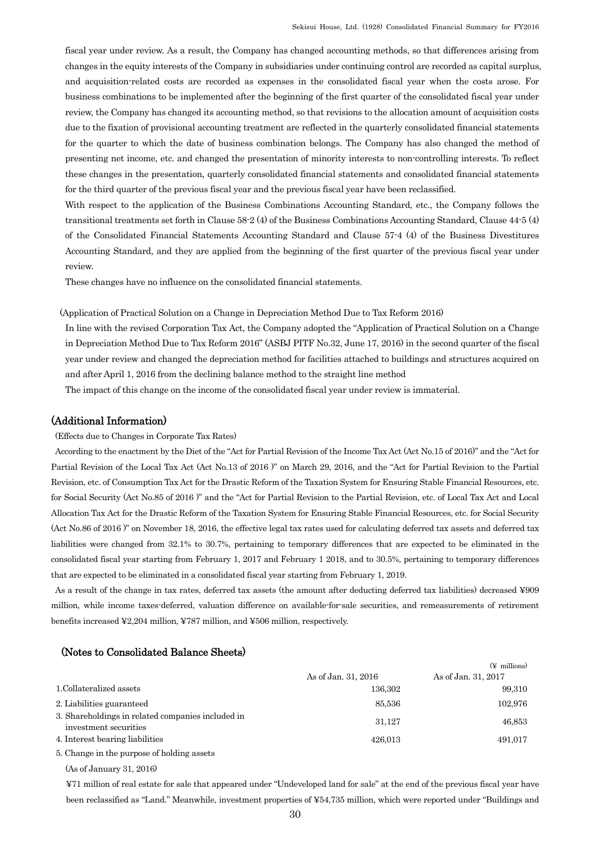fiscal year under review. As a result, the Company has changed accounting methods, so that differences arising from changes in the equity interests of the Company in subsidiaries under continuing control are recorded as capital surplus, and acquisition-related costs are recorded as expenses in the consolidated fiscal year when the costs arose. For business combinations to be implemented after the beginning of the first quarter of the consolidated fiscal year under review, the Company has changed its accounting method, so that revisions to the allocation amount of acquisition costs due to the fixation of provisional accounting treatment are reflected in the quarterly consolidated financial statements for the quarter to which the date of business combination belongs. The Company has also changed the method of presenting net income, etc. and changed the presentation of minority interests to non-controlling interests. To reflect these changes in the presentation, quarterly consolidated financial statements and consolidated financial statements for the third quarter of the previous fiscal year and the previous fiscal year have been reclassified.

With respect to the application of the Business Combinations Accounting Standard, etc., the Company follows the transitional treatments set forth in Clause 58-2 (4) of the Business Combinations Accounting Standard, Clause 44-5 (4) of the Consolidated Financial Statements Accounting Standard and Clause 57-4 (4) of the Business Divestitures Accounting Standard, and they are applied from the beginning of the first quarter of the previous fiscal year under review.

These changes have no influence on the consolidated financial statements.

### (Application of Practical Solution on a Change in Depreciation Method Due to Tax Reform 2016)

In line with the revised Corporation Tax Act, the Company adopted the "Application of Practical Solution on a Change in Depreciation Method Due to Tax Reform 2016" (ASBJ PITF No.32, June 17, 2016) in the second quarter of the fiscal year under review and changed the depreciation method for facilities attached to buildings and structures acquired on and after April 1, 2016 from the declining balance method to the straight line method

The impact of this change on the income of the consolidated fiscal year under review is immaterial.

## (Additional Information)

(Effects due to Changes in Corporate Tax Rates)

According to the enactment by the Diet of the "Act for Partial Revision of the Income Tax Act (Act No.15 of 2016)" and the "Act for Partial Revision of the Local Tax Act (Act No.13 of 2016 )" on March 29, 2016, and the "Act for Partial Revision to the Partial Revision, etc. of Consumption Tax Act for the Drastic Reform of the Taxation System for Ensuring Stable Financial Resources, etc. for Social Security (Act No.85 of 2016 )" and the "Act for Partial Revision to the Partial Revision, etc. of Local Tax Act and Local Allocation Tax Act for the Drastic Reform of the Taxation System for Ensuring Stable Financial Resources, etc. for Social Security (Act No.86 of 2016 )" on November 18, 2016, the effective legal tax rates used for calculating deferred tax assets and deferred tax liabilities were changed from 32.1% to 30.7%, pertaining to temporary differences that are expected to be eliminated in the consolidated fiscal year starting from February 1, 2017 and February 1 2018, and to 30.5%, pertaining to temporary differences that are expected to be eliminated in a consolidated fiscal year starting from February 1, 2019.

As a result of the change in tax rates, deferred tax assets (the amount after deducting deferred tax liabilities) decreased ¥909 million, while income taxes-deferred, valuation difference on available-for-sale securities, and remeasurements of retirement benefits increased ¥2,204 million, ¥787 million, and ¥506 million, respectively.

## (Notes to Consolidated Balance Sheets)

|                                                                            |                     | $(\n\Psi$ millions) |
|----------------------------------------------------------------------------|---------------------|---------------------|
|                                                                            | As of Jan. 31, 2016 | As of Jan. 31, 2017 |
| 1. Collateralized assets                                                   | 136.302             | 99,310              |
| 2. Liabilities guaranteed                                                  | 85,536              | 102,976             |
| 3. Shareholdings in related companies included in<br>investment securities | 31.127              | 46,853              |
| 4. Interest bearing liabilities                                            | 426.013             | 491,017             |
| 5. Change in the purpose of holding assets                                 |                     |                     |

(As of January 31, 2016)

¥71 million of real estate for sale that appeared under "Undeveloped land for sale" at the end of the previous fiscal year have been reclassified as "Land." Meanwhile, investment properties of ¥54,735 million, which were reported under "Buildings and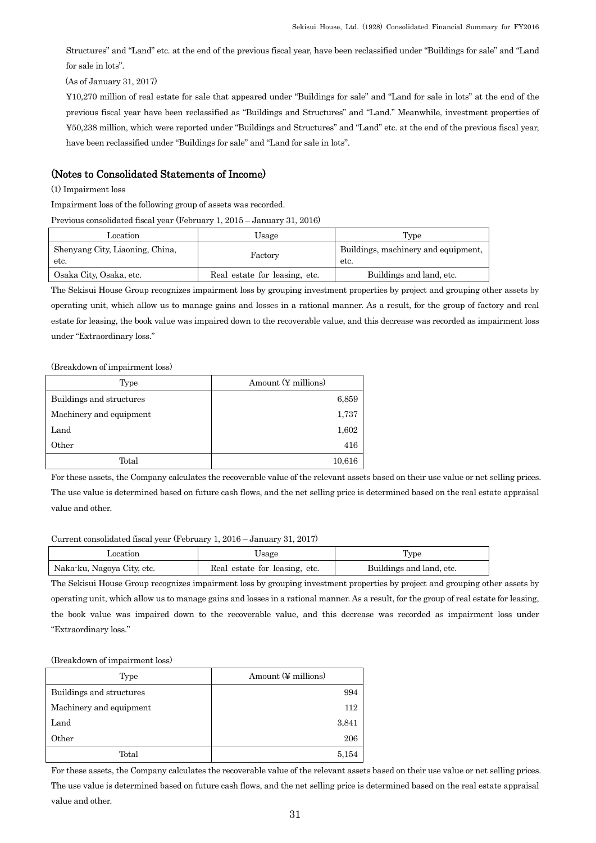Structures" and "Land" etc. at the end of the previous fiscal year, have been reclassified under "Buildings for sale" and "Land for sale in lots".

(As of January 31, 2017)

¥10,270 million of real estate for sale that appeared under "Buildings for sale" and "Land for sale in lots" at the end of the previous fiscal year have been reclassified as "Buildings and Structures" and "Land." Meanwhile, investment properties of ¥50,238 million, which were reported under "Buildings and Structures" and "Land" etc. at the end of the previous fiscal year, have been reclassified under "Buildings for sale" and "Land for sale in lots".

## (Notes to Consolidated Statements of Income)

(1) Impairment loss

Impairment loss of the following group of assets was recorded.

Previous consolidated fiscal year (February 1, 2015 – January 31, 2016)

| Location                                | Usage                         | Type                                        |
|-----------------------------------------|-------------------------------|---------------------------------------------|
| Shenyang City, Liaoning, China,<br>etc. | Factory                       | Buildings, machinery and equipment,<br>etc. |
| Osaka City, Osaka, etc.                 | Real estate for leasing, etc. | Buildings and land, etc.                    |

The Sekisui House Group recognizes impairment loss by grouping investment properties by project and grouping other assets by operating unit, which allow us to manage gains and losses in a rational manner. As a result, for the group of factory and real estate for leasing, the book value was impaired down to the recoverable value, and this decrease was recorded as impairment loss under "Extraordinary loss."

(Breakdown of impairment loss)

| Type                     | Amount $(\Psi \text{ millions})$ |
|--------------------------|----------------------------------|
| Buildings and structures | 6,859                            |
| Machinery and equipment  | 1,737                            |
| Land                     | 1,602                            |
| Other                    | 416                              |
| Total                    | 10,616                           |

For these assets, the Company calculates the recoverable value of the relevant assets based on their use value or net selling prices. The use value is determined based on future cash flows, and the net selling price is determined based on the real estate appraisal value and other.

#### Current consolidated fiscal year (February 1, 2016 – January 31, 2017)

| Location                   | Jsage                         | l'ype                    |
|----------------------------|-------------------------------|--------------------------|
| Naka-ku, Nagoya City, etc. | Real estate for leasing, etc. | Buildings and land, etc. |

The Sekisui House Group recognizes impairment loss by grouping investment properties by project and grouping other assets by operating unit, which allow us to manage gains and losses in a rational manner. As a result, for the group of real estate for leasing, the book value was impaired down to the recoverable value, and this decrease was recorded as impairment loss under "Extraordinary loss."

(Breakdown of impairment loss)

| Type                     | Amount (¥ millions) |
|--------------------------|---------------------|
| Buildings and structures | 994                 |
| Machinery and equipment  | 112                 |
| Land                     | 3,841               |
| Other                    | 206                 |
| Total                    | 5,154               |

For these assets, the Company calculates the recoverable value of the relevant assets based on their use value or net selling prices.

The use value is determined based on future cash flows, and the net selling price is determined based on the real estate appraisal value and other.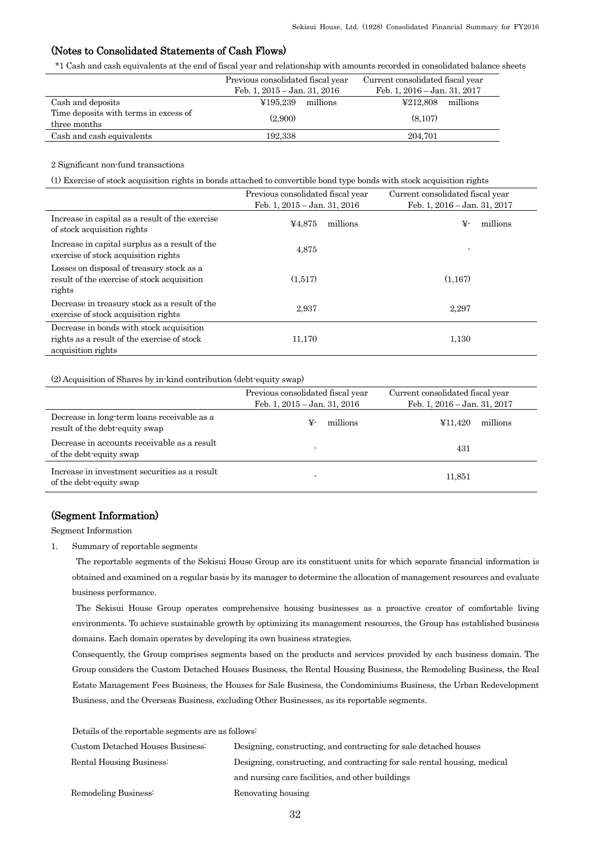## (Notes to Consolidated Statements of Cash Flows)

\*1 Cash and cash equivalents at the end of fiscal year and relationship with amounts recorded in consolidated balance sheets

|                                                       | Previous consolidated fiscal year<br>Feb. 1, $2015 -$ Jan. 31, $2016$ | Current consolidated fiscal year<br>Feb. 1, 2016 – Jan. 31, 2017 |
|-------------------------------------------------------|-----------------------------------------------------------------------|------------------------------------------------------------------|
| Cash and deposits                                     | ¥195.239<br>millions                                                  | ¥212.808<br>millions                                             |
| Time deposits with terms in excess of<br>three months | (2.900)                                                               | (8.107)                                                          |
| Cash and cash equivalents                             | 192.338                                                               | 204.701                                                          |

2 Significant non-fund transactions

(1) Exercise of stock acquisition rights in bonds attached to convertible bond type bonds with stock acquisition rights

|                                                                                                    | Previous consolidated fiscal year | Current consolidated fiscal year |
|----------------------------------------------------------------------------------------------------|-----------------------------------|----------------------------------|
|                                                                                                    | Feb. 1, $2015 -$ Jan. 31, $2016$  | Feb. 1, 2016 - Jan. 31, 2017     |
| Increase in capital as a result of the exercise<br>of stock acquisition rights                     | millions<br>¥4,875                | millions<br>¥-                   |
| Increase in capital surplus as a result of the<br>exercise of stock acquisition rights             | 4.875                             |                                  |
| Losses on disposal of treasury stock as a<br>result of the exercise of stock acquisition<br>rights | (1.517)                           | (1,167)                          |
| Decrease in treasury stock as a result of the<br>exercise of stock acquisition rights              | 2.937                             | 2.297                            |
| Decrease in bonds with stock acquisition                                                           |                                   |                                  |
| rights as a result of the exercise of stock                                                        | 11,170                            | 1,130                            |
| acquisition rights                                                                                 |                                   |                                  |

(2) Acquisition of Shares by in-kind contribution (debt-equity swap)

|                                                                               | Previous consolidated fiscal year<br>Feb. 1, $2015 - Jan.$ 31, $2016$ | Current consolidated fiscal year<br>Feb. 1, $2016 - Jan.$ 31, $2017$ |  |  |
|-------------------------------------------------------------------------------|-----------------------------------------------------------------------|----------------------------------------------------------------------|--|--|
| Decrease in long-term loans receivable as a<br>result of the debt-equity swap | millions<br>¥-                                                        | millions<br>¥11.420                                                  |  |  |
| Decrease in accounts receivable as a result<br>of the debt-equity swap        |                                                                       | 431                                                                  |  |  |
| Increase in investment securities as a result<br>of the debt-equity swap      |                                                                       | 11,851                                                               |  |  |

## (Segment Information)

Segment Information

1. Summary of reportable segments

The reportable segments of the Sekisui House Group are its constituent units for which separate financial information is obtained and examined on a regular basis by its manager to determine the allocation of management resources and evaluate business performance.

The Sekisui House Group operates comprehensive housing businesses as a proactive creator of comfortable living environments. To achieve sustainable growth by optimizing its management resources, the Group has established business domains. Each domain operates by developing its own business strategies.

Consequently, the Group comprises segments based on the products and services provided by each business domain. The Group considers the Custom Detached Houses Business, the Rental Housing Business, the Remodeling Business, the Real Estate Management Fees Business, the Houses for Sale Business, the Condominiums Business, the Urban Redevelopment Business, and the Overseas Business, excluding Other Businesses, as its reportable segments.

Details of the reportable segments are as follows:

| Custom Detached Houses Business: | Designing, constructing, and contracting for sale detached houses         |
|----------------------------------|---------------------------------------------------------------------------|
| Rental Housing Business:         | Designing, constructing, and contracting for sale rental housing, medical |
|                                  | and nursing care facilities, and other buildings                          |
| Remodeling Business              | Renovating housing                                                        |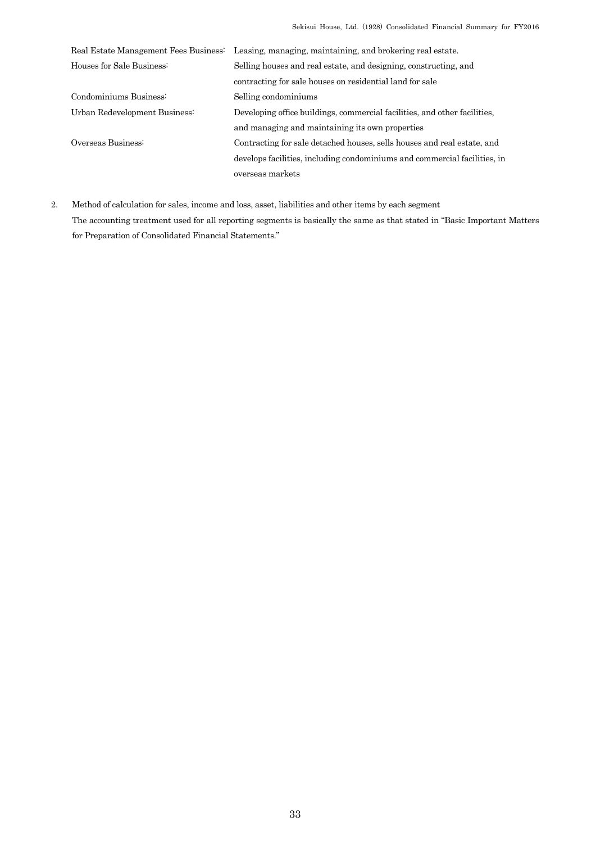|                               | Real Estate Management Fees Business: Leasing, managing, maintaining, and brokering real estate. |
|-------------------------------|--------------------------------------------------------------------------------------------------|
| Houses for Sale Business:     | Selling houses and real estate, and designing, constructing, and                                 |
|                               | contracting for sale houses on residential land for sale                                         |
| Condominiums Business:        | Selling condominiums                                                                             |
| Urban Redevelopment Business. | Developing office buildings, commercial facilities, and other facilities,                        |
|                               | and managing and maintaining its own properties                                                  |
| Overseas Business:            | Contracting for sale detached houses, sells houses and real estate, and                          |
|                               | develops facilities, including condominiums and commercial facilities, in                        |
|                               | overseas markets                                                                                 |

2. Method of calculation for sales, income and loss, asset, liabilities and other items by each segment The accounting treatment used for all reporting segments is basically the same as that stated in "Basic Important Matters for Preparation of Consolidated Financial Statements."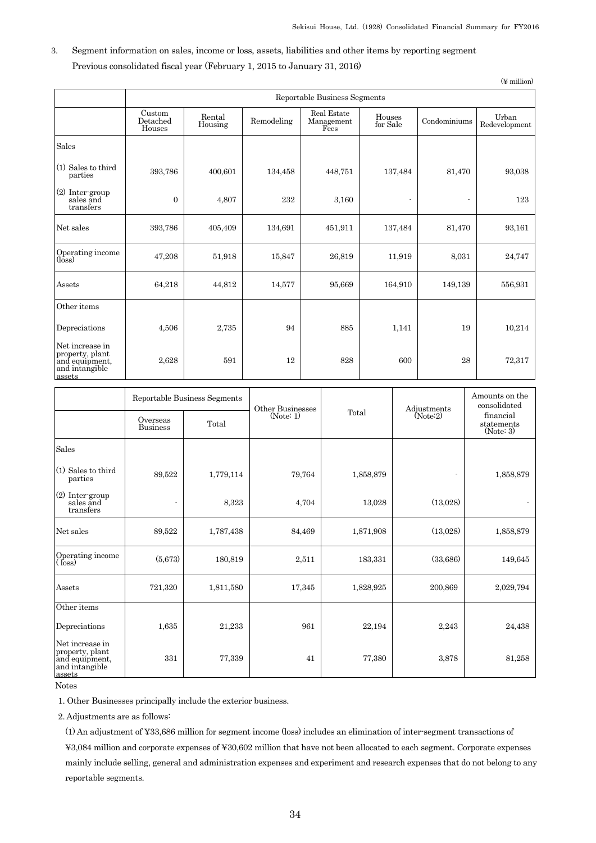(¥ million)

## 3. Segment information on sales, income or loss, assets, liabilities and other items by reporting segment Previous consolidated fiscal year (February 1, 2015 to January 31, 2016)

|                                                                                  | Reportable Business Segments |                              |                  |        |                                   |                    |                |              |                                      |                        |
|----------------------------------------------------------------------------------|------------------------------|------------------------------|------------------|--------|-----------------------------------|--------------------|----------------|--------------|--------------------------------------|------------------------|
|                                                                                  | Custom<br>Detached<br>Houses | Rental<br>Housing            | Remodeling       |        | Real Estate<br>Management<br>Fees | Houses<br>for Sale |                | Condominiums |                                      | Urban<br>Redevelopment |
| Sales                                                                            |                              |                              |                  |        |                                   |                    |                |              |                                      |                        |
| $(1)$ Sales to third<br>parties                                                  | 393,786                      | 400,601                      | 134,458          |        | 448,751                           |                    | 137,484        | 81,470       |                                      | 93,038                 |
| (2) Inter-group<br>sales and<br>transfers                                        | $\overline{0}$               | 4,807                        | 232              |        | 3,160                             |                    | $\blacksquare$ |              |                                      | 123                    |
| Net sales                                                                        | 393,786                      | 405,409                      | 134,691          |        | 451,911                           |                    | 137,484        | 81,470       |                                      | 93,161                 |
| Operating income<br>$(\text{loss})$                                              | 47,208                       | 51,918                       | 15,847           |        | 26,819                            |                    | 11,919         | 8,031        |                                      | 24,747                 |
| Assets                                                                           | 64,218                       | 44,812                       | 14,577           |        | 95,669                            |                    | 164,910        | 149,139      |                                      | 556,931                |
| Other items                                                                      |                              |                              |                  |        |                                   |                    |                |              |                                      |                        |
| Depreciations                                                                    | 4,506                        | 2,735                        | 94               |        | 885                               |                    | 1,141          |              | 19                                   | 10,214                 |
| Net increase in<br>property, plant<br>and equipment,<br>and intangible<br>assets | 2,628                        | 591                          | 12               |        | 828                               |                    | 600            |              | 28                                   | 72,317                 |
|                                                                                  |                              |                              |                  |        |                                   |                    |                |              |                                      | Amounts on the         |
|                                                                                  |                              | Reportable Business Segments | Other Businesses |        |                                   |                    |                | Adjustments  |                                      | consolidated           |
|                                                                                  | Overseas<br><b>Business</b>  | Total                        | (Note: 1)        |        | Total                             |                    | (Note:2)       |              | financial<br>statements<br>(Note: 3) |                        |
| Sales                                                                            |                              |                              |                  |        |                                   |                    |                |              |                                      |                        |
| (1) Sales to third<br>parties                                                    | 89,522                       | 1,779,114                    |                  | 79,764 |                                   | 1,858,879          |                | ٠            |                                      | 1,858,879              |
| $(\alpha)$ $\mathsf{T}$ $\mathsf{L}$                                             |                              |                              |                  |        |                                   |                    |                |              |                                      |                        |

|                                                                                  | Overseas<br><b>Business</b> | Total     | Other Businesses<br>(Note: 1) | Total     | Adjustments<br>(Note:2) | consolidated<br>financial<br>statements<br>(Note: 3) |
|----------------------------------------------------------------------------------|-----------------------------|-----------|-------------------------------|-----------|-------------------------|------------------------------------------------------|
| Sales                                                                            |                             |           |                               |           |                         |                                                      |
| (1) Sales to third<br>parties                                                    | 89,522                      | 1,779,114 | 79,764                        | 1,858,879 | ٠                       | 1,858,879                                            |
| $(2)$ Inter-group<br>sales and<br>transfers                                      |                             | 8,323     | 4,704                         | 13,028    | (13,028)                |                                                      |
| Net sales                                                                        | 89,522                      | 1,787,438 | 84,469                        | 1,871,908 | (13,028)                | 1,858,879                                            |
| Operating income<br>( $\overline{\text{loss}}$                                   | (5,673)                     | 180,819   | 2,511                         | 183,331   | (33,686)                | 149,645                                              |
| Assets                                                                           | 721,320                     | 1,811,580 | 17,345                        | 1,828,925 | 200,869                 | 2,029,794                                            |
| Other items                                                                      |                             |           |                               |           |                         |                                                      |
| Depreciations                                                                    | 1,635                       | 21,233    | 961                           | 22,194    | 2,243                   | 24,438                                               |
| Net increase in<br>property, plant<br>and equipment,<br>and intangible<br>assets | 331                         | 77,339    | 41                            | 77,380    | 3,878                   | 81,258                                               |

Notes

1. Other Businesses principally include the exterior business.

2. Adjustments are as follows:

(1) An adjustment of ¥33,686 million for segment income (loss) includes an elimination of inter-segment transactions of

¥3,084 million and corporate expenses of ¥30,602 million that have not been allocated to each segment. Corporate expenses mainly include selling, general and administration expenses and experiment and research expenses that do not belong to any reportable segments.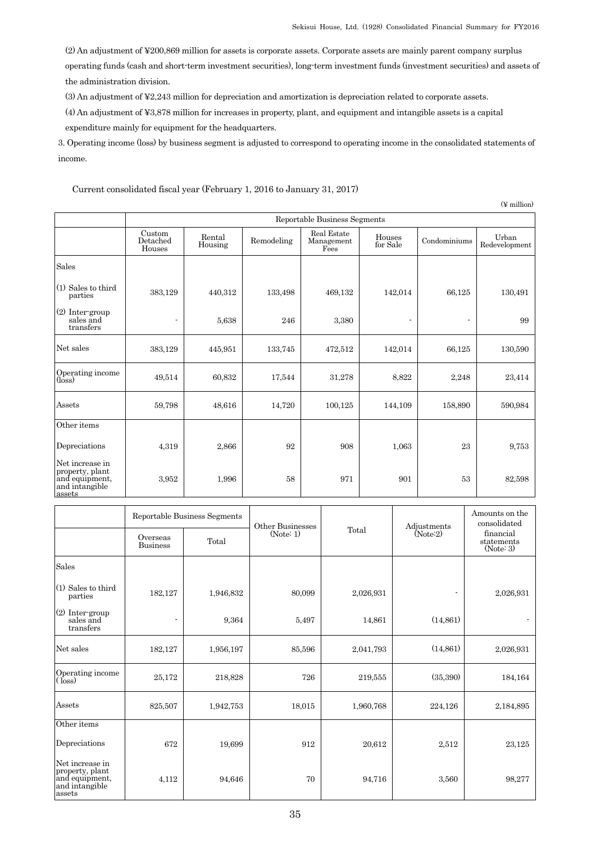(2) An adjustment of ¥200,869 million for assets is corporate assets. Corporate assets are mainly parent company surplus operating funds (cash and short-term investment securities), long-term investment funds (investment securities) and assets of the administration division.

(3) An adjustment of ¥2,243 million for depreciation and amortization is depreciation related to corporate assets.

(4) An adjustment of ¥3,878 million for increases in property, plant, and equipment and intangible assets is a capital

expenditure mainly for equipment for the headquarters.

3. Operating income (loss) by business segment is adjusted to correspond to operating income in the consolidated statements of income.

Current consolidated fiscal year (February 1, 2016 to January 31, 2017)

|                                                                                  |                              |                   |            |                                   |                    |              | $(\n\Psi$ million)     |  |  |
|----------------------------------------------------------------------------------|------------------------------|-------------------|------------|-----------------------------------|--------------------|--------------|------------------------|--|--|
|                                                                                  | Reportable Business Segments |                   |            |                                   |                    |              |                        |  |  |
|                                                                                  | Custom<br>Detached<br>Houses | Rental<br>Housing | Remodeling | Real Estate<br>Management<br>Fees | Houses<br>for Sale | Condominiums | Urban<br>Redevelopment |  |  |
| Sales                                                                            |                              |                   |            |                                   |                    |              |                        |  |  |
| $(1)$ Sales to third<br>parties                                                  | 383,129                      | 440,312           | 133,498    | 469,132                           | 142,014            | 66,125       | 130,491                |  |  |
| $(2)$ Inter-group<br>sales and<br>transfers                                      |                              | 5,638             | 246        | 3,380                             |                    |              | 99                     |  |  |
| Net sales                                                                        | 383,129                      | 445,951           | 133,745    | 472,512                           | 142,014            | 66,125       | 130,590                |  |  |
| Operating income<br>$(\text{loss})$                                              | 49,514                       | 60,832            | 17,544     | 31,278                            | 8,822              | 2,248        | 23,414                 |  |  |
| Assets                                                                           | 59,798                       | 48,616            | 14,720     | 100,125                           | 144,109            | 158,890      | 590,984                |  |  |
| Other items                                                                      |                              |                   |            |                                   |                    |              |                        |  |  |
| Depreciations                                                                    | 4,319                        | 2,866             | 92         | 908                               | 1,063              | 23           | 9,753                  |  |  |
| Net increase in<br>property, plant<br>and equipment,<br>and intangible<br>assets | 3,952                        | 1,996             | 58         | 971                               | 901                | 53           | 82,598                 |  |  |

|                                                                                  | Overseas<br><b>Business</b> | Reportable Business Segments<br>Total | Other Businesses<br>(Note: 1) | Total     | Adjustments<br>(Note:2) | Amounts on the<br>consolidated<br>financial<br>statements<br>(Note: 3) |
|----------------------------------------------------------------------------------|-----------------------------|---------------------------------------|-------------------------------|-----------|-------------------------|------------------------------------------------------------------------|
| Sales                                                                            |                             |                                       |                               |           |                         |                                                                        |
| (1) Sales to third<br>parties                                                    | 182,127                     | 1,946,832                             | 80,099                        | 2,026,931 | ٠                       | 2,026,931                                                              |
| (2) Inter-group<br>sales and<br>transfers                                        |                             | 9,364                                 | 5.497                         | 14,861    | (14, 861)               |                                                                        |
| Net sales                                                                        | 182,127                     | 1,956,197                             | 85,596                        | 2,041,793 | (14, 861)               | 2,026,931                                                              |
| Operating income<br>$(\text{loss})$                                              | 25,172                      | 218,828                               | 726                           | 219,555   | (35,390)                | 184,164                                                                |
| Assets                                                                           | 825,507                     | 1,942,753                             | 18,015                        | 1,960,768 | 224,126                 | 2,184,895                                                              |
| Other items                                                                      |                             |                                       |                               |           |                         |                                                                        |
| Depreciations                                                                    | 672                         | 19,699                                | 912                           | 20,612    | 2,512                   | 23,125                                                                 |
| Net increase in<br>property, plant<br>and equipment,<br>and intangible<br>assets | 4,112                       | 94,646                                | 70                            | 94,716    | 3,560                   | 98,277                                                                 |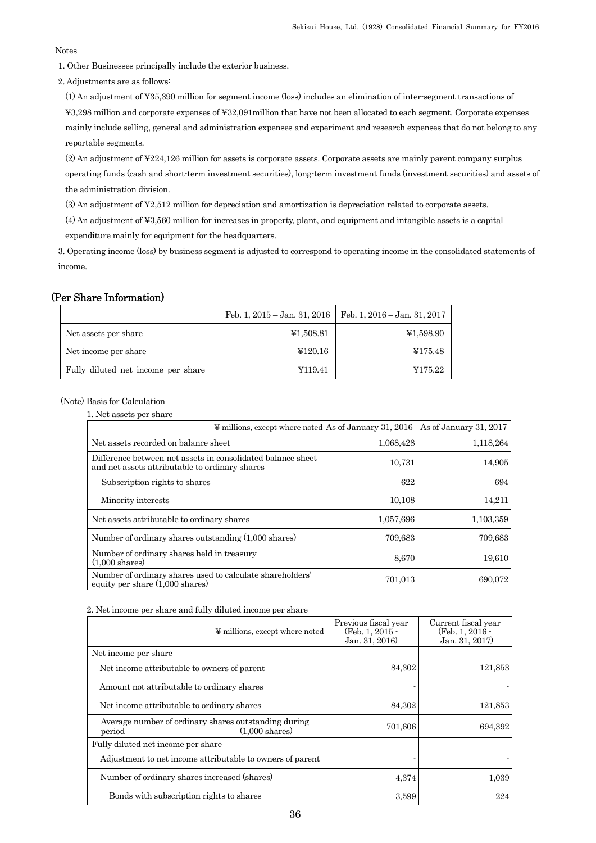## Notes

- 1. Other Businesses principally include the exterior business.
- 2. Adjustments are as follows:

(1) An adjustment of ¥35,390 million for segment income (loss) includes an elimination of inter-segment transactions of ¥3,298 million and corporate expenses of ¥32,091million that have not been allocated to each segment. Corporate expenses mainly include selling, general and administration expenses and experiment and research expenses that do not belong to any reportable segments.

(2) An adjustment of ¥224,126 million for assets is corporate assets. Corporate assets are mainly parent company surplus operating funds (cash and short-term investment securities), long-term investment funds (investment securities) and assets of the administration division.

(3) An adjustment of ¥2,512 million for depreciation and amortization is depreciation related to corporate assets.

- (4) An adjustment of ¥3,560 million for increases in property, plant, and equipment and intangible assets is a capital
- expenditure mainly for equipment for the headquarters.

3. Operating income (loss) by business segment is adjusted to correspond to operating income in the consolidated statements of income.

## (Per Share Information)

|                                    |           | Feb. 1, 2015 – Jan. 31, 2016   Feb. 1, 2016 – Jan. 31, 2017 |
|------------------------------------|-----------|-------------------------------------------------------------|
| Net assets per share               | ¥1,508.81 | ¥1,598.90                                                   |
| Net income per share               | ¥120.16   | ¥175.48                                                     |
| Fully diluted net income per share | ¥119.41   | ¥175.22                                                     |

(Note) Basis for Calculation

1. Net assets per share

| $\frac{1}{2}$ millions, except where noted As of January 31, 2016                                             |           | As of January 31, 2017 |
|---------------------------------------------------------------------------------------------------------------|-----------|------------------------|
| Net assets recorded on balance sheet                                                                          | 1,068,428 | 1,118,264              |
| Difference between net assets in consolidated balance sheet<br>and net assets attributable to ordinary shares | 10,731    | 14,905                 |
| Subscription rights to shares                                                                                 | 622       | 694                    |
| Minority interests                                                                                            | 10,108    | 14,211                 |
| Net assets attributable to ordinary shares                                                                    | 1,057,696 | 1,103,359              |
| Number of ordinary shares outstanding (1,000 shares)                                                          | 709,683   | 709,683                |
| Number of ordinary shares held in treasury<br>$(1.000 \text{ shares})$                                        | 8,670     | 19,610                 |
| Number of ordinary shares used to calculate shareholders'<br>equity per share $(1,000 \text{ shares})$        | 701,013   | 690,072                |

#### 2. Net income per share and fully diluted income per share

| ¥ millions, except where noted                                                             | Previous fiscal year<br>(Feb. 1, $2015 -$<br>Jan. 31, 2016) | Current fiscal year<br>$(Feb. 1, 2016 -$<br>Jan. 31, 2017) |
|--------------------------------------------------------------------------------------------|-------------------------------------------------------------|------------------------------------------------------------|
| Net income per share                                                                       |                                                             |                                                            |
| Net income attributable to owners of parent                                                | 84,302                                                      | 121,853                                                    |
| Amount not attributable to ordinary shares                                                 |                                                             |                                                            |
| Net income attributable to ordinary shares                                                 | 84,302                                                      | 121,853                                                    |
| Average number of ordinary shares outstanding during<br>$(1.000 \text{ shares})$<br>period | 701,606                                                     | 694,392                                                    |
| Fully diluted net income per share                                                         |                                                             |                                                            |
| Adjustment to net income attributable to owners of parent                                  |                                                             |                                                            |
| Number of ordinary shares increased (shares)                                               | 4,374                                                       | 1,039                                                      |
| Bonds with subscription rights to shares                                                   | 3,599                                                       | 224                                                        |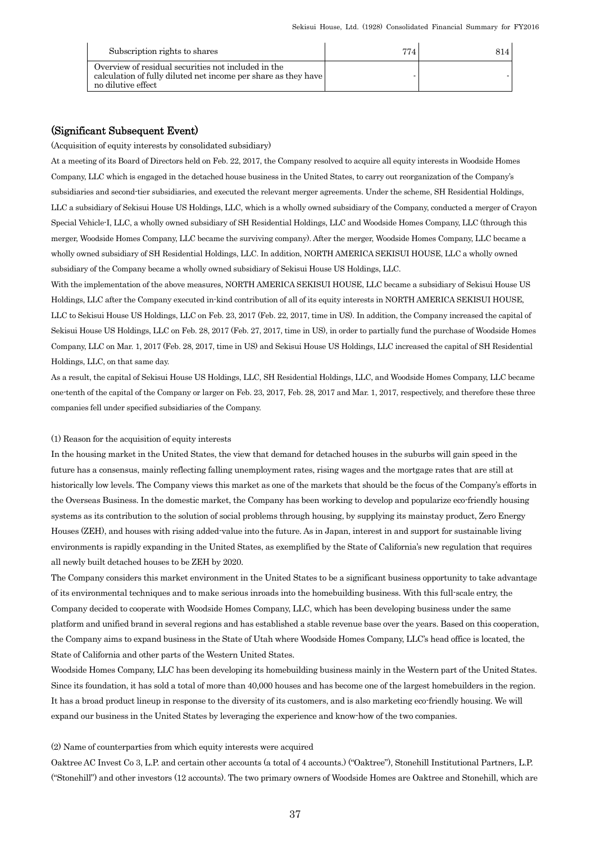| Subscription rights to shares                                                                                                               | 774 | 814. |
|---------------------------------------------------------------------------------------------------------------------------------------------|-----|------|
| Overview of residual securities not included in the<br>calculation of fully diluted net income per share as they have<br>no dilutive effect |     |      |

## (Significant Subsequent Event)

(Acquisition of equity interests by consolidated subsidiary)

At a meeting of its Board of Directors held on Feb. 22, 2017, the Company resolved to acquire all equity interests in Woodside Homes Company, LLC which is engaged in the detached house business in the United States, to carry out reorganization of the Company's subsidiaries and second-tier subsidiaries, and executed the relevant merger agreements. Under the scheme, SH Residential Holdings, LLC a subsidiary of Sekisui House US Holdings, LLC, which is a wholly owned subsidiary of the Company, conducted a merger of Crayon Special Vehicle-I, LLC, a wholly owned subsidiary of SH Residential Holdings, LLC and Woodside Homes Company, LLC (through this merger, Woodside Homes Company, LLC became the surviving company). After the merger, Woodside Homes Company, LLC became a wholly owned subsidiary of SH Residential Holdings, LLC. In addition, NORTH AMERICA SEKISUI HOUSE, LLC a wholly owned subsidiary of the Company became a wholly owned subsidiary of Sekisui House US Holdings, LLC.

With the implementation of the above measures, NORTH AMERICA SEKISUI HOUSE, LLC became a subsidiary of Sekisui House US Holdings, LLC after the Company executed in-kind contribution of all of its equity interests in NORTH AMERICA SEKISUI HOUSE, LLC to Sekisui House US Holdings, LLC on Feb. 23, 2017 (Feb. 22, 2017, time in US). In addition, the Company increased the capital of Sekisui House US Holdings, LLC on Feb. 28, 2017 (Feb. 27, 2017, time in US), in order to partially fund the purchase of Woodside Homes Company, LLC on Mar. 1, 2017 (Feb. 28, 2017, time in US) and Sekisui House US Holdings, LLC increased the capital of SH Residential Holdings, LLC, on that same day.

As a result, the capital of Sekisui House US Holdings, LLC, SH Residential Holdings, LLC, and Woodside Homes Company, LLC became one-tenth of the capital of the Company or larger on Feb. 23, 2017, Feb. 28, 2017 and Mar. 1, 2017, respectively, and therefore these three companies fell under specified subsidiaries of the Company.

#### (1) Reason for the acquisition of equity interests

In the housing market in the United States, the view that demand for detached houses in the suburbs will gain speed in the future has a consensus, mainly reflecting falling unemployment rates, rising wages and the mortgage rates that are still at historically low levels. The Company views this market as one of the markets that should be the focus of the Company's efforts in the Overseas Business. In the domestic market, the Company has been working to develop and popularize eco-friendly housing systems as its contribution to the solution of social problems through housing, by supplying its mainstay product, Zero Energy Houses (ZEH), and houses with rising added-value into the future. As in Japan, interest in and support for sustainable living environments is rapidly expanding in the United States, as exemplified by the State of California's new regulation that requires all newly built detached houses to be ZEH by 2020.

The Company considers this market environment in the United States to be a significant business opportunity to take advantage of its environmental techniques and to make serious inroads into the homebuilding business. With this full-scale entry, the Company decided to cooperate with Woodside Homes Company, LLC, which has been developing business under the same platform and unified brand in several regions and has established a stable revenue base over the years. Based on this cooperation, the Company aims to expand business in the State of Utah where Woodside Homes Company, LLC's head office is located, the State of California and other parts of the Western United States.

Woodside Homes Company, LLC has been developing its homebuilding business mainly in the Western part of the United States. Since its foundation, it has sold a total of more than 40,000 houses and has become one of the largest homebuilders in the region. It has a broad product lineup in response to the diversity of its customers, and is also marketing eco-friendly housing. We will expand our business in the United States by leveraging the experience and know-how of the two companies.

#### (2) Name of counterparties from which equity interests were acquired

Oaktree AC Invest Co 3, L.P. and certain other accounts (a total of 4 accounts.) ("Oaktree"), Stonehill Institutional Partners, L.P. ("Stonehill") and other investors (12 accounts). The two primary owners of Woodside Homes are Oaktree and Stonehill, which are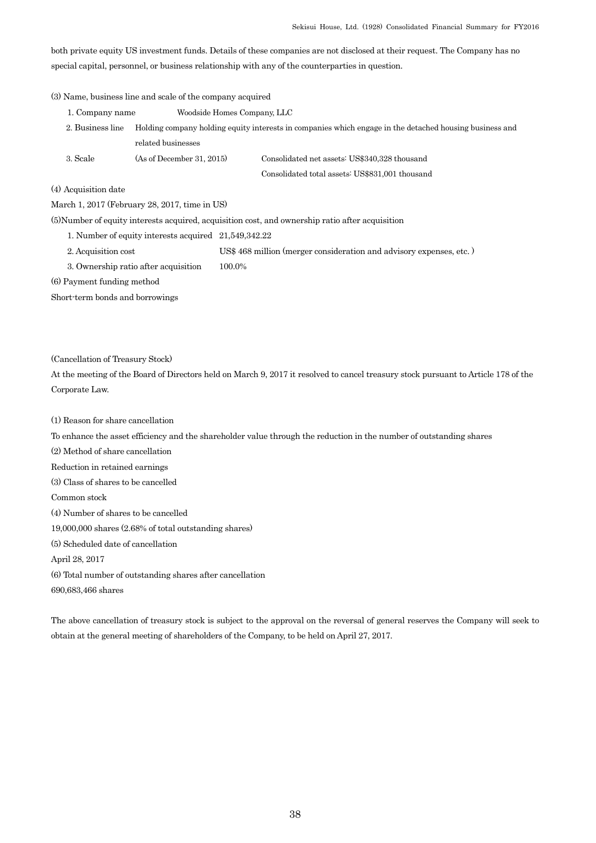both private equity US investment funds. Details of these companies are not disclosed at their request. The Company has no special capital, personnel, or business relationship with any of the counterparties in question.

## (3) Name, business line and scale of the company acquired

| 1. Company name  | Woodside Homes Company, LLC |                                                                                                         |
|------------------|-----------------------------|---------------------------------------------------------------------------------------------------------|
| 2. Business line |                             | Holding company holding equity interests in companies which engage in the detached housing business and |
|                  | related businesses          |                                                                                                         |
| 3. Scale         | (As of December 31, 2015)   | Consolidated net assets: US\$340,328 thousand                                                           |
|                  |                             | Consolidated total assets: US\$831,001 thousand                                                         |

### (4) Acquisition date

March 1, 2017 (February 28, 2017, time in US)

(5)Number of equity interests acquired, acquisition cost, and ownership ratio after acquisition

1. Number of equity interests acquired 21,549,342.22

- 2. Acquisition cost US\$ 468 million (merger consideration and advisory expenses, etc. )
- 3. Ownership ratio after acquisition 100.0%

(6) Payment funding method

Short-term bonds and borrowings

(Cancellation of Treasury Stock)

At the meeting of the Board of Directors held on March 9, 2017 it resolved to cancel treasury stock pursuant to Article 178 of the Corporate Law.

(1) Reason for share cancellation

To enhance the asset efficiency and the shareholder value through the reduction in the number of outstanding shares

(2) Method of share cancellation

Reduction in retained earnings

(3) Class of shares to be cancelled

Common stock

(4) Number of shares to be cancelled

19,000,000 shares (2.68% of total outstanding shares)

(5) Scheduled date of cancellation

April 28, 2017

(6) Total number of outstanding shares after cancellation

690,683,466 shares

The above cancellation of treasury stock is subject to the approval on the reversal of general reserves the Company will seek to obtain at the general meeting of shareholders of the Company, to be held on April 27, 2017.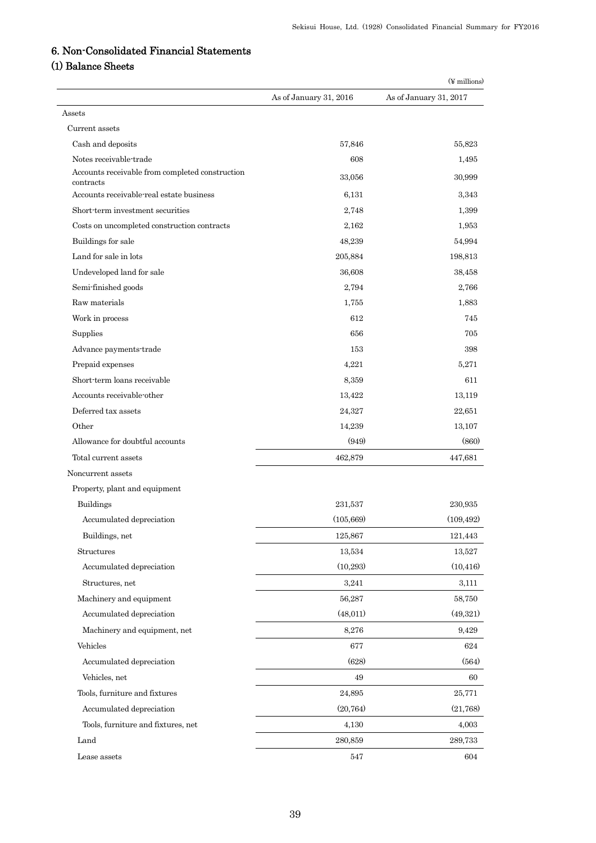# 6. Non-Consolidated Financial Statements

# (1) Balance Sheets

|                                                                           |                        | $(\frac{1}{2}$ millions) |
|---------------------------------------------------------------------------|------------------------|--------------------------|
|                                                                           | As of January 31, 2016 | As of January 31, 2017   |
| Assets                                                                    |                        |                          |
| Current assets                                                            |                        |                          |
| Cash and deposits                                                         | 57,846                 | 55,823                   |
| Notes receivable-trade<br>Accounts receivable from completed construction | 608                    | 1,495                    |
| contracts                                                                 | 33,056                 | 30,999                   |
| Accounts receivable real estate business                                  | 6,131                  | 3,343                    |
| Short term investment securities                                          | 2,748                  | 1,399                    |
| Costs on uncompleted construction contracts                               | 2,162                  | 1,953                    |
| Buildings for sale                                                        | 48,239                 | 54,994                   |
| Land for sale in lots                                                     | 205,884                | 198,813                  |
| Undeveloped land for sale                                                 | 36,608                 | 38,458                   |
| Semi-finished goods                                                       | 2,794                  | 2,766                    |
| Raw materials                                                             | 1,755                  | 1,883                    |
| Work in process                                                           | 612                    | 745                      |
| Supplies                                                                  | 656                    | 705                      |
| Advance payments-trade                                                    | 153                    | 398                      |
| Prepaid expenses                                                          | 4,221                  | 5,271                    |
| Short-term loans receivable                                               | 8,359                  | 611                      |
| Accounts receivable-other                                                 | 13,422                 | 13,119                   |
| Deferred tax assets                                                       | 24,327                 | 22,651                   |
| Other                                                                     | 14,239                 | 13,107                   |
| Allowance for doubtful accounts                                           | (949)                  | (860)                    |
| Total current assets                                                      | 462,879                | 447,681                  |
| Noncurrent assets                                                         |                        |                          |
| Property, plant and equipment                                             |                        |                          |
| <b>Buildings</b>                                                          | 231,537                | 230,935                  |
| Accumulated depreciation                                                  | (105, 669)             | (109, 492)               |
| Buildings, net                                                            | 125,867                | 121,443                  |
| Structures                                                                | 13,534                 | 13,527                   |
| Accumulated depreciation                                                  | (10, 293)              | (10, 416)                |
| Structures, net                                                           | 3,241                  | 3,111                    |
| Machinery and equipment                                                   | 56,287                 | 58,750                   |
| Accumulated depreciation                                                  | (48, 011)              | (49,321)                 |
| Machinery and equipment, net                                              | 8,276                  | 9,429                    |
| Vehicles                                                                  | 677                    | 624                      |
| Accumulated depreciation                                                  | (628)                  | (564)                    |
| Vehicles, net                                                             | 49                     | 60                       |
| Tools, furniture and fixtures                                             | 24,895                 | 25,771                   |
| Accumulated depreciation                                                  | (20, 764)              | (21,768)                 |
| Tools, furniture and fixtures, net                                        | 4,130                  | 4,003                    |
|                                                                           |                        |                          |
| Land                                                                      | 280,859                | 289,733                  |
| Lease assets                                                              | 547                    | 604                      |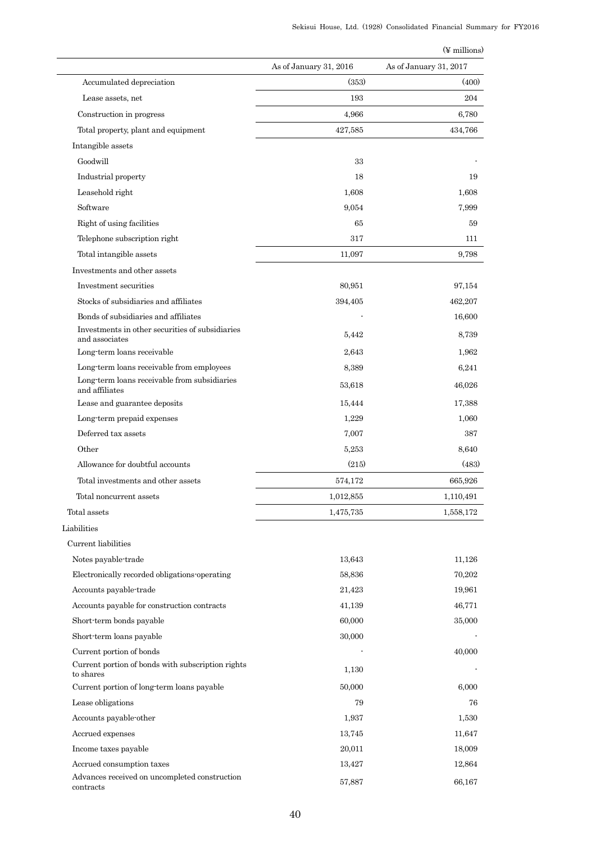|                                                                                         |                        | $(\n\Psi$ millions)    |
|-----------------------------------------------------------------------------------------|------------------------|------------------------|
|                                                                                         | As of January 31, 2016 | As of January 31, 2017 |
| Accumulated depreciation                                                                | (353)                  | (400)                  |
| Lease assets, net                                                                       | 193                    | 204                    |
| Construction in progress                                                                | 4,966                  | 6,780                  |
| Total property, plant and equipment                                                     | 427,585                | 434,766                |
| Intangible assets                                                                       |                        |                        |
| Goodwill                                                                                | 33                     |                        |
| Industrial property                                                                     | 18                     | 19                     |
| Leasehold right                                                                         | 1,608                  | 1,608                  |
| Software                                                                                | 9,054                  | 7,999                  |
| Right of using facilities                                                               | 65                     | 59                     |
| Telephone subscription right                                                            | 317                    | 111                    |
| Total intangible assets                                                                 | 11,097                 | 9,798                  |
| Investments and other assets                                                            |                        |                        |
| Investment securities                                                                   | 80,951                 | 97,154                 |
| Stocks of subsidiaries and affiliates                                                   |                        |                        |
|                                                                                         | 394,405                | 462,207                |
| Bonds of subsidiaries and affiliates<br>Investments in other securities of subsidiaries |                        | 16,600                 |
| and associates                                                                          | 5,442                  | 8,739                  |
| Long-term loans receivable                                                              | 2,643                  | 1,962                  |
| Long term loans receivable from employees                                               | 8,389                  | 6,241                  |
| Long-term loans receivable from subsidiaries<br>and affiliates                          | 53,618                 | 46,026                 |
| Lease and guarantee deposits                                                            | 15,444                 | 17,388                 |
| Long term prepaid expenses                                                              | 1,229                  | 1,060                  |
| Deferred tax assets                                                                     | 7,007                  | 387                    |
| Other                                                                                   | 5,253                  | 8,640                  |
| Allowance for doubtful accounts                                                         | (215)                  | (483)                  |
| Total investments and other assets                                                      | 574,172                | 665,926                |
| Total noncurrent assets                                                                 | 1,012,855              | 1,110,491              |
| Total assets                                                                            | 1,475,735              | 1,558,172              |
| Liabilities                                                                             |                        |                        |
| Current liabilities                                                                     |                        |                        |
| Notes payable-trade                                                                     | 13,643                 | 11,126                 |
| Electronically recorded obligations operating                                           | 58,836                 | 70,202                 |
| Accounts payable-trade                                                                  | 21,423                 | 19,961                 |
| Accounts payable for construction contracts                                             | 41,139                 | 46,771                 |
| Short-term bonds payable                                                                | 60,000                 | 35,000                 |
| Short-term loans payable                                                                | 30,000                 |                        |
| Current portion of bonds                                                                |                        | 40,000                 |
| Current portion of bonds with subscription rights<br>to shares                          | 1,130                  |                        |
| Current portion of long-term loans payable                                              | 50,000                 | 6,000                  |
| Lease obligations                                                                       | 79                     | 76                     |
| Accounts payable-other                                                                  | 1,937                  | 1,530                  |
| Accrued expenses                                                                        | 13,745                 | 11,647                 |
| Income taxes payable                                                                    | 20,011                 | 18,009                 |
| Accrued consumption taxes                                                               | 13,427                 | 12,864                 |
| Advances received on uncompleted construction                                           | 57,887                 | 66,167                 |
| contracts                                                                               |                        |                        |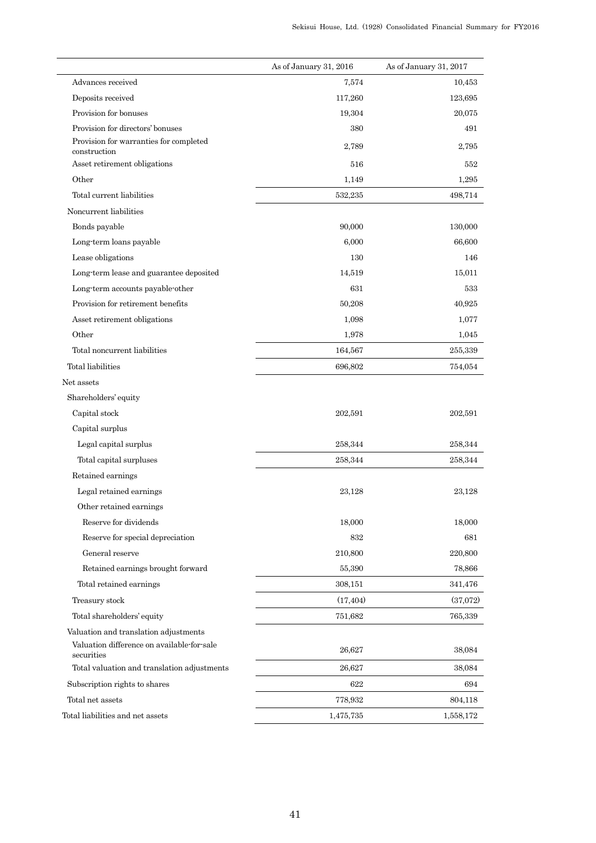|                                                          | As of January 31, 2016 | As of January 31, 2017 |
|----------------------------------------------------------|------------------------|------------------------|
| Advances received                                        | 7,574                  | 10,453                 |
| Deposits received                                        | 117,260                | 123,695                |
| Provision for bonuses                                    | 19,304                 | 20,075                 |
| Provision for directors' bonuses                         | 380                    | 491                    |
| Provision for warranties for completed<br>construction   | 2,789                  | 2,795                  |
| Asset retirement obligations                             | 516                    | 552                    |
| Other                                                    | 1,149                  | 1,295                  |
| Total current liabilities                                | 532,235                | 498,714                |
| Noncurrent liabilities                                   |                        |                        |
| Bonds payable                                            | 90,000                 | 130,000                |
| Long-term loans payable                                  | 6,000                  | 66,600                 |
| Lease obligations                                        | 130                    | 146                    |
| Long-term lease and guarantee deposited                  | 14,519                 | 15,011                 |
| Long-term accounts payable-other                         | 631                    | 533                    |
| Provision for retirement benefits                        | 50,208                 | 40,925                 |
| Asset retirement obligations                             | 1,098                  | 1,077                  |
| Other                                                    | 1,978                  | 1,045                  |
| Total noncurrent liabilities                             | 164,567                | 255,339                |
| Total liabilities                                        | 696,802                | 754,054                |
| Net assets                                               |                        |                        |
| Shareholders' equity                                     |                        |                        |
| Capital stock                                            | 202,591                | 202,591                |
| Capital surplus                                          |                        |                        |
| Legal capital surplus                                    | 258,344                | 258,344                |
| Total capital surpluses                                  | 258,344                | 258,344                |
| Retained earnings                                        |                        |                        |
| Legal retained earnings                                  | 23,128                 | 23,128                 |
| Other retained earnings                                  |                        |                        |
| Reserve for dividends                                    | 18,000                 | 18,000                 |
| Reserve for special depreciation                         | 832                    | 681                    |
| General reserve                                          | 210,800                | 220,800                |
| Retained earnings brought forward                        | 55,390                 | 78,866                 |
| Total retained earnings                                  | 308,151                | 341,476                |
| Treasury stock                                           | (17, 404)              | (37,072)               |
| Total shareholders' equity                               | 751,682                | 765,339                |
| Valuation and translation adjustments                    |                        |                        |
| Valuation difference on available-for-sale<br>securities | 26,627                 | 38,084                 |
| Total valuation and translation adjustments              | 26,627                 | 38,084                 |
| Subscription rights to shares                            | 622                    | 694                    |
| Total net assets                                         | 778,932                | 804,118                |
| Total liabilities and net assets                         | 1,475,735              | 1,558,172              |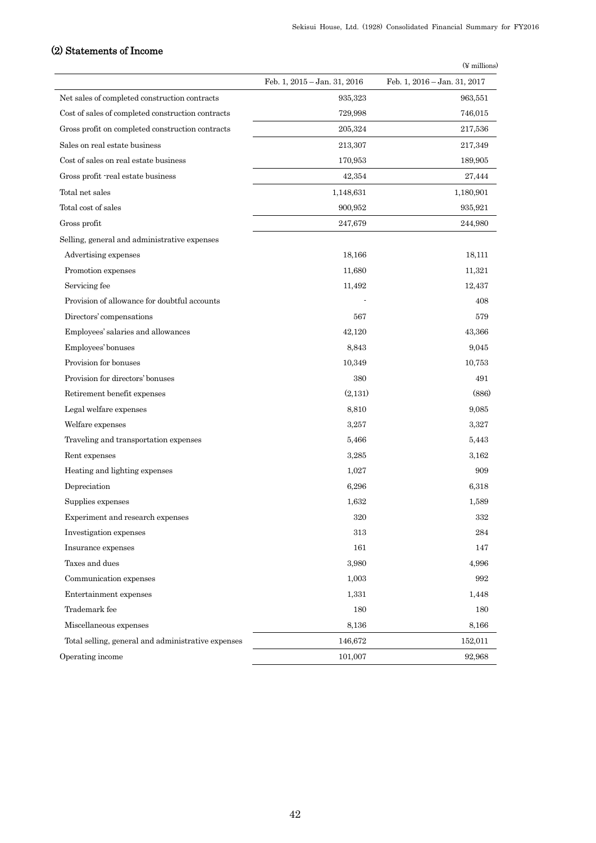# (2) Statements of Income

|                                                    |                              | $(\frac{1}{2}$ millions)     |
|----------------------------------------------------|------------------------------|------------------------------|
|                                                    | Feb. 1, 2015 - Jan. 31, 2016 | Feb. 1, 2016 - Jan. 31, 2017 |
| Net sales of completed construction contracts      | 935,323                      | 963,551                      |
| Cost of sales of completed construction contracts  | 729,998                      | 746,015                      |
| Gross profit on completed construction contracts   | 205,324                      | 217,536                      |
| Sales on real estate business                      | 213,307                      | 217,349                      |
| Cost of sales on real estate business              | 170,953                      | 189,905                      |
| Gross profit -real estate business                 | 42,354                       | 27,444                       |
| Total net sales                                    | 1,148,631                    | 1,180,901                    |
| Total cost of sales                                | 900,952                      | 935,921                      |
| Gross profit                                       | 247,679                      | 244,980                      |
| Selling, general and administrative expenses       |                              |                              |
| Advertising expenses                               | 18,166                       | 18,111                       |
| Promotion expenses                                 | 11,680                       | 11,321                       |
| Servicing fee                                      | 11,492                       | 12,437                       |
| Provision of allowance for doubtful accounts       |                              | 408                          |
| Directors' compensations                           | 567                          | 579                          |
| Employees' salaries and allowances                 | 42,120                       | 43,366                       |
| Employees' bonuses                                 | 8,843                        | 9,045                        |
| Provision for bonuses                              | 10,349                       | 10,753                       |
| Provision for directors' bonuses                   | 380                          | 491                          |
| Retirement benefit expenses                        | (2,131)                      | (886)                        |
| Legal welfare expenses                             | 8,810                        | 9,085                        |
| Welfare expenses                                   | 3,257                        | 3,327                        |
| Traveling and transportation expenses              | 5,466                        | 5,443                        |
| Rent expenses                                      | 3,285                        | 3,162                        |
| Heating and lighting expenses                      | 1,027                        | 909                          |
| Depreciation                                       | 6,296                        | 6,318                        |
| Supplies expenses                                  | 1,632                        | 1,589                        |
| Experiment and research expenses                   | 320                          | 332                          |
| Investigation expenses                             | 313                          | 284                          |
| Insurance expenses                                 | 161                          | 147                          |
| Taxes and dues                                     | 3,980                        | 4,996                        |
| Communication expenses                             | 1,003                        | 992                          |
| Entertainment expenses                             | 1,331                        | 1,448                        |
| Trademark fee                                      | 180                          | 180                          |
| Miscellaneous expenses                             | 8,136                        | 8,166                        |
| Total selling, general and administrative expenses | 146,672                      | 152,011                      |
| Operating income                                   | 101,007                      | 92,968                       |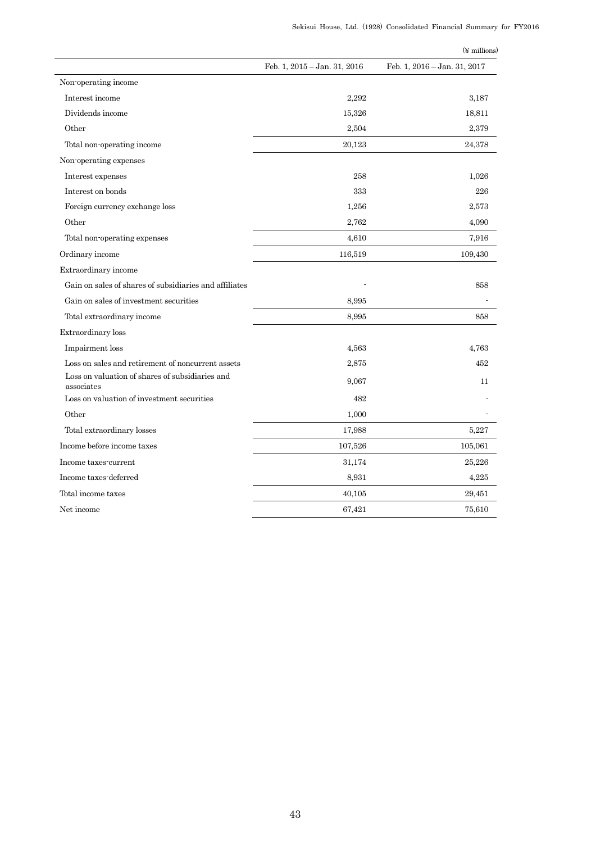|                                                               |                              | (¥ millions)                 |
|---------------------------------------------------------------|------------------------------|------------------------------|
|                                                               | Feb. 1, 2015 - Jan. 31, 2016 | Feb. 1, 2016 - Jan. 31, 2017 |
| Non-operating income                                          |                              |                              |
| Interest income                                               | 2,292                        | 3,187                        |
| Dividends income                                              | 15,326                       | 18,811                       |
| Other                                                         | 2,504                        | 2,379                        |
| Total non-operating income                                    | 20,123                       | 24,378                       |
| Non operating expenses                                        |                              |                              |
| Interest expenses                                             | 258                          | 1,026                        |
| Interest on bonds                                             | 333                          | 226                          |
| Foreign currency exchange loss                                | 1,256                        | 2,573                        |
| Other                                                         | 2,762                        | 4,090                        |
| Total non-operating expenses                                  | 4,610                        | 7,916                        |
| Ordinary income                                               | 116,519                      | 109,430                      |
| Extraordinary income                                          |                              |                              |
| Gain on sales of shares of subsidiaries and affiliates        |                              | 858                          |
| Gain on sales of investment securities                        | 8.995                        |                              |
| Total extraordinary income                                    | 8.995                        | 858                          |
| Extraordinary loss                                            |                              |                              |
| Impairment loss                                               | 4,563                        | 4.763                        |
| Loss on sales and retirement of noncurrent assets             | 2,875                        | 452                          |
| Loss on valuation of shares of subsidiaries and<br>associates | 9.067                        | 11                           |
| Loss on valuation of investment securities                    | 482                          |                              |
| Other                                                         | 1,000                        |                              |
| Total extraordinary losses                                    | 17,988                       | 5,227                        |
| Income before income taxes                                    | 107,526                      | 105,061                      |
| Income taxes-current                                          | 31,174                       | 25,226                       |
| Income taxes-deferred                                         | 8,931                        | 4,225                        |
| Total income taxes                                            | 40,105                       | 29,451                       |
| Net income                                                    | 67,421                       | 75,610                       |
|                                                               |                              |                              |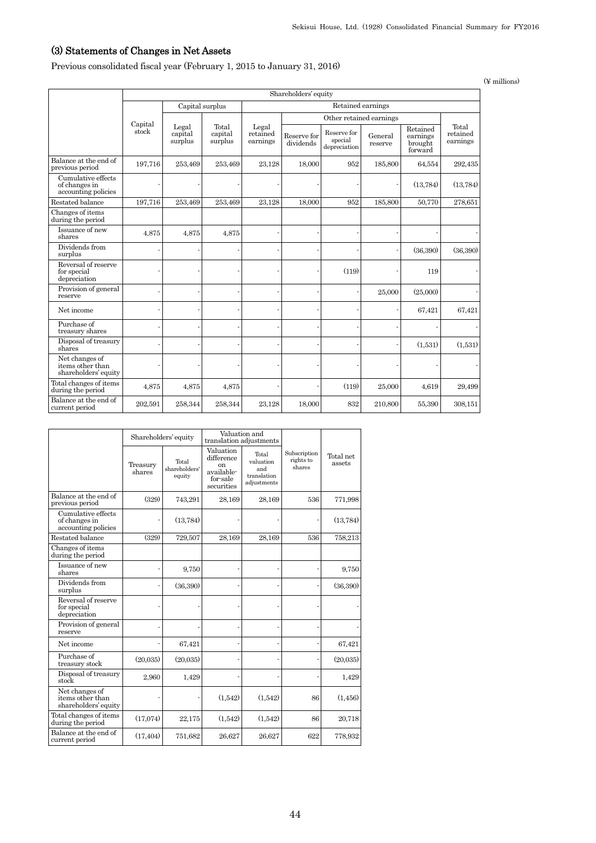## (3) Statements of Changes in Net Assets

Previous consolidated fiscal year (February 1, 2015 to January 31, 2016)

 Shareholders' equity Capital stock Capital surplus Retained earnings Legal capital surplus Total capital surplus Legal retained earnings Other retained earnings Total retained Reserve for  $\begin{array}{c|c}\n\text{Reserve} & \text{General} \\
\text{dividends} & \text{special} \\
\text{denerial} & \text{reserve} \\
\end{array}$   $\begin{array}{c|c}\n\text{returnings} & \text{retained} \\
\text{benoral} & \text{equation} \\
\end{array}$ Reserve for special depreciation General reserve Retained earnings brought forward Balance at the end of previous period 197,716 253,469 253,469 23,128 18,000 952 185,800 64,554 292,435 Cumulative effects of changes in accounting policies - - - - - - - (13,784) (13,784) Restated balance 197,716 253,469 253,469 23,128 18,000 952 185,800 50,770 278,651 Changes of items during the period Issuance of new shares 4,875 4,875 4,875 - - - - - - Dividends from Protectius route (36,390) (36,390) (36,390) (36,390) (36,390) (36,390) (36,390) (36,390) (36,390) (36,390) (36,390) (36,390) (36,390) (36,390) (36,390) (36,390) (36,390) (36,390) (36,390) (36,390) (36,390) (36,390) (36,390 Reversal of reserve for special depreciation -  $\vert$  -  $\vert$  -  $\vert$  -  $\vert$  -  $\vert$  (119) - 119 -Provision of general  $r_{\text{1}}$  -  $r_{\text{2}}$  -  $r_{\text{2}}$  -  $r_{\text{2}}$  -  $r_{\text{3}}$  -  $r_{\text{3}}$  -  $r_{\text{4}}$  -  $r_{\text{5}}$  -  $r_{\text{6}}$  -  $r_{\text{6}}$  -  $r_{\text{7}}$  -  $r_{\text{8}}$  -  $r_{\text{6}}$  -  $r_{\text{7}}$  -  $r_{\text{8}}$  -  $r_{\text{8}}$  -  $r_{\text{9}}$  -  $r_{\text{1}}$  -  $r_{\text$ Net income - - - - - - - 67,421 67,421 Purchase of<br>treasury shares treasury shares - - - - - - - - - Disposal of treasury  $\mu$  -  $\mu$  -  $\mu$  -  $\mu$  -  $\mu$  -  $\mu$  -  $\mu$  -  $\mu$  -  $\mu$  -  $\mu$  -  $\mu$  -  $\mu$  -  $\mu$  -  $\mu$  -  $\mu$  -  $\mu$  -  $\mu$  -  $\mu$  -  $\mu$  -  $\mu$  -  $\mu$  -  $\mu$  -  $\mu$  -  $\mu$  -  $\mu$  -  $\mu$  -  $\mu$  -  $\mu$  -  $\mu$  -  $\mu$  -  $\mu$  -  $\mu$ Net changes of items other than items other than  $shareholders'$  equity  $\begin{vmatrix} \cdot & \cdot & \cdot & \cdot \\ \cdot & \cdot & \cdot & \cdot \\ \cdot & \cdot & \cdot & \cdot \end{vmatrix}$ Total changes of items <br>during the period 1,875 4,875 4,875 - (119) 25,000 4,619 29,499 Balance at the end of 202,591 258,344 258,344 23,128 18,000 832 210,800 55,390 308,151

|                                                            | Shareholders' equity |                                  |                                                                                  | Valuation and<br>translation adjustments                |                                     |                     |
|------------------------------------------------------------|----------------------|----------------------------------|----------------------------------------------------------------------------------|---------------------------------------------------------|-------------------------------------|---------------------|
|                                                            | Treasury<br>shares   | Total<br>shareholders'<br>equity | Valuation<br>difference<br><sub>on</sub><br>available-<br>for-sale<br>securities | Total<br>valuation<br>and<br>translation<br>adiustments | Subscription<br>rights to<br>shares | Total net<br>assets |
| Balance at the end of<br>previous period                   | (329)                | 743,291                          | 28,169                                                                           | 28,169                                                  | 536                                 | 771,998             |
| Cumulative effects<br>of changes in<br>accounting policies |                      | (13, 784)                        |                                                                                  |                                                         |                                     | (13, 784)           |
| Restated balance                                           | (329)                | 729,507                          | 28,169                                                                           | 28,169                                                  | 536                                 | 758,213             |
| Changes of items<br>during the period                      |                      |                                  |                                                                                  |                                                         |                                     |                     |
| Issuance of new<br>shares                                  |                      | 9,750                            |                                                                                  |                                                         |                                     | 9,750               |
| Dividends from<br>surplus                                  |                      | (36,390)                         |                                                                                  |                                                         |                                     | (36,390)            |
| Reversal of reserve<br>for special<br>depreciation         |                      |                                  |                                                                                  |                                                         |                                     |                     |
| Provision of general<br>reserve                            |                      |                                  |                                                                                  |                                                         |                                     |                     |
| Net income                                                 |                      | 67,421                           |                                                                                  |                                                         |                                     | 67,421              |
| Purchase of<br>treasury stock                              | (20,035)             | (20,035)                         |                                                                                  |                                                         |                                     | (20,035)            |
| Disposal of treasury<br>stock                              | 2,960                | 1,429                            |                                                                                  |                                                         |                                     | 1,429               |
| Net changes of<br>items other than<br>shareholders' equity |                      |                                  | (1,542)                                                                          | (1,542)                                                 | 86                                  | (1, 456)            |
| Total changes of items<br>during the period                | (17,074)             | 22,175                           | (1,542)                                                                          | (1,542)                                                 | 86                                  | 20,718              |
| Balance at the end of<br>current period                    | (17, 404)            | 751,682                          | 26,627                                                                           | 26,627                                                  | 622                                 | 778,932             |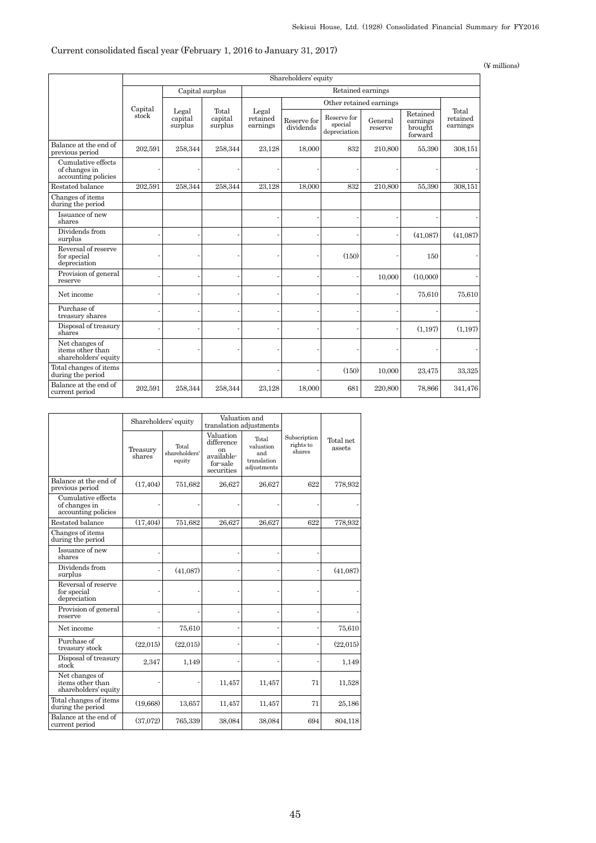## Current consolidated fiscal year (February 1, 2016 to January 31, 2017)

(¥ millions)

|                                                            | Shareholders' equity |                             |                             |                               |                          |                                        |                    |                                            |                               |
|------------------------------------------------------------|----------------------|-----------------------------|-----------------------------|-------------------------------|--------------------------|----------------------------------------|--------------------|--------------------------------------------|-------------------------------|
|                                                            |                      | Capital surplus             |                             |                               | Retained earnings        |                                        |                    |                                            |                               |
|                                                            |                      |                             |                             |                               | Other retained earnings  |                                        |                    |                                            |                               |
|                                                            | Capital<br>stock     | Legal<br>capital<br>surplus | Total<br>capital<br>surplus | Legal<br>retained<br>earnings | Reserve for<br>dividends | Reserve for<br>special<br>depreciation | General<br>reserve | Retained<br>earnings<br>brought<br>forward | Total<br>retained<br>earnings |
| Balance at the end of<br>previous period                   | 202,591              | 258,344                     | 258,344                     | 23,128                        | 18,000                   | 832                                    | 210,800            | 55,390                                     | 308,151                       |
| Cumulative effects<br>of changes in<br>accounting policies |                      |                             |                             |                               |                          |                                        |                    |                                            |                               |
| Restated balance                                           | 202,591              | 258,344                     | 258,344                     | 23,128                        | 18,000                   | 832                                    | 210,800            | 55,390                                     | 308,151                       |
| Changes of items<br>during the period                      |                      |                             |                             |                               |                          |                                        |                    |                                            |                               |
| Issuance of new<br>shares                                  |                      |                             |                             |                               |                          |                                        |                    |                                            |                               |
| Dividends from<br>surplus                                  |                      |                             |                             |                               |                          |                                        |                    | (41,087)                                   | (41,087)                      |
| Reversal of reserve<br>for special<br>depreciation         |                      |                             |                             |                               |                          | (150)                                  |                    | 150                                        |                               |
| Provision of general<br>reserve                            |                      |                             |                             |                               |                          |                                        | 10,000             | (10,000)                                   |                               |
| Net income                                                 |                      |                             |                             |                               |                          |                                        |                    | 75,610                                     | 75,610                        |
| Purchase of<br>treasury shares                             |                      |                             |                             |                               |                          |                                        |                    |                                            |                               |
| Disposal of treasury<br>shares                             |                      |                             |                             |                               |                          |                                        |                    | (1,197)                                    | (1,197)                       |
| Net changes of<br>items other than<br>shareholders' equity |                      |                             |                             |                               |                          |                                        |                    |                                            |                               |
| Total changes of items<br>during the period                |                      |                             |                             |                               |                          | (150)                                  | 10,000             | 23,475                                     | 33,325                        |
| Balance at the end of<br>current period                    | 202,591              | 258,344                     | 258,344                     | 23,128                        | 18,000                   | 681                                    | 220,800            | 78,866                                     | 341,476                       |

|                                                            |                    | Shareholders' equity             | Valuation and<br>translation adjustments                                         |                                                         |                                     |                     |
|------------------------------------------------------------|--------------------|----------------------------------|----------------------------------------------------------------------------------|---------------------------------------------------------|-------------------------------------|---------------------|
|                                                            | Treasury<br>shares | Total<br>shareholders'<br>equity | Valuation<br>difference<br><sub>on</sub><br>available-<br>for-sale<br>securities | Total<br>valuation<br>and<br>translation<br>adjustments | Subscription<br>rights to<br>shares | Total net<br>assets |
| Balance at the end of<br>previous period                   | (17, 404)          | 751,682                          | 26,627                                                                           | 26,627                                                  | 622                                 | 778,932             |
| Cumulative effects<br>of changes in<br>accounting policies |                    |                                  |                                                                                  |                                                         |                                     |                     |
| Restated balance                                           | (17, 404)          | 751,682                          | 26,627                                                                           | 26,627                                                  | 622                                 | 778,932             |
| Changes of items<br>during the period                      |                    |                                  |                                                                                  |                                                         |                                     |                     |
| Issuance of new<br>shares                                  |                    |                                  |                                                                                  |                                                         |                                     |                     |
| Dividends from<br>surplus                                  | ä,                 | (41,087)                         |                                                                                  |                                                         |                                     | (41,087)            |
| Reversal of reserve<br>for special<br>depreciation         |                    |                                  |                                                                                  |                                                         |                                     |                     |
| Provision of general<br>reserve                            |                    |                                  |                                                                                  |                                                         |                                     |                     |
| Net income                                                 |                    | 75,610                           |                                                                                  |                                                         |                                     | 75,610              |
| Purchase of<br>treasury stock                              | (22,015)           | (22,015)                         |                                                                                  |                                                         |                                     | (22,015)            |
| Disposal of treasury<br>stock                              | 2,347              | 1,149                            |                                                                                  |                                                         |                                     | 1,149               |
| Net changes of<br>items other than<br>shareholders' equity |                    |                                  | 11,457                                                                           | 11,457                                                  | 71                                  | 11,528              |
| Total changes of items<br>during the period                | (19,668)           | 13,657                           | 11,457                                                                           | 11,457                                                  | 71                                  | 25,186              |
| Balance at the end of<br>current period                    | (37,072)           | 765,339                          | 38,084                                                                           | 38,084                                                  | 694                                 | 804,118             |